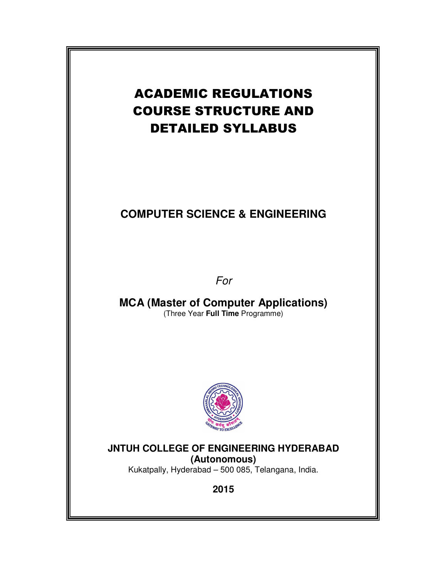# ACADEMIC REGULATIONS COURSE STRUCTURE AND DETAILED SYLLABUS

# **COMPUTER SCIENCE & ENGINEERING**

For

**MCA (Master of Computer Applications)**  (Three Year **Full Time** Programme)



# **JNTUH COLLEGE OF ENGINEERING HYDERABAD (Autonomous)**

Kukatpally, Hyderabad – 500 085, Telangana, India.

**2015**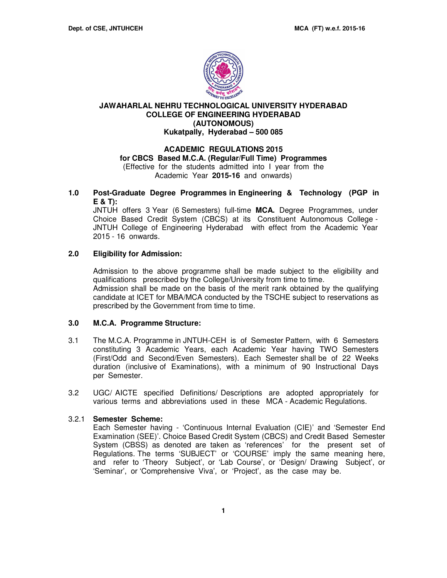

### **JAWAHARLAL NEHRU TECHNOLOGICAL UNIVERSITY HYDERABAD COLLEGE OF ENGINEERING HYDERABAD (AUTONOMOUS) Kukatpally, Hyderabad – 500 085**

# **ACADEMIC REGULATIONS 2015 for CBCS Based M.C.A. (Regular/Full Time) Programmes**  (Effective for the students admitted into I year from the

Academic Year **2015-16** and onwards)

**1.0 Post-Graduate Degree Programmes in Engineering & Technology (PGP in E & T):** 

JNTUH offers 3 Year (6 Semesters) full-time **MCA.** Degree Programmes, under Choice Based Credit System (CBCS) at its Constituent Autonomous College - JNTUH College of Engineering Hyderabad with effect from the Academic Year 2015 - 16 onwards.

### **2.0 Eligibility for Admission:**

Admission to the above programme shall be made subject to the eligibility and qualifications prescribed by the College/University from time to time. Admission shall be made on the basis of the merit rank obtained by the qualifying candidate at ICET for MBA/MCA conducted by the TSCHE subject to reservations as prescribed by the Government from time to time.

#### **3.0 M.C.A. Programme Structure:**

- 3.1 The M.C.A. Programme in JNTUH-CEH is of Semester Pattern, with 6 Semesters constituting 3 Academic Years, each Academic Year having TWO Semesters (First/Odd and Second/Even Semesters). Each Semester shall be of 22 Weeks duration (inclusive of Examinations), with a minimum of 90 Instructional Days per Semester.
- 3.2 UGC/ AICTE specified Definitions/ Descriptions are adopted appropriately for various terms and abbreviations used in these MCA - Academic Regulations.

#### 3.2.1 **Semester Scheme:**

Each Semester having - 'Continuous Internal Evaluation (CIE)' and 'Semester End Examination (SEE)'. Choice Based Credit System (CBCS) and Credit Based Semester System (CBSS) as denoted are taken as 'references' for the present set of Regulations. The terms 'SUBJECT' or 'COURSE' imply the same meaning here, and refer to 'Theory Subject', or 'Lab Course', or 'Design/ Drawing Subject', or 'Seminar', or 'Comprehensive Viva', or 'Project', as the case may be.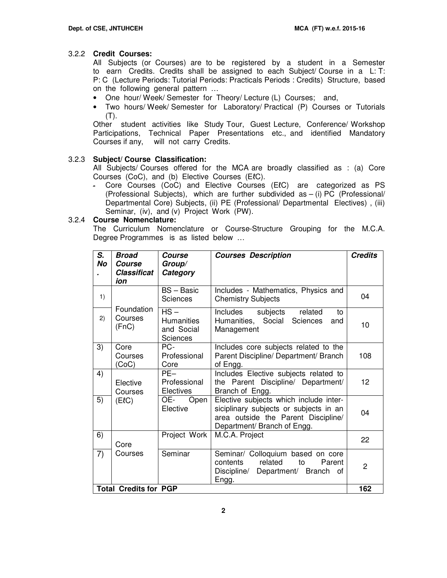#### 3.2.2 **Credit Courses:**

All Subjects (or Courses) are to be registered by a student in a Semester to earn Credits. Credits shall be assigned to each Subject/ Course in a L: T: P: C (Lecture Periods: Tutorial Periods: Practicals Periods : Credits) Structure, based on the following general pattern …

- One hour/ Week/ Semester for Theory/ Lecture (L) Courses; and,
- Two hours/ Week/ Semester for Laboratory/ Practical (P) Courses or Tutorials  $(T)$ .

Other student activities like Study Tour, Guest Lecture, Conference/ Workshop Participations, Technical Paper Presentations etc., and identified Mandatory Courses if any, will not carry Credits.

#### 3.2.3 **Subject/ Course Classification:**

All Subjects/ Courses offered for the MCA are broadly classified as : (a) Core Courses (CoC), and (b) Elective Courses (EℓC).

- Core Courses (CoC) and Elective Courses (EℓC) are categorized as PS (Professional Subjects), which are further subdivided as – (i) PC (Professional/ Departmental Core) Subjects, (ii) PE (Professional/ Departmental Electives) , (iii) Seminar, (iv), and (v) Project Work (PW).

#### 3.2.4 **Course Nomenclature:**

The Curriculum Nomenclature or Course-Structure Grouping for the M.C.A. Degree Programmes is as listed below …

| S.<br><b>No</b> | <b>Broad</b><br>Course<br><b>Classificat</b><br>ion | Course<br>Group/<br>Category                          | <b>Courses Description</b>                                                                                                                             | <b>Credits</b> |
|-----------------|-----------------------------------------------------|-------------------------------------------------------|--------------------------------------------------------------------------------------------------------------------------------------------------------|----------------|
| 1)              |                                                     | <b>BS-Basic</b><br><b>Sciences</b>                    | Includes - Mathematics, Physics and<br><b>Chemistry Subjects</b>                                                                                       | 04             |
| 2)              | Foundation<br>Courses<br>(FnC)                      | $HS -$<br><b>Humanities</b><br>and Social<br>Sciences | Includes<br>subjects<br>related<br>to<br>Humanities, Social<br>Sciences<br>and<br>Management                                                           | 10             |
| 3)              | Core<br>Courses<br>(CoC)                            | PC-<br>Professional<br>Core                           | Includes core subjects related to the<br>Parent Discipline/ Department/ Branch<br>of Engg.                                                             | 108            |
| 4)              | Elective<br>Courses                                 | $PF-$<br>Professional<br>Electives                    | Includes Elective subjects related to<br>the Parent Discipline/ Department/<br>Branch of Engg.                                                         | 12             |
| 5)              | (EIC)                                               | OE-<br>Open<br>Elective                               | Elective subjects which include inter-<br>siciplinary subjects or subjects in an<br>area outside the Parent Discipline/<br>Department/ Branch of Engg. | 04             |
| 6)              | Core                                                | Project Work                                          | M.C.A. Project                                                                                                                                         | 22             |
| 7)              | Courses                                             | Seminar                                               | Seminar/ Colloquium based on core<br>related<br>contents<br>to<br>Parent<br>Discipline/<br>Department/ Branch<br>0f<br>Engg.                           | $\overline{c}$ |
|                 | <b>Total Credits for PGP</b>                        |                                                       |                                                                                                                                                        | 162            |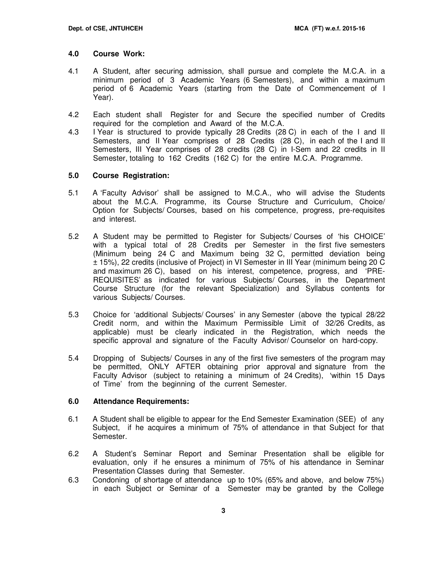#### **4.0 Course Work:**

- 4.1 A Student, after securing admission, shall pursue and complete the M.C.A. in a minimum period of 3 Academic Years (6 Semesters), and within a maximum period of 6 Academic Years (starting from the Date of Commencement of I Year).
- 4.2 Each student shall Register for and Secure the specified number of Credits required for the completion and Award of the M.C.A.
- 4.3 I Year is structured to provide typically 28 Credits (28 C) in each of the I and II Semesters, and II Year comprises of 28 Credits (28 C), in each of the I and II Semesters, III Year comprises of 28 credits (28 C) in I-Sem and 22 credits in II Semester, totaling to 162 Credits (162 C) for the entire M.C.A. Programme.

#### **5.0 Course Registration:**

- 5.1 A 'Faculty Advisor' shall be assigned to M.C.A., who will advise the Students about the M.C.A. Programme, its Course Structure and Curriculum, Choice/ Option for Subjects/ Courses, based on his competence, progress, pre-requisites and interest.
- 5.2 A Student may be permitted to Register for Subjects/ Courses of 'his CHOICE' with a typical total of 28 Credits per Semester in the first five semesters (Minimum being 24 C and Maximum being 32 C, permitted deviation being ± 15%), 22 credits (inclusive of Project) in VI Semester in III Year (minimum being 20 C and maximum 26 C), based on his interest, competence, progress, and 'PRE-REQUISITES' as indicated for various Subjects/ Courses, in the Department Course Structure (for the relevant Specialization) and Syllabus contents for various Subjects/ Courses.
- 5.3 Choice for 'additional Subjects/ Courses' in any Semester (above the typical 28/22 Credit norm, and within the Maximum Permissible Limit of 32/26 Credits, as applicable) must be clearly indicated in the Registration, which needs the specific approval and signature of the Faculty Advisor/ Counselor on hard-copy.
- 5.4 Dropping of Subjects/ Courses in any of the first five semesters of the program may be permitted, ONLY AFTER obtaining prior approval and signature from the Faculty Advisor (subject to retaining a minimum of 24 Credits), 'within 15 Days of Time' from the beginning of the current Semester.

#### **6.0 Attendance Requirements:**

- 6.1 A Student shall be eligible to appear for the End Semester Examination (SEE) of any Subject, if he acquires a minimum of 75% of attendance in that Subject for that Semester.
- 6.2 A Student's Seminar Report and Seminar Presentation shall be eligible for evaluation, only if he ensures a minimum of 75% of his attendance in Seminar Presentation Classes during that Semester.
- 6.3 Condoning of shortage of attendance up to 10% (65% and above, and below 75%) in each Subject or Seminar of a Semester may be granted by the College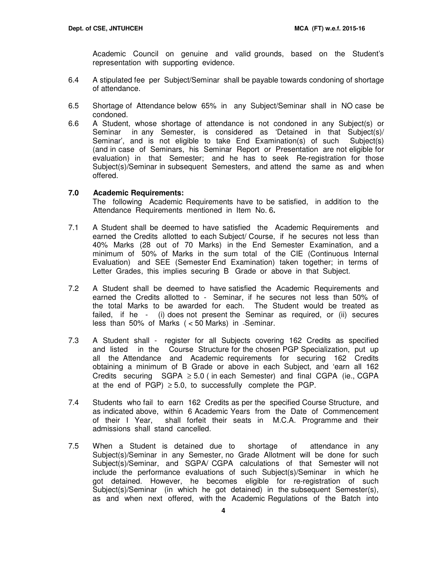Academic Council on genuine and valid grounds, based on the Student's representation with supporting evidence.

- 6.4 A stipulated fee per Subject/Seminar shall be payable towards condoning of shortage of attendance.
- 6.5 Shortage of Attendance below 65% in any Subject/Seminar shall in NO case be condoned.
- 6.6 A Student, whose shortage of attendance is not condoned in any Subject(s) or Seminar in any Semester, is considered as 'Detained in that Subject(s)/ Seminar', and is not eligible to take End Examination(s) of such Subject(s) (and in case of Seminars, his Seminar Report or Presentation are not eligible for evaluation) in that Semester; and he has to seek Re-registration for those Subject(s)/Seminar in subsequent Semesters, and attend the same as and when offered.

#### **7.0 Academic Requirements:**

The following Academic Requirements have to be satisfied, in addition to the Attendance Requirements mentioned in Item No. 6**.** 

- 7.1 A Student shall be deemed to have satisfied the Academic Requirements and earned the Credits allotted to each Subject/ Course, if he secures not less than 40% Marks (28 out of 70 Marks) in the End Semester Examination, and a minimum of 50% of Marks in the sum total of the CIE (Continuous Internal Evaluation) and SEE (Semester End Examination) taken together; in terms of Letter Grades, this implies securing B Grade or above in that Subject.
- 7.2A Student shall be deemed to have satisfied the Academic Requirements and earned the Credits allotted to - Seminar, if he secures not less than 50% of the total Marks to be awarded for each. The Student would be treated as failed, if he - (i) does not present the Seminar as required, or (ii) secures less than 50% of Marks  $(< 50$  Marks) in Seminar.
- 7.3 A Student shall register for all Subjects covering 162 Credits as specified and listed in the Course Structure for the chosen PGP Specialization, put up all the Attendance and Academic requirements for securing 162 Credits obtaining a minimum of B Grade or above in each Subject, and 'earn all 162 Credits securing  $SGPA \geq 5.0$  (in each Semester) and final CGPA (ie., CGPA at the end of PGP)  $\geq$  5.0, to successfully complete the PGP.
- 7.4 Students who fail to earn 162 Credits as per the specified Course Structure, and as indicated above, within 6 Academic Years from the Date of Commencement of their I Year, shall forfeit their seats in M.C.A. Programme and their admissions shall stand cancelled.
- 7.5 When a Student is detained due to shortage of attendance in any Subject(s)/Seminar in any Semester, no Grade Allotment will be done for such Subject(s)/Seminar, and SGPA/ CGPA calculations of that Semester will not include the performance evaluations of such Subject(s)/Seminar in which he got detained. However, he becomes eligible for re-registration of such Subject(s)/Seminar (in which he got detained) in the subsequent Semester(s), as and when next offered, with the Academic Regulations of the Batch into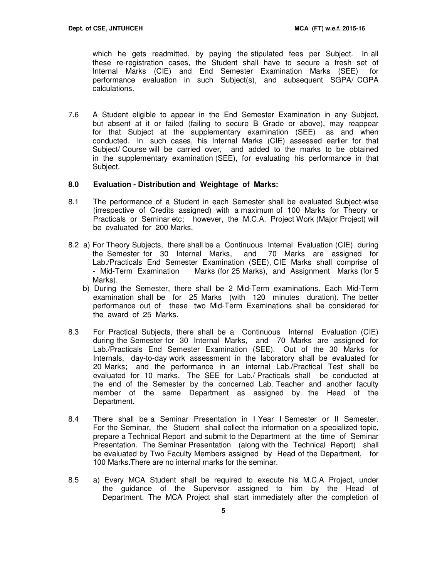which he gets readmitted, by paying the stipulated fees per Subject. In all these re-registration cases, the Student shall have to secure a fresh set of Internal Marks (CIE) and End Semester Examination Marks (SEE) for performance evaluation in such Subject(s), and subsequent SGPA/ CGPA calculations.

7.6 A Student eligible to appear in the End Semester Examination in any Subject, but absent at it or failed (failing to secure B Grade or above), may reappear for that Subject at the supplementary examination (SEE) as and when conducted. In such cases, his Internal Marks (CIE) assessed earlier for that Subject/ Course will be carried over, and added to the marks to be obtained in the supplementary examination (SEE), for evaluating his performance in that Subject.

#### **8.0 Evaluation - Distribution and Weightage of Marks:**

- 8.1 The performance of a Student in each Semester shall be evaluated Subject-wise (irrespective of Credits assigned) with a maximum of 100 Marks for Theory or Practicals or Seminar etc; however, the M.C.A. Project Work (Major Project) will be evaluated for 200 Marks.
- 8.2 a) For Theory Subjects, there shall be a Continuous Internal Evaluation (CIE) during the Semester for 30 Internal Marks, and 70 Marks are assigned for Lab./Practicals End Semester Examination (SEE), CIE Marks shall comprise of - Mid-Term Examination Marks (for 25 Marks), and Assignment Marks (for 5 Marks).
	- b) During the Semester, there shall be 2 Mid-Term examinations. Each Mid-Term examination shall be for 25 Marks (with 120 minutes duration). The better performance out of these two Mid-Term Examinations shall be considered for the award of 25 Marks.
- 8.3 For Practical Subjects, there shall be a Continuous Internal Evaluation (CIE) during the Semester for 30 Internal Marks, and 70 Marks are assigned for Lab./Practicals End Semester Examination (SEE). Out of the 30 Marks for Internals, day-to-day work assessment in the laboratory shall be evaluated for 20 Marks; and the performance in an internal Lab./Practical Test shall be evaluated for 10 marks. The SEE for Lab./ Practicals shall be conducted at the end of the Semester by the concerned Lab. Teacher and another faculty member of the same Department as assigned by the Head of the Department.
- 8.4 There shall be a Seminar Presentation in I Year I Semester or II Semester. For the Seminar, the Student shall collect the information on a specialized topic, prepare a Technical Report and submit to the Department at the time of Seminar Presentation. The Seminar Presentation (along with the Technical Report) shall be evaluated by Two Faculty Members assigned by Head of the Department, for 100 Marks.There are no internal marks for the seminar.
- 8.5 a) Every MCA Student shall be required to execute his M.C.A Project, under the guidance of the Supervisor assigned to him by the Head of Department. The MCA Project shall start immediately after the completion of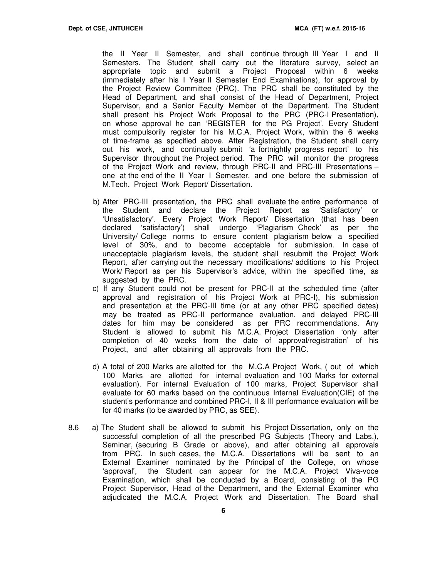the II Year II Semester, and shall continue through III Year I and II Semesters. The Student shall carry out the literature survey, select an appropriate topic and submit a Project Proposal within 6 weeks (immediately after his I Year II Semester End Examinations), for approval by the Project Review Committee (PRC). The PRC shall be constituted by the Head of Department, and shall consist of the Head of Department, Project Supervisor, and a Senior Faculty Member of the Department. The Student shall present his Project Work Proposal to the PRC (PRC-I Presentation), on whose approval he can 'REGISTER for the PG Project'. Every Student must compulsorily register for his M.C.A. Project Work, within the 6 weeks of time-frame as specified above. After Registration, the Student shall carry out his work, and continually submit 'a fortnightly progress report' to his Supervisor throughout the Project period. The PRC will monitor the progress of the Project Work and review, through PRC-II and PRC-III Presentations – one at the end of the II Year I Semester, and one before the submission of M.Tech. Project Work Report/ Dissertation.

- b) After PRC-III presentation, the PRC shall evaluate the entire performance of the Student and declare the Project Report as 'Satisfactory' or 'Unsatisfactory'. Every Project Work Report/ Dissertation (that has been declared 'satisfactory') shall undergo 'Plagiarism Check' as per the University/ College norms to ensure content plagiarism below a specified level of 30%, and to become acceptable for submission. In case of unacceptable plagiarism levels, the student shall resubmit the Project Work Report, after carrying out the necessary modifications/ additions to his Project Work/ Report as per his Supervisor's advice, within the specified time, as suggested by the PRC.
- c) If any Student could not be present for PRC-II at the scheduled time (after approval and registration of his Project Work at PRC-I), his submission and presentation at the PRC-III time (or at any other PRC specified dates) may be treated as PRC-II performance evaluation, and delayed PRC-III dates for him may be considered as per PRC recommendations. Any Student is allowed to submit his M.C.A. Project Dissertation 'only after completion of 40 weeks from the date of approval/registration' of his Project, and after obtaining all approvals from the PRC.
- d) A total of 200 Marks are allotted for the M.C.A Project Work, ( out of which 100 Marks are allotted for internal evaluation and 100 Marks for external evaluation). For internal Evaluation of 100 marks, Project Supervisor shall evaluate for 60 marks based on the continuous Internal Evaluation(CIE) of the student's performance and combined PRC-I, II & III performance evaluation will be for 40 marks (to be awarded by PRC, as SEE).
- 8.6 a) The Student shall be allowed to submit his Project Dissertation, only on the successful completion of all the prescribed PG Subjects (Theory and Labs.), Seminar, (securing B Grade or above), and after obtaining all approvals from PRC. In such cases, the M.C.A. Dissertations will be sent to an External Examiner nominated by the Principal of the College, on whose 'approval', the Student can appear for the M.C.A. Project Viva-voce Examination, which shall be conducted by a Board, consisting of the PG Project Supervisor, Head of the Department, and the External Examiner who adjudicated the M.C.A. Project Work and Dissertation. The Board shall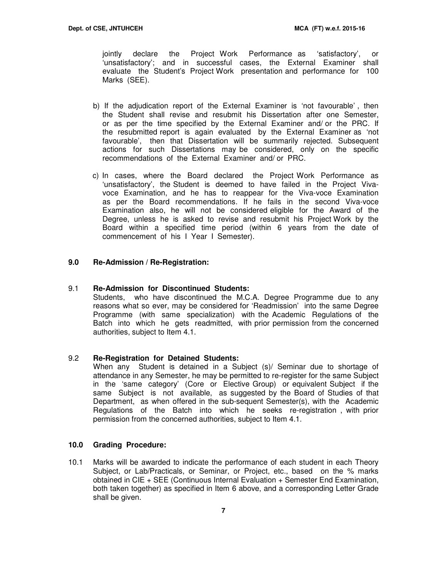jointly declare the Project Work Performance as 'satisfactory', or 'unsatisfactory'; and in successful cases, the External Examiner shall evaluate the Student's Project Work presentation and performance for 100 Marks (SEE).

- b) If the adjudication report of the External Examiner is 'not favourable' , then the Student shall revise and resubmit his Dissertation after one Semester, or as per the time specified by the External Examiner and/ or the PRC. If the resubmitted report is again evaluated by the External Examiner as 'not favourable', then that Dissertation will be summarily rejected. Subsequent actions for such Dissertations may be considered, only on the specific recommendations of the External Examiner and/ or PRC.
- c) In cases, where the Board declared the Project Work Performance as 'unsatisfactory', the Student is deemed to have failed in the Project Vivavoce Examination, and he has to reappear for the Viva-voce Examination as per the Board recommendations. If he fails in the second Viva-voce Examination also, he will not be considered eligible for the Award of the Degree, unless he is asked to revise and resubmit his Project Work by the Board within a specified time period (within 6 years from the date of commencement of his I Year I Semester).

#### **9.0 Re-Admission / Re-Registration:**

#### 9.1 **Re-Admission for Discontinued Students:**

Students, who have discontinued the M.C.A. Degree Programme due to any reasons what so ever, may be considered for 'Readmission' into the same Degree Programme (with same specialization) with the Academic Regulations of the Batch into which he gets readmitted, with prior permission from the concerned authorities, subject to Item 4.1.

#### 9.2 **Re-Registration for Detained Students:**

When any Student is detained in a Subject (s)/ Seminar due to shortage of attendance in any Semester, he may be permitted to re-register for the same Subject in the 'same category' (Core or Elective Group) or equivalent Subject if the same Subject is not available, as suggested by the Board of Studies of that Department, as when offered in the sub-sequent Semester(s), with the Academic Regulations of the Batch into which he seeks re-registration , with prior permission from the concerned authorities, subject to Item 4.1.

#### **10.0 Grading Procedure:**

10.1 Marks will be awarded to indicate the performance of each student in each Theory Subject, or Lab/Practicals, or Seminar, or Project, etc., based on the % marks obtained in CIE + SEE (Continuous Internal Evaluation + Semester End Examination, both taken together) as specified in Item 6 above, and a corresponding Letter Grade shall be given.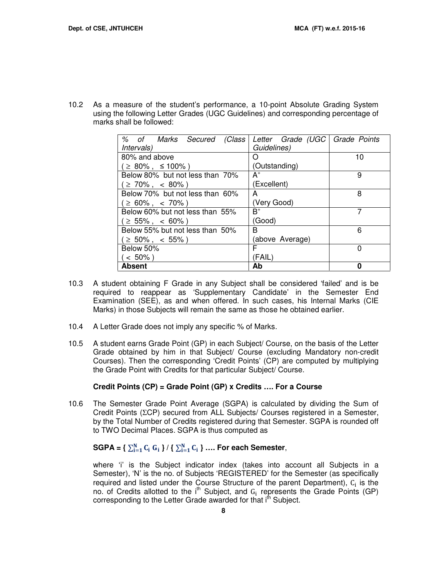10.2 As a measure of the student's performance, a 10-point Absolute Grading System using the following Letter Grades (UGC Guidelines) and corresponding percentage of marks shall be followed:

| % of Marks Secured (Class       | Letter Grade (UGC   Grade Points |    |
|---------------------------------|----------------------------------|----|
| <i>Intervals</i> )              | Guidelines)                      |    |
| 80% and above                   |                                  | 10 |
| $\geq$ 80%, $\leq$ 100%)        | (Outstanding)                    |    |
| Below 80% but not less than 70% | $\mathsf{A}^*$                   | 9  |
| $\geq 70\%$ , < 80%)            | (Excellent)                      |    |
| Below 70% but not less than 60% | А                                | 8  |
| $\geq 60\%$ , < 70%)            | (Very Good)                      |    |
| Below 60% but not less than 55% | R+                               |    |
| $( \geq 55\%$ , $\ <\ 60\%$ )   | (Good)                           |    |
| Below 55% but not less than 50% | B                                | 6  |
| $\geq 50\%$ , < 55%)            | (above Average)                  |    |
| Below 50%                       | F                                | 0  |
| $< 50\%$ )                      | (FAIL)                           |    |
| <b>Absent</b>                   | Ab                               | ŋ  |

- 10.3 A student obtaining F Grade in any Subject shall be considered 'failed' and is be required to reappear as 'Supplementary Candidate' in the Semester End Examination (SEE), as and when offered. In such cases, his Internal Marks (CIE Marks) in those Subjects will remain the same as those he obtained earlier.
- 10.4 A Letter Grade does not imply any specific % of Marks.
- 10.5 A student earns Grade Point (GP) in each Subject/ Course, on the basis of the Letter Grade obtained by him in that Subject/ Course (excluding Mandatory non-credit Courses). Then the corresponding 'Credit Points' (CP) are computed by multiplying the Grade Point with Credits for that particular Subject/ Course.

#### **Credit Points (CP) = Grade Point (GP) x Credits …. For a Course**

10.6 The Semester Grade Point Average (SGPA) is calculated by dividing the Sum of Credit Points (ΣCP) secured from ALL Subjects/ Courses registered in a Semester, by the Total Number of Credits registered during that Semester. SGPA is rounded off to TWO Decimal Places. SGPA is thus computed as

# $\text{SGPA} = \{ \sum_{i=1}^{N} C_i \ G_i \} / \{ \sum_{i=1}^{N} C_i \} \ ...$  For each Semester,

where 'i' is the Subject indicator index (takes into account all Subjects in a Semester), 'N' is the no. of Subjects 'REGISTERED' for the Semester (as specifically required and listed under the Course Structure of the parent Department),  $C_i$  is the no. of Credits allotted to the i<sup>th</sup> Subject, and  $G_i$  represents the Grade Points (GP) corresponding to the Letter Grade awarded for that i<sup>th</sup> Subject.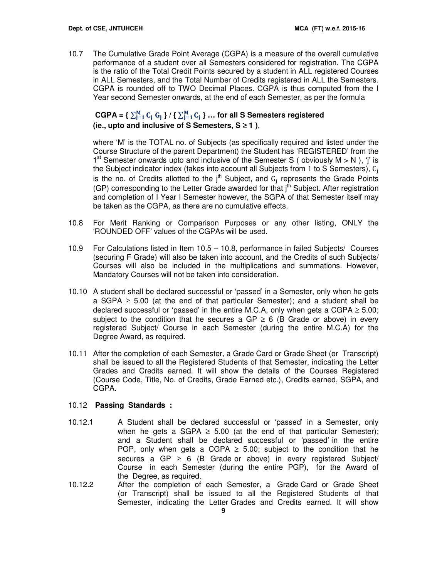10.7 The Cumulative Grade Point Average (CGPA) is a measure of the overall cumulative performance of a student over all Semesters considered for registration. The CGPA is the ratio of the Total Credit Points secured by a student in ALL registered Courses in ALL Semesters, and the Total Number of Credits registered in ALL the Semesters. CGPA is rounded off to TWO Decimal Places. CGPA is thus computed from the I Year second Semester onwards, at the end of each Semester, as per the formula

# $CGPA = \{ \sum_{j=1}^{M} C_j G_j \} / \{ \sum_{j=1}^{M} C_j \} ...$  for all S Semesters registered **(ie., upto and inclusive of S Semesters, S** ≥ **1 )**,

where 'M' is the TOTAL no. of Subjects (as specifically required and listed under the Course Structure of the parent Department) the Student has 'REGISTERED' from the 1<sup>st</sup> Semester onwards upto and inclusive of the Semester S (obviously  $M > N$ ), 'j' is the Subject indicator index (takes into account all Subjects from 1 to S Semesters), C is the no. of Credits allotted to the j<sup>th</sup> Subject, and  $G_j$  represents the Grade Points (GP) corresponding to the Letter Grade awarded for that  $j<sup>th</sup>$  Subject. After registration and completion of I Year I Semester however, the SGPA of that Semester itself may be taken as the CGPA, as there are no cumulative effects.

- 10.8 For Merit Ranking or Comparison Purposes or any other listing, ONLY the 'ROUNDED OFF' values of the CGPAs will be used.
- 10.9 For Calculations listed in Item 10.5 10.8, performance in failed Subjects/ Courses (securing F Grade) will also be taken into account, and the Credits of such Subjects/ Courses will also be included in the multiplications and summations. However, Mandatory Courses will not be taken into consideration.
- 10.10 A student shall be declared successful or 'passed' in a Semester, only when he gets a SGPA  $\geq$  5.00 (at the end of that particular Semester); and a student shall be declared successful or 'passed' in the entire M.C.A, only when gets a CGPA  $\geq$  5.00; subject to the condition that he secures a GP  $\geq$  6 (B Grade or above) in every registered Subject/ Course in each Semester (during the entire M.C.A) for the Degree Award, as required.
- 10.11 After the completion of each Semester, a Grade Card or Grade Sheet (or Transcript) shall be issued to all the Registered Students of that Semester, indicating the Letter Grades and Credits earned. It will show the details of the Courses Registered (Course Code, Title, No. of Credits, Grade Earned etc.), Credits earned, SGPA, and CGPA.

# 10.12 **Passing Standards :**

- 10.12.1 A Student shall be declared successful or 'passed' in a Semester, only when he gets a SGPA  $\geq$  5.00 (at the end of that particular Semester); and a Student shall be declared successful or 'passed' in the entire PGP, only when gets a CGPA  $\geq$  5.00; subject to the condition that he secures a GP  $\geq$  6 (B Grade or above) in every registered Subject/ Course in each Semester (during the entire PGP), for the Award of the Degree, as required.
- 10.12.2 After the completion of each Semester, a Grade Card or Grade Sheet (or Transcript) shall be issued to all the Registered Students of that Semester, indicating the Letter Grades and Credits earned. It will show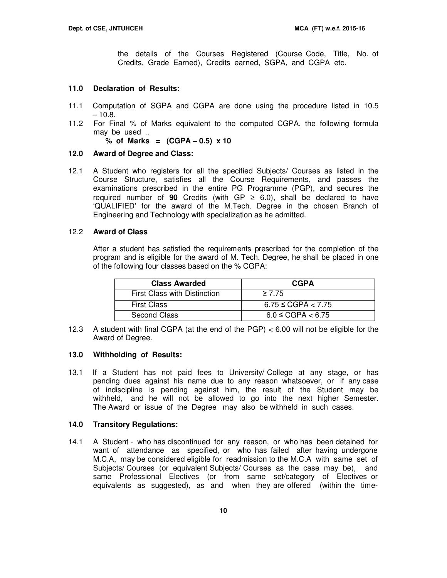the details of the Courses Registered (Course Code, Title, No. of Credits, Grade Earned), Credits earned, SGPA, and CGPA etc.

#### **11.0 Declaration of Results:**

- 11.1 Computation of SGPA and CGPA are done using the procedure listed in 10.5  $-10.8.$
- 11.2 For Final % of Marks equivalent to the computed CGPA, the following formula may be used ..

**% of Marks = (CGPA – 0.5) x 10** 

#### **12.0 Award of Degree and Class:**

12.1 A Student who registers for all the specified Subjects/ Courses as listed in the Course Structure, satisfies all the Course Requirements, and passes the examinations prescribed in the entire PG Programme (PGP), and secures the required number of **90** Credits (with  $GP \ge 6.0$ ), shall be declared to have 'QUALIFIED' for the award of the M.Tech. Degree in the chosen Branch of Engineering and Technology with specialization as he admitted.

#### 12.2 **Award of Class**

After a student has satisfied the requirements prescribed for the completion of the program and is eligible for the award of M. Tech. Degree, he shall be placed in one of the following four classes based on the % CGPA:

| <b>Class Awarded</b>         | <b>CGPA</b>             |
|------------------------------|-------------------------|
| First Class with Distinction | $\geq 7.75$             |
| <b>First Class</b>           | $6.75 \leq CGPA < 7.75$ |
| Second Class                 | $6.0 \leq CGPA < 6.75$  |

12.3 A student with final CGPA (at the end of the PGP) < 6.00 will not be eligible for the Award of Degree.

#### **13.0 Withholding of Results:**

13.1 If a Student has not paid fees to University/ College at any stage, or has pending dues against his name due to any reason whatsoever, or if any case of indiscipline is pending against him, the result of the Student may be withheld, and he will not be allowed to go into the next higher Semester. The Award or issue of the Degree may also be withheld in such cases.

#### **14.0 Transitory Regulations:**

14.1 A Student - who has discontinued for any reason, or who has been detained for want of attendance as specified, or who has failed after having undergone M.C.A, may be considered eligible for readmission to the M.C.A with same set of Subjects/ Courses (or equivalent Subjects/ Courses as the case may be), and same Professional Electives (or from same set/category of Electives or equivalents as suggested), as and when they are offered (within the time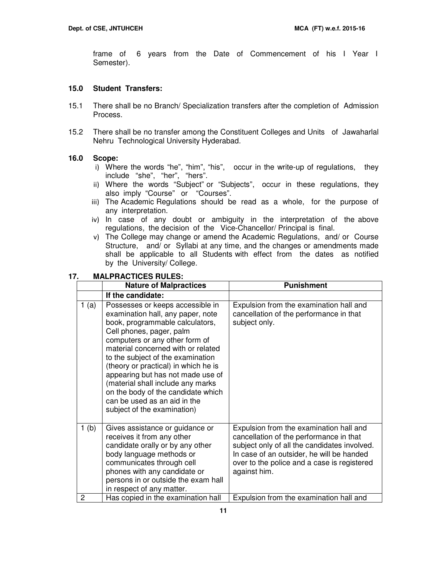frame of 6 years from the Date of Commencement of his I Year I Semester).

#### **15.0 Student Transfers:**

- 15.1 There shall be no Branch/ Specialization transfers after the completion of Admission Process.
- 15.2 There shall be no transfer among the Constituent Colleges and Units of Jawaharlal Nehru Technological University Hyderabad.

#### **16.0 Scope:**

- i) Where the words "he", "him", "his", occur in the write-up of regulations, they include "she", "her", "hers".
- ii) Where the words "Subject" or "Subjects", occur in these regulations, they also imply "Course" or "Courses".
- iii) The Academic Regulations should be read as a whole, for the purpose of any interpretation.
- iv) In case of any doubt or ambiguity in the interpretation of the above regulations, the decision of the Vice-Chancellor/ Principal is final.
- v) The College may change or amend the Academic Regulations, and/ or Course Structure, and/ or Syllabi at any time, and the changes or amendments made shall be applicable to all Students with effect from the dates as notified by the University/ College.

#### **17. MALPRACTICES RULES:**

|      | <b>Nature of Malpractices</b>                                                                                                                                                                                                                                                                                                                                                                                                                                            | <b>Punishment</b>                                                                                                                                                                                                                              |
|------|--------------------------------------------------------------------------------------------------------------------------------------------------------------------------------------------------------------------------------------------------------------------------------------------------------------------------------------------------------------------------------------------------------------------------------------------------------------------------|------------------------------------------------------------------------------------------------------------------------------------------------------------------------------------------------------------------------------------------------|
|      | If the candidate:                                                                                                                                                                                                                                                                                                                                                                                                                                                        |                                                                                                                                                                                                                                                |
| 1(a) | Possesses or keeps accessible in<br>examination hall, any paper, note<br>book, programmable calculators,<br>Cell phones, pager, palm<br>computers or any other form of<br>material concerned with or related<br>to the subject of the examination<br>(theory or practical) in which he is<br>appearing but has not made use of<br>(material shall include any marks<br>on the body of the candidate which<br>can be used as an aid in the<br>subject of the examination) | Expulsion from the examination hall and<br>cancellation of the performance in that<br>subject only.                                                                                                                                            |
| 1(b) | Gives assistance or guidance or<br>receives it from any other<br>candidate orally or by any other<br>body language methods or<br>communicates through cell<br>phones with any candidate or<br>persons in or outside the exam hall<br>in respect of any matter.                                                                                                                                                                                                           | Expulsion from the examination hall and<br>cancellation of the performance in that<br>subject only of all the candidates involved.<br>In case of an outsider, he will be handed<br>over to the police and a case is registered<br>against him. |
| 2    | Has copied in the examination hall                                                                                                                                                                                                                                                                                                                                                                                                                                       | Expulsion from the examination hall and                                                                                                                                                                                                        |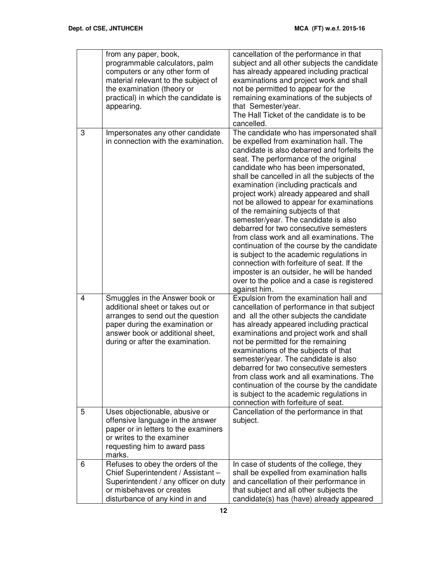|   | from any paper, book,<br>programmable calculators, palm<br>computers or any other form of<br>material relevant to the subject of<br>the examination (theory or<br>practical) in which the candidate is<br>appearing. | cancellation of the performance in that<br>subject and all other subjects the candidate<br>has already appeared including practical<br>examinations and project work and shall<br>not be permitted to appear for the<br>remaining examinations of the subjects of<br>that Semester/year.<br>The Hall Ticket of the candidate is to be<br>cancelled.                                                                                                                                                                                                                                                                                                                                                                                                                                                                              |
|---|----------------------------------------------------------------------------------------------------------------------------------------------------------------------------------------------------------------------|----------------------------------------------------------------------------------------------------------------------------------------------------------------------------------------------------------------------------------------------------------------------------------------------------------------------------------------------------------------------------------------------------------------------------------------------------------------------------------------------------------------------------------------------------------------------------------------------------------------------------------------------------------------------------------------------------------------------------------------------------------------------------------------------------------------------------------|
| 3 | Impersonates any other candidate<br>in connection with the examination.                                                                                                                                              | The candidate who has impersonated shall<br>be expelled from examination hall. The<br>candidate is also debarred and forfeits the<br>seat. The performance of the original<br>candidate who has been impersonated,<br>shall be cancelled in all the subjects of the<br>examination (including practicals and<br>project work) already appeared and shall<br>not be allowed to appear for examinations<br>of the remaining subjects of that<br>semester/year. The candidate is also<br>debarred for two consecutive semesters<br>from class work and all examinations. The<br>continuation of the course by the candidate<br>is subject to the academic regulations in<br>connection with forfeiture of seat. If the<br>imposter is an outsider, he will be handed<br>over to the police and a case is registered<br>against him. |
| 4 | Smuggles in the Answer book or<br>additional sheet or takes out or<br>arranges to send out the question<br>paper during the examination or<br>answer book or additional sheet,<br>during or after the examination.   | Expulsion from the examination hall and<br>cancellation of performance in that subject<br>and all the other subjects the candidate<br>has already appeared including practical<br>examinations and project work and shall<br>not be permitted for the remaining<br>examinations of the subjects of that<br>semester/year. The candidate is also<br>debarred for two consecutive semesters<br>from class work and all examinations. The<br>continuation of the course by the candidate<br>is subject to the academic regulations in<br>connection with forfeiture of seat.                                                                                                                                                                                                                                                        |
| 5 | Uses objectionable, abusive or<br>offensive language in the answer<br>paper or in letters to the examiners<br>or writes to the examiner<br>requesting him to award pass<br>marks.                                    | Cancellation of the performance in that<br>subject.                                                                                                                                                                                                                                                                                                                                                                                                                                                                                                                                                                                                                                                                                                                                                                              |
| 6 | Refuses to obey the orders of the<br>Chief Superintendent / Assistant -<br>Superintendent / any officer on duty<br>or misbehaves or creates<br>disturbance of any kind in and                                        | In case of students of the college, they<br>shall be expelled from examination halls<br>and cancellation of their performance in<br>that subject and all other subjects the<br>candidate(s) has (have) already appeared                                                                                                                                                                                                                                                                                                                                                                                                                                                                                                                                                                                                          |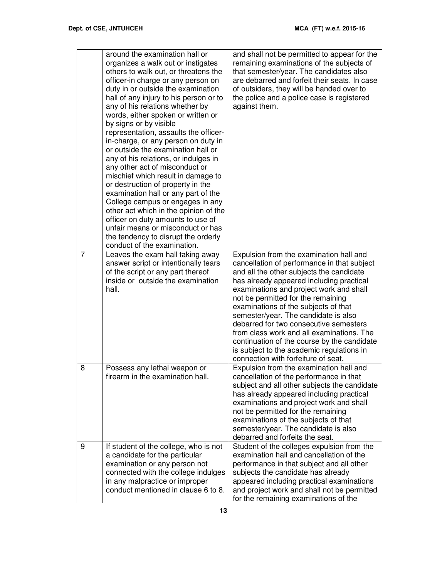|                | around the examination hall or<br>organizes a walk out or instigates<br>others to walk out, or threatens the<br>officer-in charge or any person on<br>duty in or outside the examination<br>hall of any injury to his person or to<br>any of his relations whether by<br>words, either spoken or written or<br>by signs or by visible<br>representation, assaults the officer-<br>in-charge, or any person on duty in<br>or outside the examination hall or<br>any of his relations, or indulges in<br>any other act of misconduct or<br>mischief which result in damage to<br>or destruction of property in the<br>examination hall or any part of the<br>College campus or engages in any<br>other act which in the opinion of the<br>officer on duty amounts to use of<br>unfair means or misconduct or has<br>the tendency to disrupt the orderly<br>conduct of the examination. | and shall not be permitted to appear for the<br>remaining examinations of the subjects of<br>that semester/year. The candidates also<br>are debarred and forfeit their seats. In case<br>of outsiders, they will be handed over to<br>the police and a police case is registered<br>against them.                                                                                                                                                                                                                                                                         |
|----------------|--------------------------------------------------------------------------------------------------------------------------------------------------------------------------------------------------------------------------------------------------------------------------------------------------------------------------------------------------------------------------------------------------------------------------------------------------------------------------------------------------------------------------------------------------------------------------------------------------------------------------------------------------------------------------------------------------------------------------------------------------------------------------------------------------------------------------------------------------------------------------------------|---------------------------------------------------------------------------------------------------------------------------------------------------------------------------------------------------------------------------------------------------------------------------------------------------------------------------------------------------------------------------------------------------------------------------------------------------------------------------------------------------------------------------------------------------------------------------|
| $\overline{7}$ | Leaves the exam hall taking away<br>answer script or intentionally tears<br>of the script or any part thereof<br>inside or outside the examination<br>hall.                                                                                                                                                                                                                                                                                                                                                                                                                                                                                                                                                                                                                                                                                                                          | Expulsion from the examination hall and<br>cancellation of performance in that subject<br>and all the other subjects the candidate<br>has already appeared including practical<br>examinations and project work and shall<br>not be permitted for the remaining<br>examinations of the subjects of that<br>semester/year. The candidate is also<br>debarred for two consecutive semesters<br>from class work and all examinations. The<br>continuation of the course by the candidate<br>is subject to the academic regulations in<br>connection with forfeiture of seat. |
| 8              | Possess any lethal weapon or<br>firearm in the examination hall.                                                                                                                                                                                                                                                                                                                                                                                                                                                                                                                                                                                                                                                                                                                                                                                                                     | Expulsion from the examination hall and<br>cancellation of the performance in that<br>subject and all other subjects the candidate<br>has already appeared including practical<br>examinations and project work and shall<br>not be permitted for the remaining<br>examinations of the subjects of that<br>semester/year. The candidate is also<br>debarred and forfeits the seat.                                                                                                                                                                                        |
| 9              | If student of the college, who is not<br>a candidate for the particular<br>examination or any person not<br>connected with the college indulges<br>in any malpractice or improper<br>conduct mentioned in clause 6 to 8.                                                                                                                                                                                                                                                                                                                                                                                                                                                                                                                                                                                                                                                             | Student of the colleges expulsion from the<br>examination hall and cancellation of the<br>performance in that subject and all other<br>subjects the candidate has already<br>appeared including practical examinations<br>and project work and shall not be permitted<br>for the remaining examinations of the                                                                                                                                                                                                                                                            |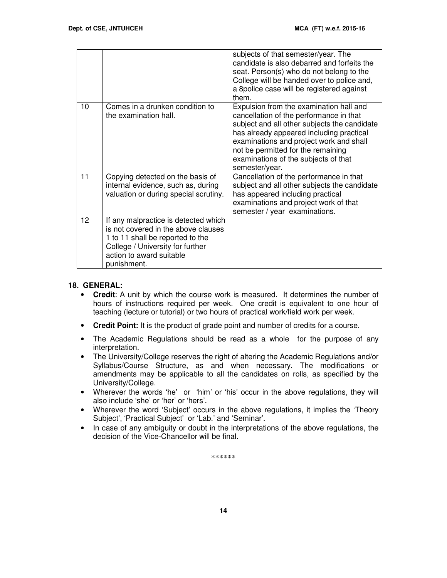|    |                                                                                                                                                                                                | subjects of that semester/year. The<br>candidate is also debarred and forfeits the<br>seat. Person(s) who do not belong to the<br>College will be handed over to police and,<br>a 8police case will be registered against<br>them.                                                                                        |
|----|------------------------------------------------------------------------------------------------------------------------------------------------------------------------------------------------|---------------------------------------------------------------------------------------------------------------------------------------------------------------------------------------------------------------------------------------------------------------------------------------------------------------------------|
| 10 | Comes in a drunken condition to<br>the examination hall.                                                                                                                                       | Expulsion from the examination hall and<br>cancellation of the performance in that<br>subject and all other subjects the candidate<br>has already appeared including practical<br>examinations and project work and shall<br>not be permitted for the remaining<br>examinations of the subjects of that<br>semester/year. |
| 11 | Copying detected on the basis of<br>internal evidence, such as, during<br>valuation or during special scrutiny.                                                                                | Cancellation of the performance in that<br>subject and all other subjects the candidate<br>has appeared including practical<br>examinations and project work of that<br>semester / year examinations.                                                                                                                     |
| 12 | If any malpractice is detected which<br>is not covered in the above clauses<br>1 to 11 shall be reported to the<br>College / University for further<br>action to award suitable<br>punishment. |                                                                                                                                                                                                                                                                                                                           |

#### **18. GENERAL:**

- **Credit**: A unit by which the course work is measured. It determines the number of hours of instructions required per week. One credit is equivalent to one hour of teaching (lecture or tutorial) or two hours of practical work/field work per week.
- **Credit Point:** It is the product of grade point and number of credits for a course.
- The Academic Regulations should be read as a whole for the purpose of any interpretation.
- The University/College reserves the right of altering the Academic Regulations and/or Syllabus/Course Structure, as and when necessary. The modifications or amendments may be applicable to all the candidates on rolls, as specified by the University/College.
- Wherever the words 'he' or 'him' or 'his' occur in the above regulations, they will also include 'she' or 'her' or 'hers'.
- Wherever the word 'Subject' occurs in the above regulations, it implies the 'Theory Subject', 'Practical Subject' or 'Lab.' and 'Seminar'.
- In case of any ambiguity or doubt in the interpretations of the above regulations, the decision of the Vice-Chancellor will be final.

\*\*\*\*\*\*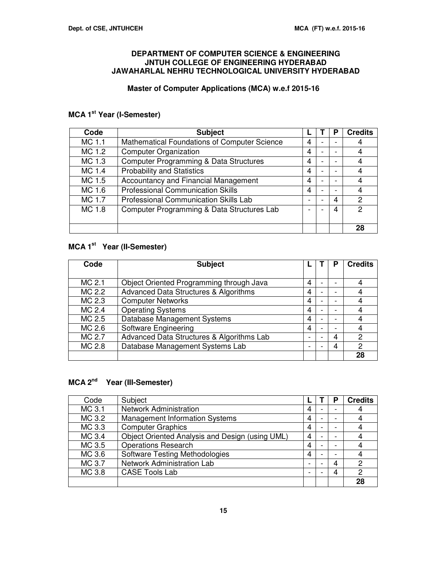#### **DEPARTMENT OF COMPUTER SCIENCE & ENGINEERING JNTUH COLLEGE OF ENGINEERING HYDERABAD JAWAHARLAL NEHRU TECHNOLOGICAL UNIVERSITY HYDERABAD**

# **Master of Computer Applications (MCA) w.e.f 2015-16**

# **MCA 1st Year (I-Semester)**

| Code   | <b>Subject</b>                                    |                          |                          | Р | <b>Credits</b> |
|--------|---------------------------------------------------|--------------------------|--------------------------|---|----------------|
| MC 1.1 | Mathematical Foundations of Computer Science      | 4                        |                          |   | 4              |
| MC 1.2 | <b>Computer Organization</b>                      | 4                        |                          |   | 4              |
| MC 1.3 | <b>Computer Programming &amp; Data Structures</b> | 4                        |                          |   | 4              |
| MC 1.4 | <b>Probability and Statistics</b>                 | 4                        |                          |   | 4              |
| MC 1.5 | Accountancy and Financial Management              | 4                        |                          |   | 4              |
| MC 1.6 | <b>Professional Communication Skills</b>          | 4                        |                          |   | 4              |
| MC 1.7 | <b>Professional Communication Skills Lab</b>      | $\overline{\phantom{0}}$ | $\overline{\phantom{0}}$ | 4 | $\mathcal{P}$  |
| MC 1.8 | Computer Programming & Data Structures Lab        | -                        |                          | 4 | 2              |
|        |                                                   |                          |                          |   |                |
|        |                                                   |                          |                          |   | 28             |

# **MCA 1st Year (II-Semester)**

| Code   | <b>Subject</b>                            |                | Р | <b>Credits</b> |
|--------|-------------------------------------------|----------------|---|----------------|
|        |                                           |                |   |                |
| MC 2.1 | Object Oriented Programming through Java  | 4              |   | 4              |
| MC 2.2 | Advanced Data Structures & Algorithms     | 4              |   | 4              |
| MC 2.3 | <b>Computer Networks</b>                  | $\overline{4}$ |   | 4              |
| MC 2.4 | <b>Operating Systems</b>                  | 4              |   | 4              |
| MC 2.5 | Database Management Systems               | 4              | ۰ | 4              |
| MC 2.6 | Software Engineering                      | 4              |   | 4              |
| MC 2.7 | Advanced Data Structures & Algorithms Lab |                | 4 | 2              |
| MC 2.8 | Database Management Systems Lab           | -              | 4 | 2              |
|        |                                           |                |   | 28             |

# **MCA 2nd Year (III-Semester)**

| Code   | Subject                                         |   | Р | <b>Credits</b> |
|--------|-------------------------------------------------|---|---|----------------|
| MC 3.1 | <b>Network Administration</b>                   | 4 |   | 4              |
| MC 3.2 | <b>Management Information Systems</b>           | 4 |   | 4              |
| MC 3.3 | <b>Computer Graphics</b>                        | 4 |   | 4              |
| MC 3.4 | Object Oriented Analysis and Design (using UML) | 4 |   | 4              |
| MC 3.5 | <b>Operations Research</b>                      | 4 |   | 4              |
| MC 3.6 | Software Testing Methodologies                  | 4 |   | 4              |
| MC 3.7 | Network Administration Lab                      | - |   | $\overline{c}$ |
| MC 3.8 | <b>CASE Tools Lab</b>                           | - | 4 | $\overline{c}$ |
|        |                                                 |   |   | 28             |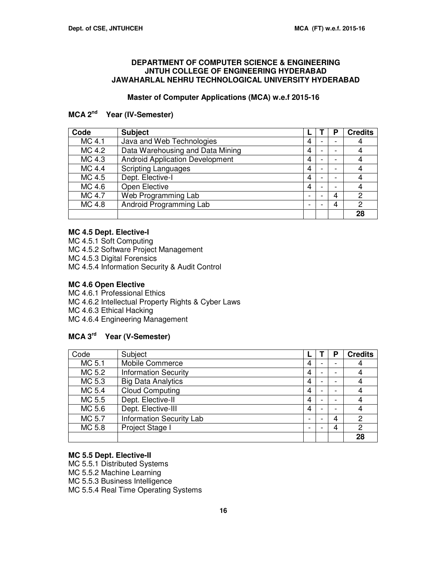#### **DEPARTMENT OF COMPUTER SCIENCE & ENGINEERING JNTUH COLLEGE OF ENGINEERING HYDERABAD JAWAHARLAL NEHRU TECHNOLOGICAL UNIVERSITY HYDERABAD**

#### **Master of Computer Applications (MCA) w.e.f 2015-16**

# **MCA 2nd Year (IV-Semester)**

| Code   | <b>Subject</b>                         |   |   | Р                        | <b>Credits</b> |
|--------|----------------------------------------|---|---|--------------------------|----------------|
| MC 4.1 | Java and Web Technologies              | 4 |   |                          | 4              |
| MC 4.2 | Data Warehousing and Data Mining       | 4 |   | $\overline{\phantom{0}}$ | 4              |
| MC 4.3 | <b>Android Application Development</b> | 4 |   |                          | 4              |
| MC 4.4 | <b>Scripting Languages</b>             | 4 |   |                          | 4              |
| MC 4.5 | Dept. Elective-I                       | 4 | - | $\overline{\phantom{a}}$ | 4              |
| MC 4.6 | Open Elective                          | 4 |   |                          | 4              |
| MC 4.7 | Web Programming Lab                    | - |   | 4                        | $\mathcal{P}$  |
| MC 4.8 | Android Programming Lab                | - |   | 4                        | 2              |
|        |                                        |   |   |                          | 28             |

#### **MC 4.5 Dept. Elective-I**

MC 4.5.1 Soft Computing

MC 4.5.2 Software Project Management

MC 4.5.3 Digital Forensics

MC 4.5.4 Information Security & Audit Control

#### **MC 4.6 Open Elective**

MC 4.6.1 Professional Ethics MC 4.6.2 Intellectual Property Rights & Cyber Laws MC 4.6.3 Ethical Hacking MC 4.6.4 Engineering Management

# **MCA 3rd Year (V-Semester)**

| Code   | Subject                         |                |   | Р | <b>Credits</b> |
|--------|---------------------------------|----------------|---|---|----------------|
| MC 5.1 | <b>Mobile Commerce</b>          | 4              |   |   | 4              |
| MC 5.2 | <b>Information Security</b>     | $\overline{4}$ | - | - | 4              |
| MC 5.3 | <b>Big Data Analytics</b>       | 4              |   | ۰ | 4              |
| MC 5.4 | <b>Cloud Computing</b>          | 4              |   |   | 4              |
| MC 5.5 | Dept. Elective-II               | $\overline{4}$ | - | ۰ | 4              |
| MC 5.6 | Dept. Elective-III              | 4              |   | ۰ | 4              |
| MC 5.7 | <b>Information Security Lab</b> | -              |   | 4 | $\overline{c}$ |
| MC 5.8 | Project Stage I                 | -              |   | 4 | $\overline{2}$ |
|        |                                 |                |   |   | 28             |

#### **MC 5.5 Dept. Elective-II**

MC 5.5.1 Distributed Systems MC 5.5.2 Machine Learning MC 5.5.3 Business Intelligence

MC 5.5.4 Real Time Operating Systems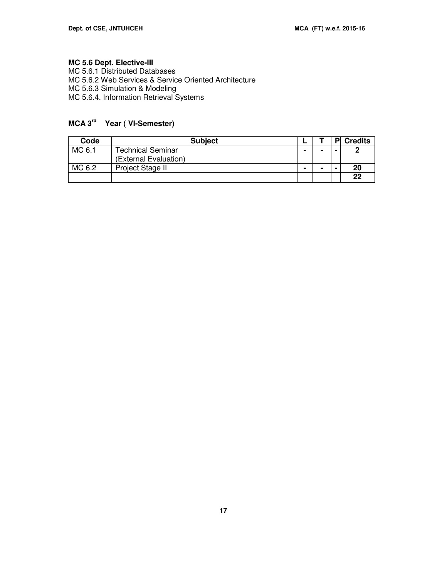#### **MC 5.6 Dept. Elective-III**

MC 5.6.1 Distributed Databases MC 5.6.2 Web Services & Service Oriented Architecture MC 5.6.3 Simulation & Modeling MC 5.6.4. Information Retrieval Systems

# **MCA 3rd Year ( VI-Semester)**

| Code   | <b>Subject</b>        |   |   | P | <b>Credits</b> |
|--------|-----------------------|---|---|---|----------------|
| MC 6.1 | Technical Seminar     | - | - |   |                |
|        | (External Evaluation) |   |   |   |                |
| MC 6.2 | Project Stage II      | - | - |   | 20             |
|        |                       |   |   |   | 22             |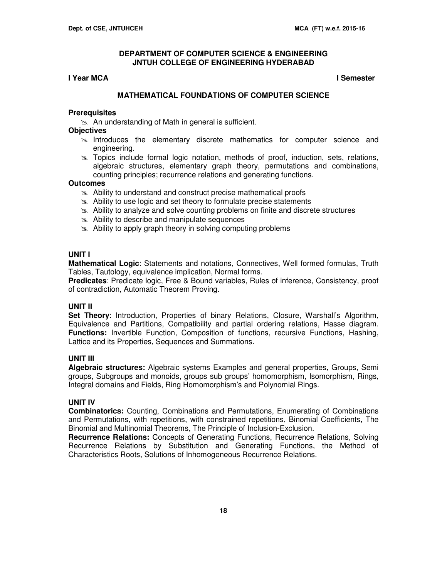#### **I Year MCA I Semester**

#### **MATHEMATICAL FOUNDATIONS OF COMPUTER SCIENCE**

#### **Prerequisites**

**An understanding of Math in general is sufficient.** 

#### **Objectives**

- $\geq$  Introduces the elementary discrete mathematics for computer science and engineering.
- $\geq$  Topics include formal logic notation, methods of proof, induction, sets, relations, algebraic structures, elementary graph theory, permutations and combinations, counting principles; recurrence relations and generating functions.

#### **Outcomes**

- $\approx$  Ability to understand and construct precise mathematical proofs
- $\approx$  Ability to use logic and set theory to formulate precise statements
- $\geq$  Ability to analyze and solve counting problems on finite and discrete structures
- $\approx$  Ability to describe and manipulate sequences
- $\infty$  Ability to apply graph theory in solving computing problems

#### **UNIT I**

**Mathematical Logic**: Statements and notations, Connectives, Well formed formulas, Truth Tables, Tautology, equivalence implication, Normal forms.

**Predicates**: Predicate logic, Free & Bound variables, Rules of inference, Consistency, proof of contradiction, Automatic Theorem Proving.

#### **UNIT II**

**Set Theory**: Introduction, Properties of binary Relations, Closure, Warshall's Algorithm, Equivalence and Partitions, Compatibility and partial ordering relations, Hasse diagram. **Functions:** Invertible Function, Composition of functions, recursive Functions, Hashing, Lattice and its Properties, Sequences and Summations.

#### **UNIT III**

**Algebraic structures:** Algebraic systems Examples and general properties, Groups, Semi groups, Subgroups and monoids, groups sub groups' homomorphism, Isomorphism, Rings, Integral domains and Fields, Ring Homomorphism's and Polynomial Rings.

#### **UNIT IV**

**Combinatorics:** Counting, Combinations and Permutations, Enumerating of Combinations and Permutations, with repetitions, with constrained repetitions, Binomial Coefficients, The Binomial and Multinomial Theorems, The Principle of Inclusion-Exclusion.

**Recurrence Relations:** Concepts of Generating Functions, Recurrence Relations, Solving Recurrence Relations by Substitution and Generating Functions, the Method of Characteristics Roots, Solutions of Inhomogeneous Recurrence Relations.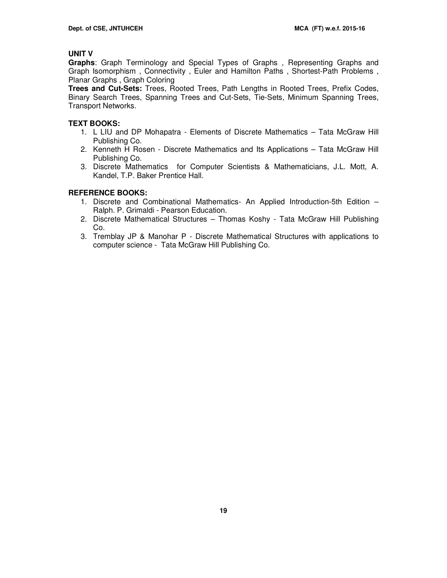### **UNIT V**

**Graphs**: Graph Terminology and Special Types of Graphs , Representing Graphs and Graph Isomorphism , Connectivity , Euler and Hamilton Paths , Shortest-Path Problems , Planar Graphs , Graph Coloring

**Trees and Cut-Sets:** Trees, Rooted Trees, Path Lengths in Rooted Trees, Prefix Codes, Binary Search Trees, Spanning Trees and Cut-Sets, Tie-Sets, Minimum Spanning Trees, Transport Networks.

#### **TEXT BOOKS:**

- 1. L LIU and DP Mohapatra Elements of Discrete Mathematics Tata McGraw Hill Publishing Co.
- 2. Kenneth H Rosen Discrete Mathematics and Its Applications Tata McGraw Hill Publishing Co.
- 3. Discrete Mathematics for Computer Scientists & Mathematicians, J.L. Mott, A. Kandel, T.P. Baker Prentice Hall.

#### **REFERENCE BOOKS:**

- 1. Discrete and Combinational Mathematics- An Applied Introduction-5th Edition Ralph. P. Grimaldi - Pearson Education.
- 2. Discrete Mathematical Structures Thomas Koshy Tata McGraw Hill Publishing Co.
- 3. Tremblay JP & Manohar P Discrete Mathematical Structures with applications to computer science - Tata McGraw Hill Publishing Co.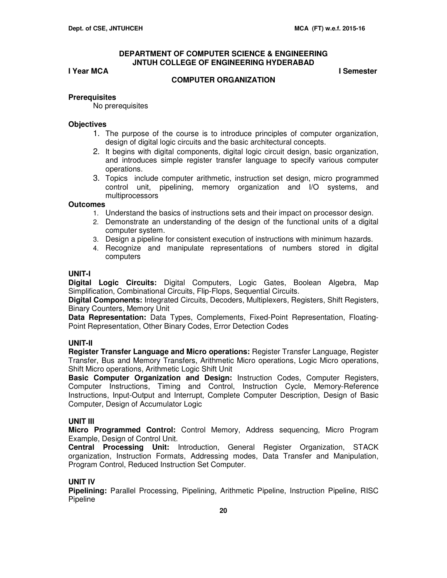#### **I Year MCA** I Semester

**COMPUTER ORGANIZATION** 

#### **Prerequisites**

No prerequisites

#### **Objectives**

- 1. The purpose of the course is to introduce principles of computer organization, design of digital logic circuits and the basic architectural concepts.
- 2. It begins with digital components, digital logic circuit design, basic organization, and introduces simple register transfer language to specify various computer operations.
- 3. Topics include computer arithmetic, instruction set design, micro programmed control unit, pipelining, memory organization and I/O systems, and multiprocessors

#### **Outcomes**

- 1. Understand the basics of instructions sets and their impact on processor design.
- 2. Demonstrate an understanding of the design of the functional units of a digital computer system.
- 3. Design a pipeline for consistent execution of instructions with minimum hazards.
- 4. Recognize and manipulate representations of numbers stored in digital computers

#### **UNIT-I**

**Digital Logic Circuits:** Digital Computers, Logic Gates, Boolean Algebra, Map Simplification, Combinational Circuits, Flip-Flops, Sequential Circuits.

**Digital Components:** Integrated Circuits, Decoders, Multiplexers, Registers, Shift Registers, Binary Counters, Memory Unit

**Data Representation:** Data Types, Complements, Fixed-Point Representation, Floating-Point Representation, Other Binary Codes, Error Detection Codes

#### **UNIT-II**

**Register Transfer Language and Micro operations:** Register Transfer Language, Register Transfer, Bus and Memory Transfers, Arithmetic Micro operations, Logic Micro operations, Shift Micro operations, Arithmetic Logic Shift Unit

**Basic Computer Organization and Design:** Instruction Codes, Computer Registers, Computer Instructions, Timing and Control, Instruction Cycle, Memory-Reference Instructions, Input-Output and Interrupt, Complete Computer Description, Design of Basic Computer, Design of Accumulator Logic

#### **UNIT III**

**Micro Programmed Control:** Control Memory, Address sequencing, Micro Program Example, Design of Control Unit.

**Central Processing Unit:** Introduction, General Register Organization, STACK organization, Instruction Formats, Addressing modes, Data Transfer and Manipulation, Program Control, Reduced Instruction Set Computer.

#### **UNIT IV**

**Pipelining:** Parallel Processing, Pipelining, Arithmetic Pipeline, Instruction Pipeline, RISC **Pipeline**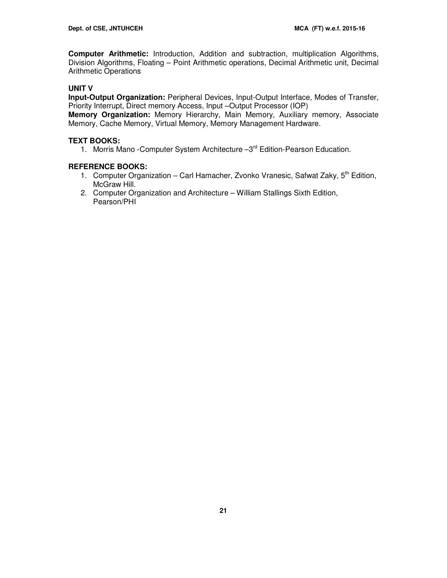**Computer Arithmetic:** Introduction, Addition and subtraction, multiplication Algorithms, Division Algorithms, Floating – Point Arithmetic operations, Decimal Arithmetic unit, Decimal Arithmetic Operations

# **UNIT V**

**Input-Output Organization:** Peripheral Devices, Input-Output Interface, Modes of Transfer, Priority Interrupt, Direct memory Access, Input –Output Processor (IOP)

**Memory Organization:** Memory Hierarchy, Main Memory, Auxiliary memory, Associate Memory, Cache Memory, Virtual Memory, Memory Management Hardware.

#### **TEXT BOOKS:**

1. Morris Mano - Computer System Architecture - 3<sup>rd</sup> Edition-Pearson Education.

#### **REFERENCE BOOKS:**

- 1. Computer Organization Carl Hamacher, Zvonko Vranesic, Safwat Zaky,  $5<sup>th</sup>$  Edition, McGraw Hill.
- 2. Computer Organization and Architecture William Stallings Sixth Edition, Pearson/PHI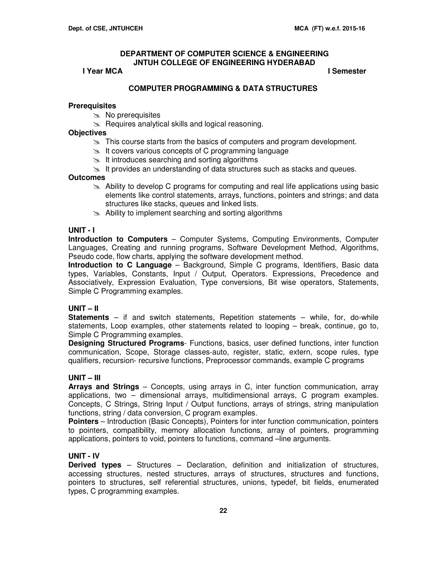#### **I Year MCA I Semester**

#### **COMPUTER PROGRAMMING & DATA STRUCTURES**

#### **Prerequisites**

- $\gg$  No prerequisites
- $\approx$  Requires analytical skills and logical reasoning.

#### **Objectives**

- $\geq$  This course starts from the basics of computers and program development.
- $\approx$  It covers various concepts of C programming language
- $\geq$  It introduces searching and sorting algorithms
- $\geq$  It provides an understanding of data structures such as stacks and queues.

#### **Outcomes**

- Ability to develop C programs for computing and real life applications using basic elements like control statements, arrays, functions, pointers and strings; and data structures like stacks, queues and linked lists.
- Ability to implement searching and sorting algorithms

#### **UNIT - I**

**Introduction to Computers** – Computer Systems, Computing Environments, Computer Languages, Creating and running programs, Software Development Method, Algorithms, Pseudo code, flow charts, applying the software development method.

**Introduction to C Language** – Background, Simple C programs, Identifiers, Basic data types, Variables, Constants, Input / Output, Operators. Expressions, Precedence and Associatively, Expression Evaluation, Type conversions, Bit wise operators, Statements, Simple C Programming examples.

#### **UNIT – II**

**Statements** – if and switch statements, Repetition statements – while, for, do-while statements, Loop examples, other statements related to looping – break, continue, go to, Simple C Programming examples.

**Designing Structured Programs**- Functions, basics, user defined functions, inter function communication, Scope, Storage classes-auto, register, static, extern, scope rules, type qualifiers, recursion- recursive functions, Preprocessor commands, example C programs

#### **UNIT – III**

**Arrays and Strings** – Concepts, using arrays in C, inter function communication, array applications, two – dimensional arrays, multidimensional arrays, C program examples. Concepts, C Strings, String Input / Output functions, arrays of strings, string manipulation functions, string / data conversion, C program examples.

**Pointers** – Introduction (Basic Concepts), Pointers for inter function communication, pointers to pointers, compatibility, memory allocation functions, array of pointers, programming applications, pointers to void, pointers to functions, command –line arguments.

#### **UNIT - IV**

**Derived types** – Structures – Declaration, definition and initialization of structures, accessing structures, nested structures, arrays of structures, structures and functions, pointers to structures, self referential structures, unions, typedef, bit fields, enumerated types, C programming examples.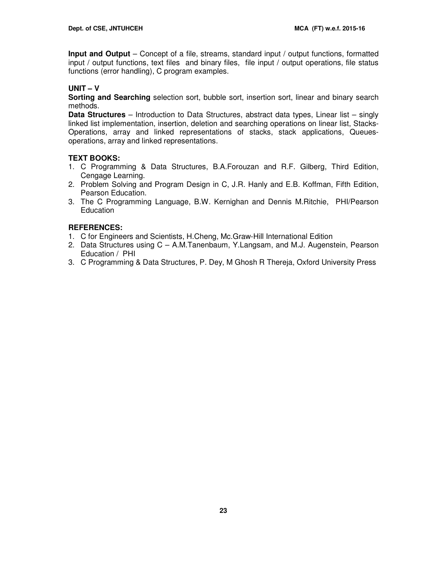**Input and Output** – Concept of a file, streams, standard input / output functions, formatted input / output functions, text files and binary files, file input / output operations, file status functions (error handling), C program examples.

# **UNIT – V**

**Sorting and Searching** selection sort, bubble sort, insertion sort, linear and binary search methods.

**Data Structures** – Introduction to Data Structures, abstract data types, Linear list – singly linked list implementation, insertion, deletion and searching operations on linear list, Stacks-Operations, array and linked representations of stacks, stack applications, Queuesoperations, array and linked representations.

# **TEXT BOOKS:**

- 1. C Programming & Data Structures, B.A.Forouzan and R.F. Gilberg, Third Edition, Cengage Learning.
- 2. Problem Solving and Program Design in C, J.R. Hanly and E.B. Koffman, Fifth Edition, Pearson Education.
- 3. The C Programming Language, B.W. Kernighan and Dennis M.Ritchie, PHI/Pearson **Education**

# **REFERENCES:**

- 1. C for Engineers and Scientists, H.Cheng, Mc.Graw-Hill International Edition
- 2. Data Structures using C A.M.Tanenbaum, Y.Langsam, and M.J. Augenstein, Pearson Education / PHI
- 3. C Programming & Data Structures, P. Dey, M Ghosh R Thereja, Oxford University Press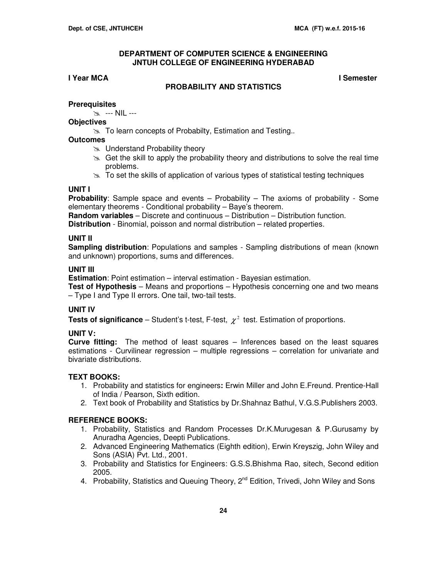# **I Year MCA I Semester**

#### **PROBABILITY AND STATISTICS**

#### **Prerequisites**

--- NIL ---

#### **Objectives**

 $\approx$  To learn concepts of Probabilty, Estimation and Testing..

### **Outcomes**

- **EX** Understand Probability theory
- $\infty$  Get the skill to apply the probability theory and distributions to solve the real time problems.
- $\geq$  To set the skills of application of various types of statistical testing techniques

### **UNIT I**

**Probability**: Sample space and events – Probability – The axioms of probability - Some elementary theorems - Conditional probability – Baye's theorem.

**Random variables** – Discrete and continuous – Distribution – Distribution function. **Distribution** - Binomial, poisson and normal distribution – related properties.

#### **UNIT II**

**Sampling distribution**: Populations and samples - Sampling distributions of mean (known and unknown) proportions, sums and differences.

# **UNIT III**

**Estimation**: Point estimation – interval estimation - Bayesian estimation.

**Test of Hypothesis** – Means and proportions – Hypothesis concerning one and two means – Type I and Type II errors. One tail, two-tail tests.

# **UNIT IV**

**Tests of significance** – Student's t-test, F-test,  $\chi^2$  test. Estimation of proportions.

# **UNIT V:**

**Curve fitting:** The method of least squares – Inferences based on the least squares estimations - Curvilinear regression – multiple regressions – correlation for univariate and bivariate distributions.

# **TEXT BOOKS:**

- 1. Probability and statistics for engineers**:** Erwin Miller and John E.Freund. Prentice-Hall of India / Pearson, Sixth edition.
- 2. Text book of Probability and Statistics by Dr.Shahnaz Bathul, V.G.S.Publishers 2003.

# **REFERENCE BOOKS:**

- 1. Probability, Statistics and Random Processes Dr.K.Murugesan & P.Gurusamy by Anuradha Agencies, Deepti Publications.
- 2. Advanced Engineering Mathematics (Eighth edition), Erwin Kreyszig, John Wiley and Sons (ASIA) Pvt. Ltd., 2001.
- 3. Probability and Statistics for Engineers: G.S.S.Bhishma Rao, sitech, Second edition 2005.
- 4. Probability, Statistics and Queuing Theory, 2<sup>nd</sup> Edition, Trivedi, John Wiley and Sons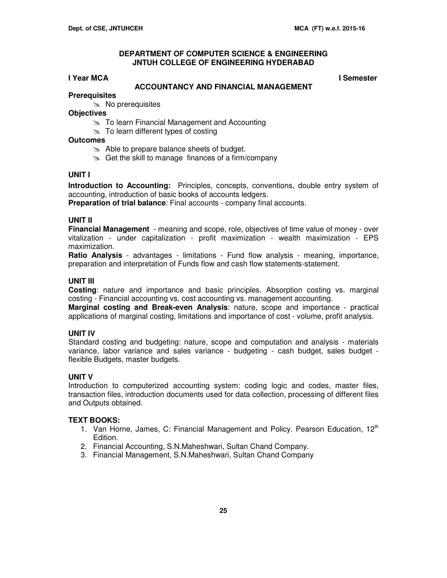#### **I Year MCA I Semester**

#### **ACCOUNTANCY AND FINANCIAL MANAGEMENT**

# **Prerequisites**

 $\infty$  No prerequisites

- **Objectives**
	- **EX** To learn Financial Management and Accounting
	- $\approx$  To learn different types of costing

# **Outcomes**

- $\approx$  Able to prepare balance sheets of budget.
- $\approx$  Get the skill to manage finances of a firm/company

#### **UNIT I**

**Introduction to Accounting:** Principles, concepts, conventions, double entry system of accounting, introduction of basic books of accounts ledgers.

**Preparation of trial balance**: Final accounts - company final accounts.

#### **UNIT II**

**Financial Management** - meaning and scope, role, objectives of time value of money - over vitalization - under capitalization - profit maximization - wealth maximization - EPS maximization.

**Ratio Analysis** - advantages - limitations - Fund flow analysis - meaning, importance, preparation and interpretation of Funds flow and cash flow statements-statement.

### **UNIT III**

**Costing**: nature and importance and basic principles. Absorption costing vs. marginal costing - Financial accounting vs. cost accounting vs. management accounting.

**Marginal costing and Break-even Analysis**: nature, scope and importance - practical applications of marginal costing, limitations and importance of cost - volume, profit analysis.

#### **UNIT IV**

Standard costing and budgeting: nature, scope and computation and analysis - materials variance, labor variance and sales variance - budgeting - cash budget, sales budget flexible Budgets, master budgets.

#### **UNIT V**

Introduction to computerized accounting system: coding logic and codes, master files, transaction files, introduction documents used for data collection, processing of different files and Outputs obtained.

#### **TEXT BOOKS:**

- 1. Van Horne, James, C: Financial Management and Policy. Pearson Education, 12<sup>th</sup> Edition.
- 2. Financial Accounting, S.N.Maheshwari, Sultan Chand Company.
- 3. Financial Management, S.N.Maheshwari, Sultan Chand Company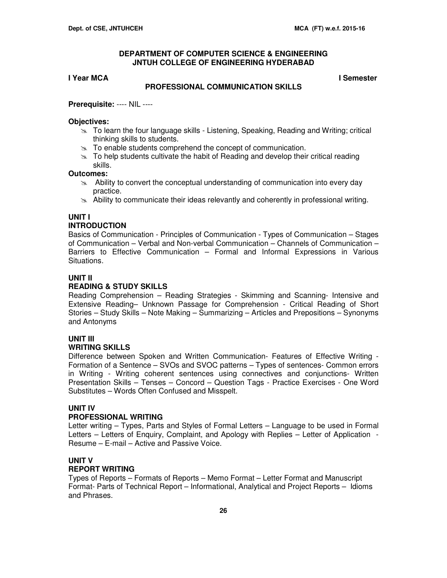#### **I Year MCA I Semester**

#### **PROFESSIONAL COMMUNICATION SKILLS**

#### **Prerequisite:** ---- NIL ----

#### **Objectives:**

- $\geq$  To learn the four language skills Listening, Speaking, Reading and Writing; critical thinking skills to students.
- $\geq$  To enable students comprehend the concept of communication.
- $\geq$  To help students cultivate the habit of Reading and develop their critical reading skills.

#### **Outcomes:**

- $\approx$  Ability to convert the conceptual understanding of communication into every day practice.
- $\geq$  Ability to communicate their ideas relevantly and coherently in professional writing.

# **UNIT I**

### **INTRODUCTION**

Basics of Communication - Principles of Communication - Types of Communication – Stages of Communication – Verbal and Non-verbal Communication – Channels of Communication – Barriers to Effective Communication – Formal and Informal Expressions in Various Situations.

#### **UNIT II**

#### **READING & STUDY SKILLS**

Reading Comprehension – Reading Strategies - Skimming and Scanning- Intensive and Extensive Reading– Unknown Passage for Comprehension - Critical Reading of Short Stories – Study Skills – Note Making – Summarizing – Articles and Prepositions – Synonyms and Antonyms

# **UNIT III**

#### **WRITING SKILLS**

Difference between Spoken and Written Communication- Features of Effective Writing - Formation of a Sentence – SVOs and SVOC patterns – Types of sentences- Common errors in Writing - Writing coherent sentences using connectives and conjunctions- Written Presentation Skills – Tenses – Concord – Question Tags - Practice Exercises - One Word Substitutes – Words Often Confused and Misspelt.

#### **UNIT IV**

#### **PROFESSIONAL WRITING**

Letter writing – Types, Parts and Styles of Formal Letters – Language to be used in Formal Letters – Letters of Enquiry, Complaint, and Apology with Replies – Letter of Application - Resume – E-mail – Active and Passive Voice.

#### **UNIT V**

#### **REPORT WRITING**

Types of Reports – Formats of Reports – Memo Format – Letter Format and Manuscript Format- Parts of Technical Report – Informational, Analytical and Project Reports – Idioms and Phrases.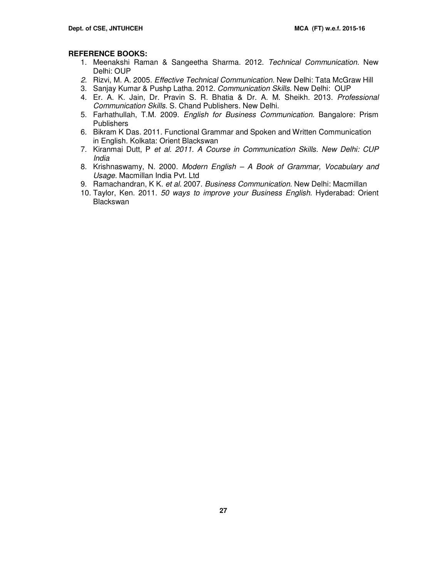#### **REFERENCE BOOKS:**

- 1. Meenakshi Raman & Sangeetha Sharma. 2012. Technical Communication. New Delhi: OUP
- 2. Rizvi, M. A. 2005. Effective Technical Communication. New Delhi: Tata McGraw Hill
- 3. Sanjay Kumar & Pushp Latha. 2012. Communication Skills. New Delhi: OUP
- 4. Er. A. K. Jain, Dr. Pravin S. R. Bhatia & Dr. A. M. Sheikh. 2013. Professional Communication Skills. S. Chand Publishers. New Delhi.
- 5. Farhathullah, T.M. 2009. English for Business Communication. Bangalore: Prism **Publishers**
- 6. Bikram K Das. 2011. Functional Grammar and Spoken and Written Communication in English. Kolkata: Orient Blackswan
- 7. Kiranmai Dutt, P et al. 2011. A Course in Communication Skills. New Delhi: CUP India
- 8. Krishnaswamy, N. 2000. Modern English A Book of Grammar, Vocabulary and Usage. Macmillan India Pvt. Ltd
- 9. Ramachandran, K K. et al. 2007. Business Communication. New Delhi: Macmillan
- 10. Taylor, Ken. 2011. 50 ways to improve your Business English. Hyderabad: Orient **Blackswan**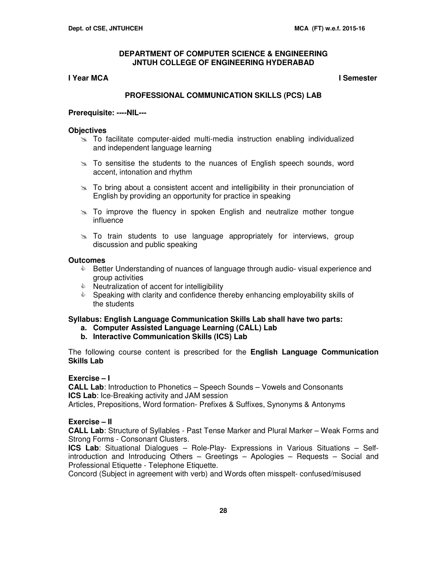#### **I Year MCA I Semester**

#### **PROFESSIONAL COMMUNICATION SKILLS (PCS) LAB**

#### **Prerequisite: ----NIL---**

#### **Objectives**

- To facilitate computer-aided multi-media instruction enabling individualized and independent language learning
- $\geq$  To sensitise the students to the nuances of English speech sounds, word accent, intonation and rhythm
- $\geq$  To bring about a consistent accent and intelligibility in their pronunciation of English by providing an opportunity for practice in speaking
- $\geq$  To improve the fluency in spoken English and neutralize mother tongue influence
- $\ge$  To train students to use language appropriately for interviews, group discussion and public speaking

#### **Outcomes**

- **E** Better Understanding of nuances of language through audio- visual experience and group activities
- $\bullet$  Neutralization of accent for intelligibility
- Speaking with clarity and confidence thereby enhancing employability skills of the students

#### **Syllabus: English Language Communication Skills Lab shall have two parts:**

- **a. Computer Assisted Language Learning (CALL) Lab**
- **b. Interactive Communication Skills (ICS) Lab**

The following course content is prescribed for the **English Language Communication Skills Lab**

### **Exercise – I**

**CALL Lab**: Introduction to Phonetics – Speech Sounds – Vowels and Consonants **ICS Lab:** Ice-Breaking activity and JAM session

Articles, Prepositions, Word formation- Prefixes & Suffixes, Synonyms & Antonyms

#### **Exercise – II**

**CALL Lab**: Structure of Syllables - Past Tense Marker and Plural Marker – Weak Forms and Strong Forms - Consonant Clusters.

**ICS Lab**: Situational Dialogues – Role-Play- Expressions in Various Situations – Selfintroduction and Introducing Others – Greetings – Apologies – Requests – Social and Professional Etiquette - Telephone Etiquette.

Concord (Subject in agreement with verb) and Words often misspelt- confused/misused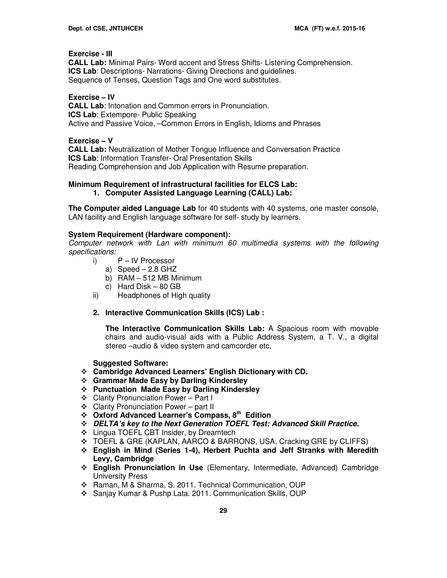#### **Exercise - III**

**CALL Lab:** Minimal Pairs- Word accent and Stress Shifts- Listening Comprehension. **ICS Lab**: Descriptions- Narrations- Giving Directions and guidelines. Sequence of Tenses, Question Tags and One word substitutes.

**Exercise – IV** 

**CALL Lab**: Intonation and Common errors in Pronunciation. **ICS Lab: Extempore- Public Speaking** Active and Passive Voice, –Common Errors in English, Idioms and Phrases

#### **Exercise – V**

**CALL Lab:** Neutralization of Mother Tongue Influence and Conversation Practice **ICS Lab**: Information Transfer- Oral Presentation Skills Reading Comprehension and Job Application with Resume preparation.

#### **Minimum Requirement of infrastructural facilities for ELCS Lab:**

**1. Computer Assisted Language Learning (CALL) Lab:** 

**The Computer aided Language Lab** for 40 students with 40 systems, one master console, LAN facility and English language software for self- study by learners.

#### **System Requirement (Hardware component):**

Computer network with Lan with minimum 60 multimedia systems with the following specifications:

- i) P IV Processor
	- a) Speed 2.8 GHZ
	- b) RAM 512 MB Minimum
	- c) Hard Disk 80 GB
- ii) Headphones of High quality
- **2. Interactive Communication Skills (ICS) Lab :**

**The Interactive Communication Skills Lab:** A Spacious room with movable chairs and audio-visual aids with a Public Address System, a T. V., a digital stereo –audio & video system and camcorder etc.

#### **Suggested Software:**

- **Cambridge Advanced Learners' English Dictionary with CD.**
- **Grammar Made Easy by Darling Kindersley**
- **Punctuation Made Easy by Darling Kindersley**
- Clarity Pronunciation Power Part I
- ❖ Clarity Pronunciation Power part II
- **Oxford Advanced Learner's Compass, 8th Edition**
- **DELTA's key to the Next Generation TOEFL Test: Advanced Skill Practice.**
- ❖ Lingua TOEFL CBT Insider, by Dreamtech
- TOEFL & GRE (KAPLAN, AARCO & BARRONS, USA, Cracking GRE by CLIFFS)
- **English in Mind (Series 1-4), Herbert Puchta and Jeff Stranks with Meredith Levy, Cambridge**
- **English Pronunciation in Use** (Elementary, Intermediate, Advanced) Cambridge University Press
- Raman, M & Sharma, S. 2011. Technical Communication, OUP
- Sanjay Kumar & Pushp Lata. 2011. Communication Skills, OUP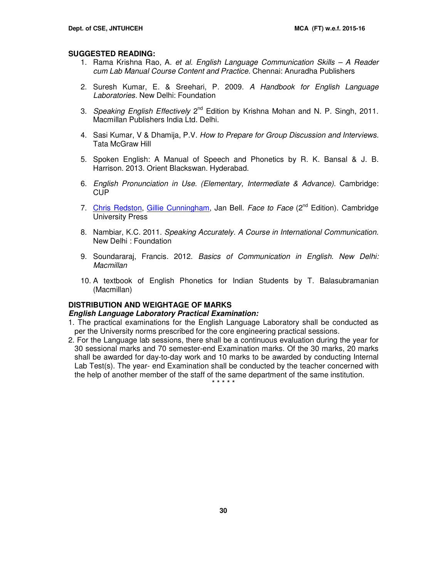#### **SUGGESTED READING:**

- 1. Rama Krishna Rao, A. et al. English Language Communication Skills A Reader cum Lab Manual Course Content and Practice. Chennai: Anuradha Publishers
- 2. Suresh Kumar, E. & Sreehari, P. 2009. A Handbook for English Language Laboratories. New Delhi: Foundation
- 3. Speaking English Effectively 2<sup>nd</sup> Edition by Krishna Mohan and N. P. Singh, 2011. Macmillan Publishers India Ltd. Delhi.
- 4. Sasi Kumar, V & Dhamija, P.V. How to Prepare for Group Discussion and Interviews. Tata McGraw Hill
- 5. Spoken English: A Manual of Speech and Phonetics by R. K. Bansal & J. B. Harrison. 2013. Orient Blackswan. Hyderabad.
- 6. English Pronunciation in Use. (Elementary, Intermediate & Advance). Cambridge: CUP
- 7. Chris Redston, Gillie Cunningham, Jan Bell. Face to Face (2<sup>nd</sup> Edition). Cambridge University Press
- 8. Nambiar, K.C. 2011. Speaking Accurately. A Course in International Communication. New Delhi : Foundation
- 9. Soundararaj, Francis. 2012. Basics of Communication in English. New Delhi: **Macmillan**
- 10. A textbook of English Phonetics for Indian Students by T. Balasubramanian (Macmillan)

#### **DISTRIBUTION AND WEIGHTAGE OF MARKS**

#### **English Language Laboratory Practical Examination:**

- 1. The practical examinations for the English Language Laboratory shall be conducted as per the University norms prescribed for the core engineering practical sessions.
- 2. For the Language lab sessions, there shall be a continuous evaluation during the year for 30 sessional marks and 70 semester-end Examination marks. Of the 30 marks, 20 marks shall be awarded for day-to-day work and 10 marks to be awarded by conducting Internal Lab Test(s). The year- end Examination shall be conducted by the teacher concerned with the help of another member of the staff of the same department of the same institution.

\* \* \* \* \*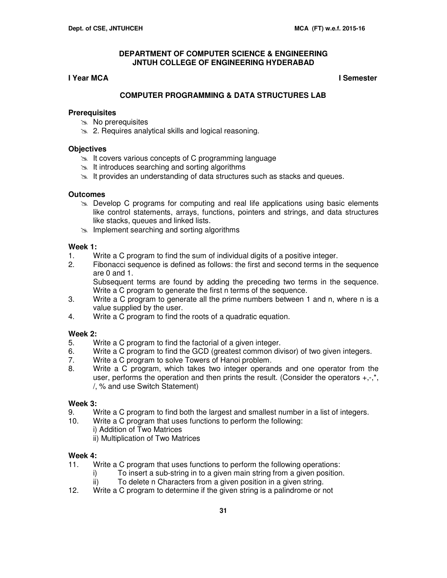# **I Year MCA I Semester**

# **COMPUTER PROGRAMMING & DATA STRUCTURES LAB**

#### **Prerequisites**

- $\gg$  No prerequisites
- **2. Requires analytical skills and logical reasoning.**

#### **Objectives**

- $\geq$  It covers various concepts of C programming language
- $\geq$  It introduces searching and sorting algorithms
- $\geq$  It provides an understanding of data structures such as stacks and queues.

#### **Outcomes**

- $\geq$  Develop C programs for computing and real life applications using basic elements like control statements, arrays, functions, pointers and strings, and data structures like stacks, queues and linked lists.
- $\geq$  Implement searching and sorting algorithms

#### **Week 1:**

- 1.Write a C program to find the sum of individual digits of a positive integer.
- Fibonacci sequence is defined as follows: the first and second terms in the sequence are 0 and 1.

 Subsequent terms are found by adding the preceding two terms in the sequence. Write a C program to generate the first n terms of the sequence.

- 3.Write a C program to generate all the prime numbers between 1 and n, where n is a value supplied by the user.
- 4. Write a C program to find the roots of a quadratic equation.

# **Week 2:**

- 5. Write a C program to find the factorial of a given integer.
- 6. Write a C program to find the GCD (greatest common divisor) of two given integers.
- 7. Write a C program to solve Towers of Hanoi problem.
- 8.Write a C program, which takes two integer operands and one operator from the user, performs the operation and then prints the result. (Consider the operators  $+,-$ ,<sup>\*</sup>, /, % and use Switch Statement)

#### **Week 3:**

- 9.Write a C program to find both the largest and smallest number in a list of integers.
- Write a C program that uses functions to perform the following: i) Addition of Two Matrices
	- ii) Multiplication of Two Matrices

# **Week 4:**

- 11. Write a C program that uses functions to perform the following operations:
	- i) To insert a sub-string in to a given main string from a given position.
- ii) To delete n Characters from a given position in a given string.<br>12. Write a C program to determine if the given string is a palindrome or r
- Write a C program to determine if the given string is a palindrome or not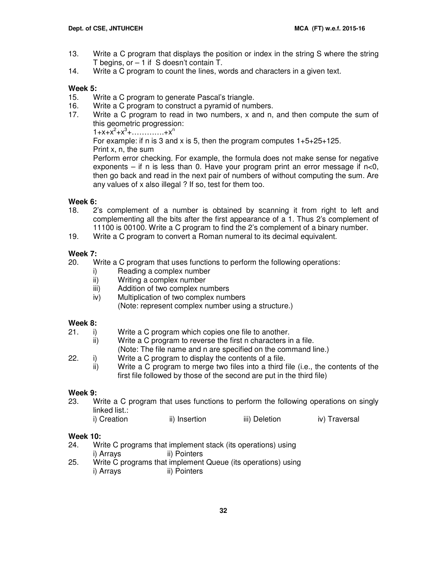- 13.Write a C program that displays the position or index in the string S where the string T begins, or  $-1$  if S doesn't contain T.
- 14. Write a C program to count the lines, words and characters in a given text.

# **Week 5:**

- 15. Write a C program to generate Pascal's triangle.
- 16. Write a C program to construct a pyramid of numbers.
- 17. Write a C program to read in two numbers, x and n, and then compute the sum of this geometric progression:  $1+x+x^2+x^3+\ldots+x^n$ For example: if n is 3 and x is 5, then the program computes  $1+5+25+125$ . Print x, n, the sum Perform error checking. For example, the formula does not make sense for negative exponents – if n is less than 0. Have your program print an error message if  $n<0$ , then go back and read in the next pair of numbers of without computing the sum. Are any values of x also illegal ? If so, test for them too.

# **Week 6:**

- 18.2's complement of a number is obtained by scanning it from right to left and complementing all the bits after the first appearance of a 1. Thus 2's complement of 11100 is 00100. Write a C program to find the 2's complement of a binary number.
- 19. Write a C program to convert a Roman numeral to its decimal equivalent.

# **Week 7:**

20. Write a C program that uses functions to perform the following operations:

- i) Reading a complex number
- ii) Writing a complex number<br>iii) Addition of two complex nu
- Addition of two complex numbers
- iv) Multiplication of two complex numbers
	- (Note: represent complex number using a structure.)

# **Week 8:**

- 21. i) Write a C program which copies one file to another.
	- ii) Write a C program to reverse the first n characters in a file.
- (Note: The file name and n are specified on the command line.)<br>22. i) Write a C program to display the contents of a file.
	- Write a C program to display the contents of a file.
	- ii)Write a C program to merge two files into a third file (i.e., the contents of the first file followed by those of the second are put in the third file)

# **Week 9:**

23. Write a C program that uses functions to perform the following operations on singly linked list.:

| i) Creation | ii) Insertion | iii) Deletion | iv) Traversal |
|-------------|---------------|---------------|---------------|
|-------------|---------------|---------------|---------------|

# **Week 10:**

- 24. Write C programs that implement stack (its operations) using i) Arrays ii) Pointers
- 25. Write C programs that implement Queue (its operations) using i) Arrays ii) Pointers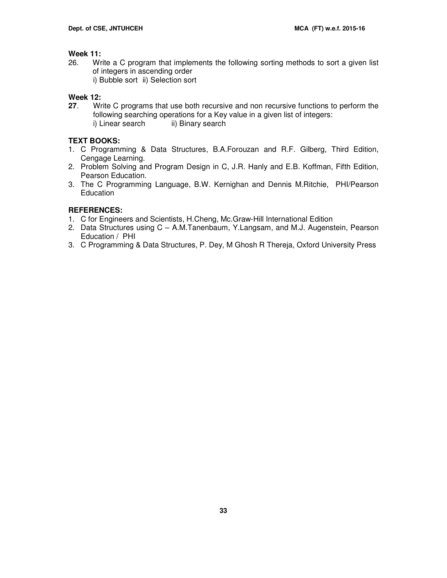#### **Week 11:**

- 26. Write a C program that implements the following sorting methods to sort a given list of integers in ascending order i) Bubble sort ii) Selection sort
	-

# **Week 12:**

**27**. Write C programs that use both recursive and non recursive functions to perform the following searching operations for a Key value in a given list of integers: i) Linear search ii) Binary search

# **TEXT BOOKS:**

- 1. C Programming & Data Structures, B.A.Forouzan and R.F. Gilberg, Third Edition, Cengage Learning.
- 2. Problem Solving and Program Design in C, J.R. Hanly and E.B. Koffman, Fifth Edition, Pearson Education.
- 3. The C Programming Language, B.W. Kernighan and Dennis M.Ritchie, PHI/Pearson Education

# **REFERENCES:**

- 1. C for Engineers and Scientists, H.Cheng, Mc.Graw-Hill International Edition
- 2. Data Structures using C A.M.Tanenbaum, Y.Langsam, and M.J. Augenstein, Pearson Education / PHI
- 3. C Programming & Data Structures, P. Dey, M Ghosh R Thereja, Oxford University Press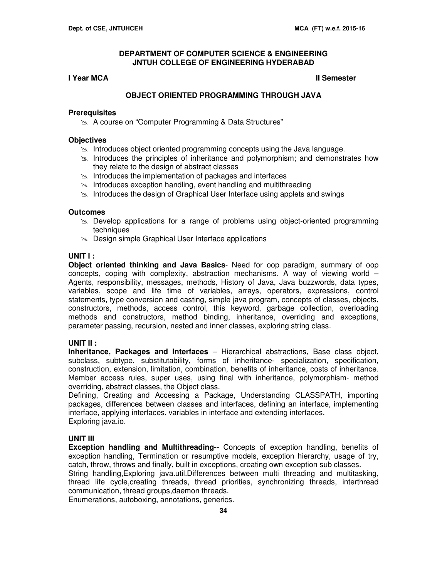#### **I** Year MCA **II** Semester

### **OBJECT ORIENTED PROGRAMMING THROUGH JAVA**

#### **Prerequisites**

**A course on "Computer Programming & Data Structures"** 

#### **Objectives**

- Introduces object oriented programming concepts using the Java language.
- $\geq$  Introduces the principles of inheritance and polymorphism; and demonstrates how they relate to the design of abstract classes
- $\geq$  Introduces the implementation of packages and interfaces
- $\approx$  Introduces exception handling, event handling and multithreading
- Introduces the design of Graphical User Interface using applets and swings

#### **Outcomes**

- $\geq$  Develop applications for a range of problems using object-oriented programming techniques
- **EXALUDE Design simple Graphical User Interface applications**

#### **UNIT I :**

**Object oriented thinking and Java Basics**- Need for oop paradigm, summary of oop concepts, coping with complexity, abstraction mechanisms. A way of viewing world – Agents, responsibility, messages, methods, History of Java, Java buzzwords, data types, variables, scope and life time of variables, arrays, operators, expressions, control statements, type conversion and casting, simple java program, concepts of classes, objects, constructors, methods, access control, this keyword, garbage collection, overloading methods and constructors, method binding, inheritance, overriding and exceptions, parameter passing, recursion, nested and inner classes, exploring string class.

#### **UNIT II :**

**Inheritance, Packages and Interfaces** – Hierarchical abstractions, Base class object, subclass, subtype, substitutability, forms of inheritance- specialization, specification, construction, extension, limitation, combination, benefits of inheritance, costs of inheritance. Member access rules, super uses, using final with inheritance, polymorphism- method overriding, abstract classes, the Object class.

Defining, Creating and Accessing a Package, Understanding CLASSPATH, importing packages, differences between classes and interfaces, defining an interface, implementing interface, applying interfaces, variables in interface and extending interfaces. Exploring java.io.

#### **UNIT III**

**Exception handling and Multithreading-**- Concepts of exception handling, benefits of exception handling, Termination or resumptive models, exception hierarchy, usage of try, catch, throw, throws and finally, built in exceptions, creating own exception sub classes.

String handling,Exploring java.util.Differences between multi threading and multitasking, thread life cycle,creating threads, thread priorities, synchronizing threads, interthread communication, thread groups,daemon threads.

Enumerations, autoboxing, annotations, generics.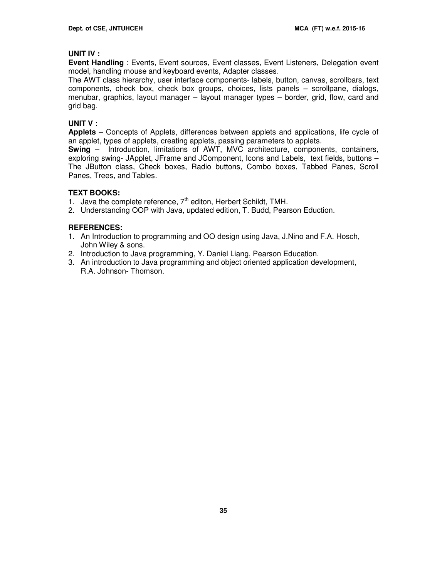#### **UNIT IV :**

**Event Handling** : Events, Event sources, Event classes, Event Listeners, Delegation event model, handling mouse and keyboard events, Adapter classes.

The AWT class hierarchy, user interface components- labels, button, canvas, scrollbars, text components, check box, check box groups, choices, lists panels – scrollpane, dialogs, menubar, graphics, layout manager – layout manager types – border, grid, flow, card and grid bag.

#### **UNIT V :**

**Applets** – Concepts of Applets, differences between applets and applications, life cycle of an applet, types of applets, creating applets, passing parameters to applets.

**Swing** – Introduction, limitations of AWT, MVC architecture, components, containers, exploring swing- JApplet, JFrame and JComponent, Icons and Labels, text fields, buttons – The JButton class, Check boxes, Radio buttons, Combo boxes, Tabbed Panes, Scroll Panes, Trees, and Tables.

#### **TEXT BOOKS:**

- 1. Java the complete reference,  $7<sup>th</sup>$  editon, Herbert Schildt, TMH.
- 2. Understanding OOP with Java, updated edition, T. Budd, Pearson Eduction.

#### **REFERENCES:**

- 1. An Introduction to programming and OO design using Java, J.Nino and F.A. Hosch, John Wiley & sons.
- 2. Introduction to Java programming, Y. Daniel Liang, Pearson Education.
- 3. An introduction to Java programming and object oriented application development, R.A. Johnson- Thomson.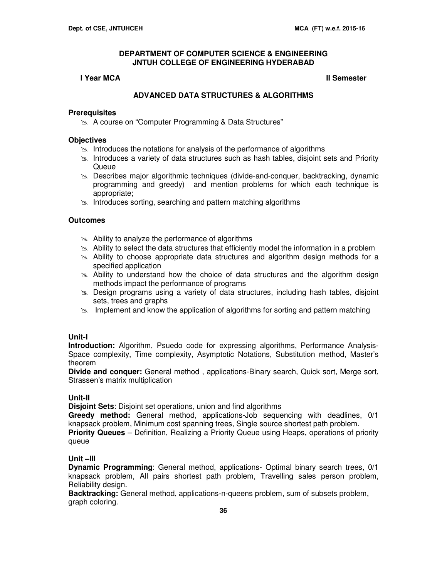# **I** Year MCA **II** Semester

# **ADVANCED DATA STRUCTURES & ALGORITHMS**

#### **Prerequisites**

**A course on "Computer Programming & Data Structures"** 

#### **Objectives**

- $\approx$  Introduces the notations for analysis of the performance of algorithms
- $\geq$  Introduces a variety of data structures such as hash tables, disjoint sets and Priority Queue
- Describes major algorithmic techniques (divide-and-conquer, backtracking, dynamic programming and greedy) and mention problems for which each technique is appropriate;
- $\geq$  Introduces sorting, searching and pattern matching algorithms

# **Outcomes**

- $\approx$  Ability to analyze the performance of algorithms
- $\geq$  Ability to select the data structures that efficiently model the information in a problem
- Ability to choose appropriate data structures and algorithm design methods for a specified application
- $\gg$  Ability to understand how the choice of data structures and the algorithm design methods impact the performance of programs
- Design programs using a variety of data structures, including hash tables, disjoint sets, trees and graphs
- $\geq$  Implement and know the application of algorithms for sorting and pattern matching

# **Unit-I**

**Introduction:** Algorithm, Psuedo code for expressing algorithms, Performance Analysis-Space complexity, Time complexity, Asymptotic Notations, Substitution method, Master's theorem

**Divide and conquer:** General method , applications-Binary search, Quick sort, Merge sort, Strassen's matrix multiplication

#### **Unit-II**

**Disjoint Sets**: Disjoint set operations, union and find algorithms

**Greedy method:** General method, applications-Job sequencing with deadlines, 0/1 knapsack problem, Minimum cost spanning trees, Single source shortest path problem.

**Priority Queues** – Definition, Realizing a Priority Queue using Heaps, operations of priority queue

# **Unit –III**

**Dynamic Programming**: General method, applications- Optimal binary search trees, 0/1 knapsack problem, All pairs shortest path problem, Travelling sales person problem, Reliability design.

**Backtracking:** General method, applications-n-queens problem, sum of subsets problem, graph coloring.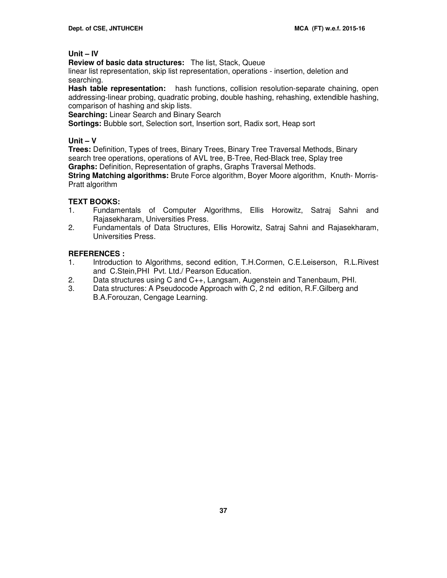# **Unit – IV**

**Review of basic data structures:** The list, Stack, Queue

linear list representation, skip list representation, operations - insertion, deletion and searching.

Hash table representation: hash functions, collision resolution-separate chaining, open addressing-linear probing, quadratic probing, double hashing, rehashing, extendible hashing, comparison of hashing and skip lists.

**Searching:** Linear Search and Binary Search

**Sortings:** Bubble sort, Selection sort, Insertion sort, Radix sort, Heap sort

# **Unit – V**

**Trees:** Definition, Types of trees, Binary Trees, Binary Tree Traversal Methods, Binary search tree operations, operations of AVL tree, B-Tree, Red-Black tree, Splay tree **Graphs:** Definition, Representation of graphs, Graphs Traversal Methods.

**String Matching algorithms:** Brute Force algorithm, Boyer Moore algorithm, Knuth- Morris-Pratt algorithm

# **TEXT BOOKS:**

- 1. Fundamentals of Computer Algorithms, Ellis Horowitz, Satraj Sahni and Rajasekharam, Universities Press.
- 2. Fundamentals of Data Structures, Ellis Horowitz, Satraj Sahni and Rajasekharam, Universities Press.

# **REFERENCES :**

- 1. Introduction to Algorithms, second edition, T.H.Cormen, C.E.Leiserson, R.L.Rivest and C.Stein,PHI Pvt. Ltd./ Pearson Education.
- 2. Data structures using C and C++, Langsam, Augenstein and Tanenbaum, PHI.
- 3. Data structures: A Pseudocode Approach with C, 2 nd edition, R.F.Gilberg and B.A.Forouzan, Cengage Learning.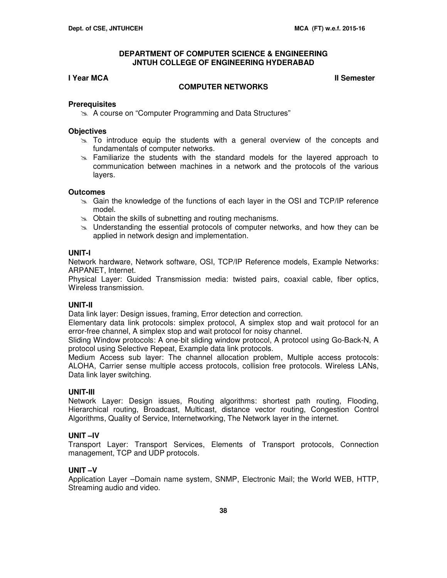# **I** Year MCA **II** Semester

#### **COMPUTER NETWORKS**

#### **Prerequisites**

**A course on "Computer Programming and Data Structures"** 

#### **Objectives**

- $\ge$  To introduce equip the students with a general overview of the concepts and fundamentals of computer networks.
- $\ge$  Familiarize the students with the standard models for the layered approach to communication between machines in a network and the protocols of the various layers.

#### **Outcomes**

- Gain the knowledge of the functions of each layer in the OSI and TCP/IP reference model.
- $\infty$  Obtain the skills of subnetting and routing mechanisms.
- s. Understanding the essential protocols of computer networks, and how they can be applied in network design and implementation.

#### **UNIT-I**

Network hardware, Network software, OSI, TCP/IP Reference models, Example Networks: ARPANET, Internet.

Physical Layer: Guided Transmission media: twisted pairs, coaxial cable, fiber optics, Wireless transmission.

#### **UNIT-II**

Data link layer: Design issues, framing, Error detection and correction.

Elementary data link protocols: simplex protocol, A simplex stop and wait protocol for an error-free channel, A simplex stop and wait protocol for noisy channel.

Sliding Window protocols: A one-bit sliding window protocol, A protocol using Go-Back-N, A protocol using Selective Repeat, Example data link protocols.

Medium Access sub layer: The channel allocation problem, Multiple access protocols: ALOHA, Carrier sense multiple access protocols, collision free protocols. Wireless LANs, Data link layer switching.

#### **UNIT-III**

Network Layer: Design issues, Routing algorithms: shortest path routing, Flooding, Hierarchical routing, Broadcast, Multicast, distance vector routing, Congestion Control Algorithms, Quality of Service, Internetworking, The Network layer in the internet.

#### **UNIT –IV**

Transport Layer: Transport Services, Elements of Transport protocols, Connection management, TCP and UDP protocols.

#### **UNIT –V**

Application Layer –Domain name system, SNMP, Electronic Mail; the World WEB, HTTP, Streaming audio and video.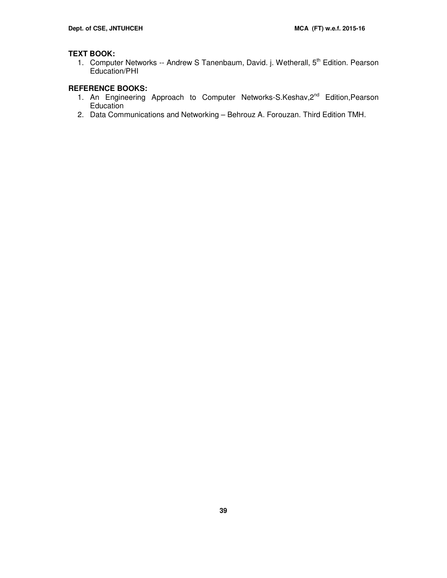# **TEXT BOOK:**

1. Computer Networks -- Andrew S Tanenbaum, David. j. Wetherall, 5<sup>th</sup> Edition. Pearson Education/PHI

# **REFERENCE BOOKS:**

- 1. An Engineering Approach to Computer Networks-S.Keshav, 2<sup>nd</sup> Edition, Pearson **Education**
- 2. Data Communications and Networking Behrouz A. Forouzan. Third Edition TMH.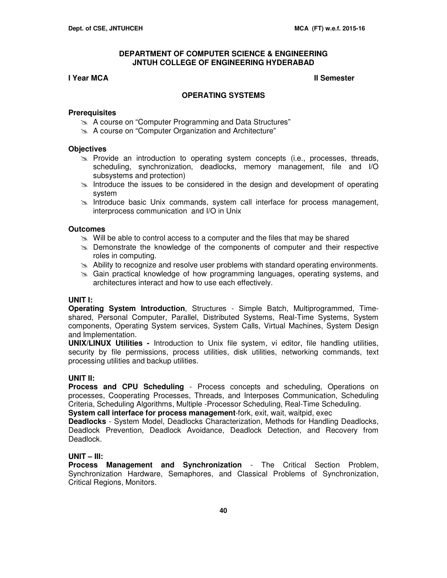#### **I** Year MCA **II** Semester

#### **OPERATING SYSTEMS**

#### **Prerequisites**

- **A course on "Computer Programming and Data Structures"**
- A course on "Computer Organization and Architecture"

#### **Objectives**

- $\gg$  Provide an introduction to operating system concepts (i.e., processes, threads, scheduling, synchronization, deadlocks, memory management, file and I/O subsystems and protection)
- $\geq$  Introduce the issues to be considered in the design and development of operating system
- $\geq$  Introduce basic Unix commands, system call interface for process management, interprocess communication and I/O in Unix

#### **Outcomes**

- $\gg$  Will be able to control access to a computer and the files that may be shared
- $\geq$  Demonstrate the knowledge of the components of computer and their respective roles in computing.
- $\geq$  Ability to recognize and resolve user problems with standard operating environments.
- Gain practical knowledge of how programming languages, operating systems, and architectures interact and how to use each effectively.

#### **UNIT I:**

**Operating System Introduction**, Structures - Simple Batch, Multiprogrammed, Timeshared, Personal Computer, Parallel, Distributed Systems, Real-Time Systems, System components, Operating System services, System Calls, Virtual Machines, System Design and Implementation.

**UNIX/LINUX Utilities -** Introduction to Unix file system, vi editor, file handling utilities, security by file permissions, process utilities, disk utilities, networking commands, text processing utilities and backup utilities.

#### **UNIT II:**

**Process and CPU Scheduling** - Process concepts and scheduling, Operations on processes, Cooperating Processes, Threads, and Interposes Communication, Scheduling Criteria, Scheduling Algorithms, Multiple -Processor Scheduling, Real-Time Scheduling.

**System call interface for process management**-fork, exit, wait, waitpid, exec

**Deadlocks** - System Model, Deadlocks Characterization, Methods for Handling Deadlocks, Deadlock Prevention, Deadlock Avoidance, Deadlock Detection, and Recovery from Deadlock.

#### **UNIT – III:**

**Process Management and Synchronization** - The Critical Section Problem, Synchronization Hardware, Semaphores, and Classical Problems of Synchronization, Critical Regions, Monitors.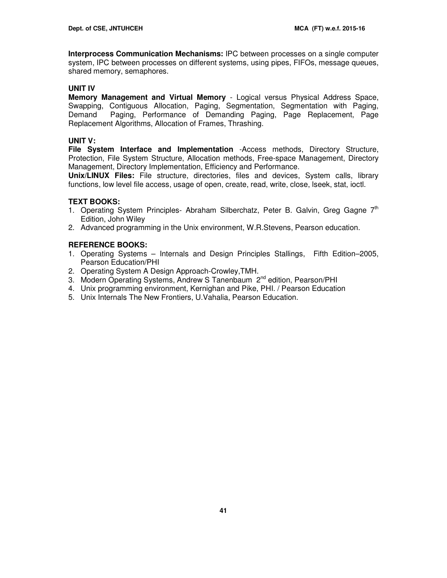**Interprocess Communication Mechanisms:** IPC between processes on a single computer system, IPC between processes on different systems, using pipes, FIFOs, message queues, shared memory, semaphores.

### **UNIT IV**

**Memory Management and Virtual Memory** - Logical versus Physical Address Space, Swapping, Contiguous Allocation, Paging, Segmentation, Segmentation with Paging, Demand Paging, Performance of Demanding Paging, Page Replacement, Page Replacement Algorithms, Allocation of Frames, Thrashing.

# **UNIT V:**

**File System Interface and Implementation** -Access methods, Directory Structure, Protection, File System Structure, Allocation methods, Free-space Management, Directory Management, Directory Implementation, Efficiency and Performance.

**Unix/LINUX Files:** File structure, directories, files and devices, System calls, library functions, low level file access, usage of open, create, read, write, close, lseek, stat, ioctl.

# **TEXT BOOKS:**

- 1. Operating System Principles- Abraham Silberchatz, Peter B. Galvin, Greg Gagne  $7<sup>th</sup>$ Edition, John Wiley
- 2. Advanced programming in the Unix environment, W.R.Stevens, Pearson education.

# **REFERENCE BOOKS:**

- 1. Operating Systems Internals and Design Principles Stallings, Fifth Edition–2005, Pearson Education/PHI
- 2. Operating System A Design Approach-Crowley,TMH.
- 3. Modern Operating Systems, Andrew S Tanenbaum 2<sup>nd</sup> edition, Pearson/PHI
- 4. Unix programming environment, Kernighan and Pike, PHI. / Pearson Education
- 5. Unix Internals The New Frontiers, U.Vahalia, Pearson Education.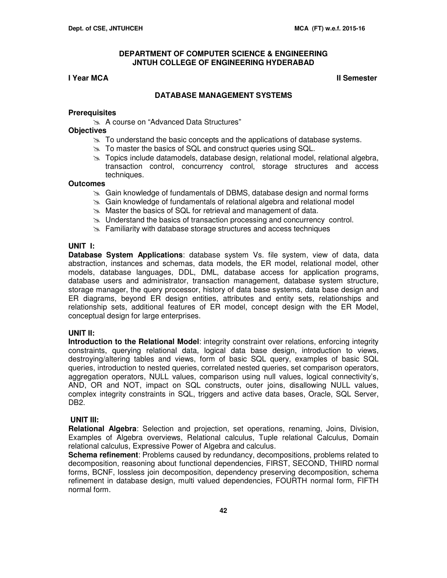#### **I** Year MCA **II** Semester

#### **DATABASE MANAGEMENT SYSTEMS**

#### **Prerequisites**

**A course on "Advanced Data Structures"** 

#### **Objectives**

- $\geq$  To understand the basic concepts and the applications of database systems.
- $\approx$  To master the basics of SQL and construct queries using SQL.
- $\geq$  Topics include datamodels, database design, relational model, relational algebra, transaction control, concurrency control, storage structures and access techniques.

#### **Outcomes**

- Gain knowledge of fundamentals of DBMS, database design and normal forms
- $\approx$  Gain knowledge of fundamentals of relational algebra and relational model
- **Master the basics of SQL for retrieval and management of data.**
- $\geq$  Understand the basics of transaction processing and concurrency control.
- $\geq$  Familiarity with database storage structures and access techniques

#### **UNIT I:**

**Database System Applications**: database system Vs. file system, view of data, data abstraction, instances and schemas, data models, the ER model, relational model, other models, database languages, DDL, DML, database access for application programs, database users and administrator, transaction management, database system structure, storage manager, the query processor, history of data base systems, data base design and ER diagrams, beyond ER design entities, attributes and entity sets, relationships and relationship sets, additional features of ER model, concept design with the ER Model, conceptual design for large enterprises.

#### **UNIT II:**

**Introduction to the Relational Model**: integrity constraint over relations, enforcing integrity constraints, querying relational data, logical data base design, introduction to views, destroying/altering tables and views, form of basic SQL query, examples of basic SQL queries, introduction to nested queries, correlated nested queries, set comparison operators, aggregation operators, NULL values, comparison using null values, logical connectivity's, AND, OR and NOT, impact on SQL constructs, outer joins, disallowing NULL values, complex integrity constraints in SQL, triggers and active data bases, Oracle, SQL Server, DB2.

#### **UNIT III:**

**Relational Algebra**: Selection and projection, set operations, renaming, Joins, Division, Examples of Algebra overviews, Relational calculus, Tuple relational Calculus, Domain relational calculus, Expressive Power of Algebra and calculus.

**Schema refinement**: Problems caused by redundancy, decompositions, problems related to decomposition, reasoning about functional dependencies, FIRST, SECOND, THIRD normal forms, BCNF, lossless join decomposition, dependency preserving decomposition, schema refinement in database design, multi valued dependencies, FOURTH normal form, FIFTH normal form.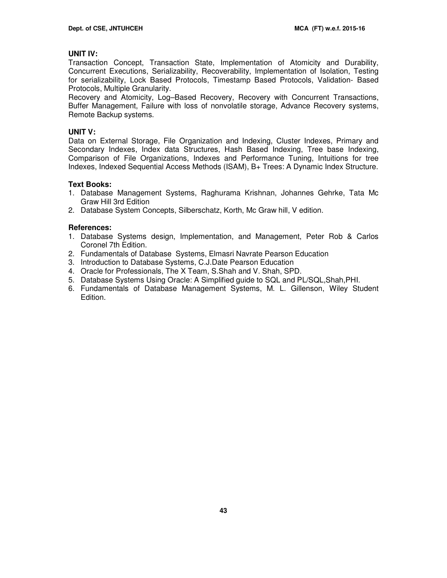#### **UNIT IV:**

Transaction Concept, Transaction State, Implementation of Atomicity and Durability, Concurrent Executions, Serializability, Recoverability, Implementation of Isolation, Testing for serializability, Lock Based Protocols, Timestamp Based Protocols, Validation- Based Protocols, Multiple Granularity.

Recovery and Atomicity, Log–Based Recovery, Recovery with Concurrent Transactions, Buffer Management, Failure with loss of nonvolatile storage, Advance Recovery systems, Remote Backup systems.

# **UNIT V:**

Data on External Storage, File Organization and Indexing, Cluster Indexes, Primary and Secondary Indexes, Index data Structures, Hash Based Indexing, Tree base Indexing, Comparison of File Organizations, Indexes and Performance Tuning, Intuitions for tree Indexes, Indexed Sequential Access Methods (ISAM), B+ Trees: A Dynamic Index Structure.

#### **Text Books:**

- 1. Database Management Systems, Raghurama Krishnan, Johannes Gehrke, Tata Mc Graw Hill 3rd Edition
- 2. Database System Concepts, Silberschatz, Korth, Mc Graw hill, V edition.

# **References:**

- 1. Database Systems design, Implementation, and Management, Peter Rob & Carlos Coronel 7th Edition.
- 2. Fundamentals of Database Systems, Elmasri Navrate Pearson Education
- 3. Introduction to Database Systems, C.J.Date Pearson Education
- 4. Oracle for Professionals, The X Team, S.Shah and V. Shah, SPD.
- 5. Database Systems Using Oracle: A Simplified guide to SQL and PL/SQL,Shah,PHI.
- 6. Fundamentals of Database Management Systems, M. L. Gillenson, Wiley Student Edition.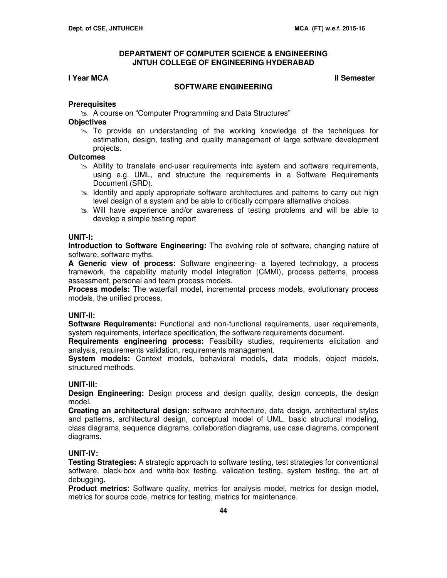# **I** Year MCA **II** Semester

#### **SOFTWARE ENGINEERING**

#### **Prerequisites**

A course on "Computer Programming and Data Structures"

#### **Objectives**

 $\gg$  To provide an understanding of the working knowledge of the techniques for estimation, design, testing and quality management of large software development projects.

#### **Outcomes**

- $\geq$  Ability to translate end-user requirements into system and software requirements, using e.g. UML, and structure the requirements in a Software Requirements Document (SRD).
- $\geq$  Identify and apply appropriate software architectures and patterns to carry out high level design of a system and be able to critically compare alternative choices.
- $\geq$  Will have experience and/or awareness of testing problems and will be able to develop a simple testing report

#### **UNIT-I:**

**Introduction to Software Engineering:** The evolving role of software, changing nature of software, software myths.

**A Generic view of process:** Software engineering- a layered technology, a process framework, the capability maturity model integration (CMMI), process patterns, process assessment, personal and team process models.

**Process models:** The waterfall model, incremental process models, evolutionary process models, the unified process.

#### **UNIT-II:**

**Software Requirements:** Functional and non-functional requirements, user requirements, system requirements, interface specification, the software requirements document.

**Requirements engineering process:** Feasibility studies, requirements elicitation and analysis, requirements validation, requirements management.

**System models:** Context models, behavioral models, data models, object models, structured methods.

#### **UNIT-III:**

**Design Engineering:** Design process and design quality, design concepts, the design model.

**Creating an architectural design:** software architecture, data design, architectural styles and patterns, architectural design, conceptual model of UML, basic structural modeling, class diagrams, sequence diagrams, collaboration diagrams, use case diagrams, component diagrams.

### **UNIT-IV:**

**Testing Strategies:** A strategic approach to software testing, test strategies for conventional software, black-box and white-box testing, validation testing, system testing, the art of debugging.

**Product metrics:** Software quality, metrics for analysis model, metrics for design model, metrics for source code, metrics for testing, metrics for maintenance.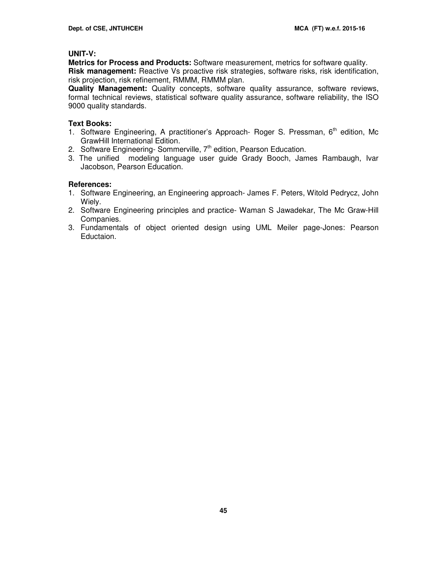### **UNIT-V:**

**Metrics for Process and Products:** Software measurement, metrics for software quality. **Risk management:** Reactive Vs proactive risk strategies, software risks, risk identification, risk projection, risk refinement, RMMM, RMMM plan.

**Quality Management:** Quality concepts, software quality assurance, software reviews, formal technical reviews, statistical software quality assurance, software reliability, the ISO 9000 quality standards.

#### **Text Books:**

- 1. Software Engineering, A practitioner's Approach- Roger S. Pressman, 6<sup>th</sup> edition, Mc GrawHill International Edition.
- 2. Software Engineering-Sommerville,  $7<sup>th</sup>$  edition, Pearson Education.
- 3. The unified modeling language user guide Grady Booch, James Rambaugh, Ivar Jacobson, Pearson Education.

# **References:**

- 1. Software Engineering, an Engineering approach- James F. Peters, Witold Pedrycz, John Wiely.
- 2. Software Engineering principles and practice- Waman S Jawadekar, The Mc Graw-Hill Companies.
- 3. Fundamentals of object oriented design using UML Meiler page-Jones: Pearson Eductaion.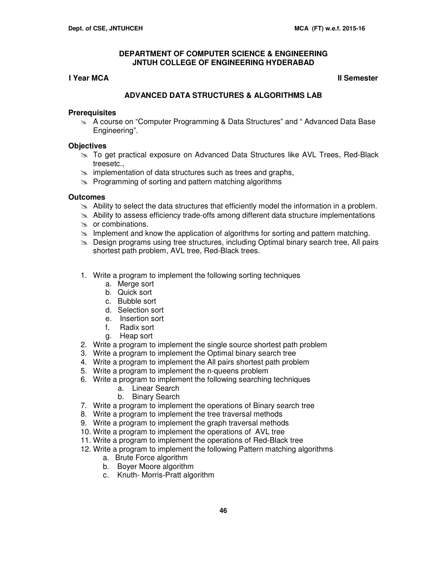# **I** Year MCA **II** Semester

# **ADVANCED DATA STRUCTURES & ALGORITHMS LAB**

#### **Prerequisites**

 A course on "Computer Programming & Data Structures" and " Advanced Data Base Engineering".

#### **Objectives**

- To get practical exposure on Advanced Data Structures like AVL Trees, Red-Black treesetc.,
- s implementation of data structures such as trees and graphs,
- $\geq$  Programming of sorting and pattern matching algorithms

# **Outcomes**

- $\geq$  Ability to select the data structures that efficiently model the information in a problem.
- $\geq$  Ability to assess efficiency trade-offs among different data structure implementations
- $\approx$  or combinations.
- $\geq$  Implement and know the application of algorithms for sorting and pattern matching.
- $\geq$  Design programs using tree structures, including Optimal binary search tree, All pairs shortest path problem, AVL tree, Red-Black trees.
- 1. Write a program to implement the following sorting techniques
	- a. Merge sort
	- b. Quick sort
	- c. Bubble sort
	- d. Selection sort
	- e. Insertion sort
	- f. Radix sort
	- g. Heap sort
- 2. Write a program to implement the single source shortest path problem
- 3. Write a program to implement the Optimal binary search tree
- 4. Write a program to implement the All pairs shortest path problem
- 5. Write a program to implement the n-queens problem
- 6. Write a program to implement the following searching techniques
	- a. Linear Search
	- b. Binary Search
- 7. Write a program to implement the operations of Binary search tree
- 8. Write a program to implement the tree traversal methods
- 9. Write a program to implement the graph traversal methods
- 10. Write a program to implement the operations of AVL tree
- 11. Write a program to implement the operations of Red-Black tree
- 12. Write a program to implement the following Pattern matching algorithms
	- a. Brute Force algorithm
	- b. Boyer Moore algorithm
	- c. Knuth- Morris-Pratt algorithm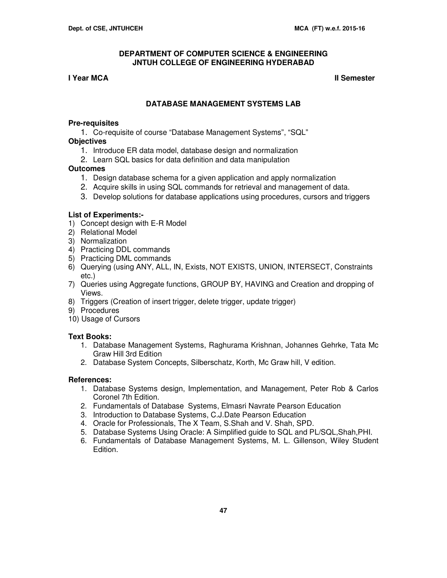# **I** Year MCA **II** Semester **II** Semester **II** Semester

# **DATABASE MANAGEMENT SYSTEMS LAB**

#### **Pre-requisites**

1. Co-requisite of course "Database Management Systems", "SQL"

# **Objectives**

- 1. Introduce ER data model, database design and normalization
- 2. Learn SQL basics for data definition and data manipulation

# **Outcomes**

- 1. Design database schema for a given application and apply normalization
- 2. Acquire skills in using SQL commands for retrieval and management of data.
- 3. Develop solutions for database applications using procedures, cursors and triggers

# **List of Experiments:-**

- 1) Concept design with E-R Model
- 2) Relational Model
- 3) Normalization
- 4) Practicing DDL commands
- 5) Practicing DML commands
- 6) Querying (using ANY, ALL, IN, Exists, NOT EXISTS, UNION, INTERSECT, Constraints etc.)
- 7) Queries using Aggregate functions, GROUP BY, HAVING and Creation and dropping of Views.
- 8) Triggers (Creation of insert trigger, delete trigger, update trigger)
- 9) Procedures
- 10) Usage of Cursors

# **Text Books:**

- 1. Database Management Systems, Raghurama Krishnan, Johannes Gehrke, Tata Mc Graw Hill 3rd Edition
- 2. Database System Concepts, Silberschatz, Korth, Mc Graw hill, V edition.

# **References:**

- 1. Database Systems design, Implementation, and Management, Peter Rob & Carlos Coronel 7th Edition.
- 2. Fundamentals of Database Systems, Elmasri Navrate Pearson Education
- 3. Introduction to Database Systems, C.J.Date Pearson Education
- 4. Oracle for Professionals, The X Team, S.Shah and V. Shah, SPD.
- 5. Database Systems Using Oracle: A Simplified guide to SQL and PL/SQL,Shah,PHI.
- 6. Fundamentals of Database Management Systems, M. L. Gillenson, Wiley Student Edition.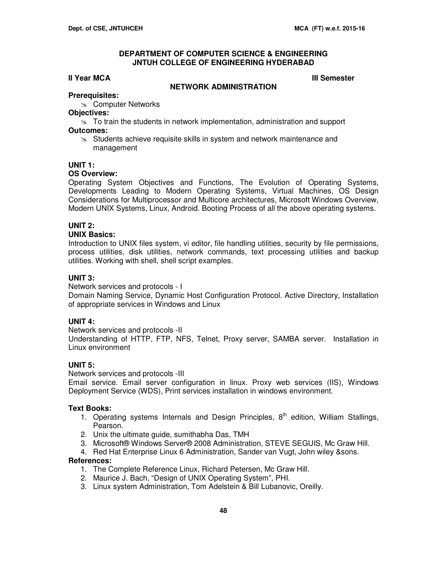#### **III Year MCA III** Semester

#### **NETWORK ADMINISTRATION**

# **Prerequisites:**

**Exac Computer Networks** 

# **Objectives:**

 $\geq$  To train the students in network implementation, administration and support **Outcomes:** 

Students achieve requisite skills in system and network maintenance and management

#### **UNIT 1:**

#### **OS Overview:**

Operating System Objectives and Functions, The Evolution of Operating Systems, Developments Leading to Modern Operating Systems, Virtual Machines, OS Design Considerations for Multiprocessor and Multicore architectures, Microsoft Windows Overview, Modern UNIX Systems, Linux, Android. Booting Process of all the above operating systems.

# **UNIT 2:**

#### **UNIX Basics:**

Introduction to UNIX files system, vi editor, file handling utilities, security by file permissions, process utilities, disk utilities, network commands, text processing utilities and backup utilities. Working with shell, shell script examples.

#### **UNIT 3:**

Network services and protocols - I

Domain Naming Service, Dynamic Host Configuration Protocol. Active Directory, Installation of appropriate services in Windows and Linux

#### **UNIT 4:**

Network services and protocols -II

Understanding of HTTP, FTP, NFS, Telnet, Proxy server, SAMBA server. Installation in Linux environment

# **UNIT 5:**

Network services and protocols -III

Email service. Email server configuration in linux. Proxy web services (IIS), Windows Deployment Service (WDS), Print services installation in windows environment.

#### **Text Books:**

- 1. Operating systems Internals and Design Principles,  $8<sup>th</sup>$  edition, William Stallings, Pearson.
- 2. Unix the ultimate guide, sumithabha Das, TMH
- 3. Microsoft® Windows Server® 2008 Administration, STEVE SEGUIS, Mc Graw Hill.
- 4. Red Hat Enterprise Linux 6 Administration, Sander van Vugt, John wiley &sons.

#### **References:**

- 1. The Complete Reference Linux, Richard Petersen, Mc Graw Hill.
- 2. Maurice J. Bach, "Design of UNIX Operating System", PHI.
- 3. Linux system Administration, Tom Adelstein & Bill Lubanovic, Oreilly.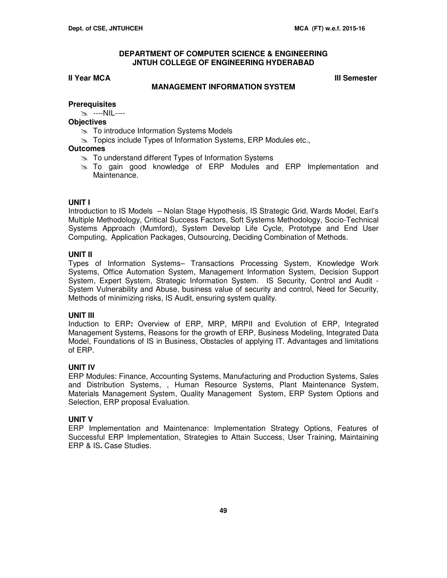#### **III Year MCA III** Semester

#### **MANAGEMENT INFORMATION SYSTEM**

#### **Prerequisites**

----NIL----

#### **Objectives**

- **To introduce Information Systems Models**
- **Topics include Types of Information Systems, ERP Modules etc.,**

#### **Outcomes**

- $\approx$  To understand different Types of Information Systems
- To gain good knowledge of ERP Modules and ERP Implementation and Maintenance.

#### **UNIT I**

Introduction to IS Models – Nolan Stage Hypothesis, IS Strategic Grid, Wards Model, Earl's Multiple Methodology, Critical Success Factors, Soft Systems Methodology, Socio-Technical Systems Approach (Mumford), System Develop Life Cycle, Prototype and End User Computing, Application Packages, Outsourcing, Deciding Combination of Methods.

#### **UNIT II**

Types of Information Systems– Transactions Processing System, Knowledge Work Systems, Office Automation System, Management Information System, Decision Support System, Expert System, Strategic Information System. IS Security, Control and Audit - System Vulnerability and Abuse, business value of security and control, Need for Security, Methods of minimizing risks, IS Audit, ensuring system quality.

#### **UNIT III**

Induction to ERP**:** Overview of ERP, MRP, MRPII and Evolution of ERP, Integrated Management Systems, Reasons for the growth of ERP, Business Modeling, Integrated Data Model, Foundations of IS in Business, Obstacles of applying IT. Advantages and limitations of ERP.

#### **UNIT IV**

ERP Modules: Finance, Accounting Systems, Manufacturing and Production Systems, Sales and Distribution Systems, , Human Resource Systems, Plant Maintenance System, Materials Management System, Quality Management System, ERP System Options and Selection, ERP proposal Evaluation.

#### **UNIT V**

ERP Implementation and Maintenance: Implementation Strategy Options, Features of Successful ERP Implementation, Strategies to Attain Success, User Training, Maintaining ERP & IS**.** Case Studies.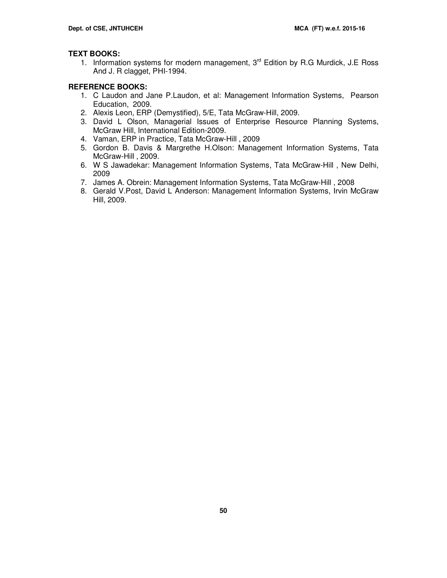# **TEXT BOOKS:**

1. Information systems for modern management,  $3<sup>rd</sup>$  Edition by R.G Murdick, J.E Ross And J. R clagget, PHI-1994.

# **REFERENCE BOOKS:**

- 1. C Laudon and Jane P.Laudon, et al: Management Information Systems, Pearson Education, 2009.
- 2. Alexis Leon, ERP (Demystified), 5/E, Tata McGraw-Hill, 2009.
- 3. David L Olson, Managerial Issues of Enterprise Resource Planning Systems, McGraw Hill, International Edition-2009.
- 4. Vaman, ERP in Practice, Tata McGraw-Hill , 2009
- 5. Gordon B. Davis & Margrethe H.Olson: Management Information Systems, Tata McGraw-Hill , 2009.
- 6. W S Jawadekar: Management Information Systems, Tata McGraw-Hill , New Delhi, 2009
- 7. James A. Obrein: Management Information Systems, Tata McGraw-Hill , 2008
- 8. Gerald V.Post, David L Anderson: Management Information Systems, Irvin McGraw Hill, 2009.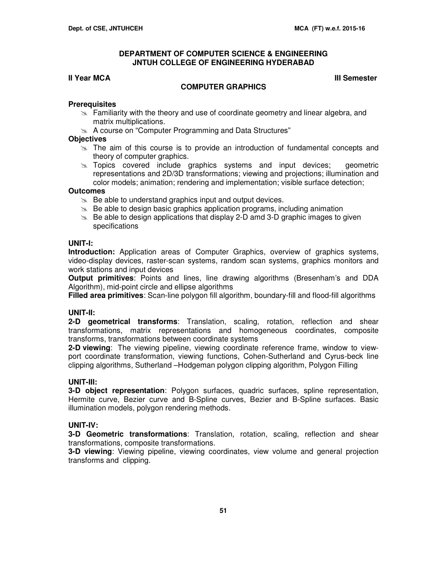#### **II Year MCA III Semester**

#### **COMPUTER GRAPHICS**

#### **Prerequisites**

- $\geq$  Familiarity with the theory and use of coordinate geometry and linear algebra, and matrix multiplications.
- **A course on "Computer Programming and Data Structures"**

#### **Objectives**

- $\geq$  The aim of this course is to provide an introduction of fundamental concepts and theory of computer graphics.
- $\approx$  Topics covered include graphics systems and input devices; geometric representations and 2D/3D transformations; viewing and projections; illumination and color models; animation; rendering and implementation; visible surface detection;

#### **Outcomes**

- $\geq$  Be able to understand graphics input and output devices.
- $\geq$  Be able to design basic graphics application programs, including animation
- $\geq$  Be able to design applications that display 2-D amd 3-D graphic images to given specifications

#### **UNIT-I:**

**Introduction:** Application areas of Computer Graphics, overview of graphics systems, video-display devices, raster-scan systems, random scan systems, graphics monitors and work stations and input devices

**Output primitives**: Points and lines, line drawing algorithms (Bresenham's and DDA Algorithm), mid-point circle and ellipse algorithms

**Filled area primitives**: Scan-line polygon fill algorithm, boundary-fill and flood-fill algorithms

# **UNIT-II:**

**2-D geometrical transforms**: Translation, scaling, rotation, reflection and shear transformations, matrix representations and homogeneous coordinates, composite transforms, transformations between coordinate systems

**2-D viewing**: The viewing pipeline, viewing coordinate reference frame, window to viewport coordinate transformation, viewing functions, Cohen-Sutherland and Cyrus-beck line clipping algorithms, Sutherland –Hodgeman polygon clipping algorithm, Polygon Filling

#### **UNIT-III:**

**3-D object representation**: Polygon surfaces, quadric surfaces, spline representation, Hermite curve, Bezier curve and B-Spline curves, Bezier and B-Spline surfaces. Basic illumination models, polygon rendering methods.

#### **UNIT-IV:**

**3-D Geometric transformations**: Translation, rotation, scaling, reflection and shear transformations, composite transformations.

**3-D viewing**: Viewing pipeline, viewing coordinates, view volume and general projection transforms and clipping.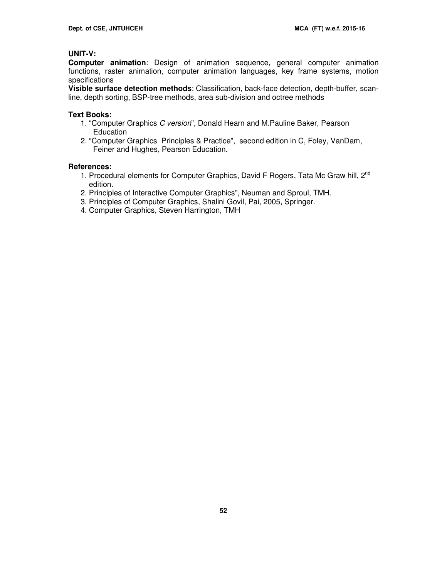# **UNIT-V:**

**Computer animation**: Design of animation sequence, general computer animation functions, raster animation, computer animation languages, key frame systems, motion specifications

**Visible surface detection methods**: Classification, back-face detection, depth-buffer, scanline, depth sorting, BSP-tree methods, area sub-division and octree methods

#### **Text Books:**

- 1. "Computer Graphics C version", Donald Hearn and M.Pauline Baker, Pearson Education
- 2. "Computer Graphics Principles & Practice", second edition in C, Foley, VanDam, Feiner and Hughes, Pearson Education.

#### **References:**

- 1. Procedural elements for Computer Graphics, David F Rogers, Tata Mc Graw hill, 2<sup>nd</sup> edition.
- 2. Principles of Interactive Computer Graphics", Neuman and Sproul, TMH.
- 3. Principles of Computer Graphics, Shalini Govil, Pai, 2005, Springer.
- 4. Computer Graphics, Steven Harrington, TMH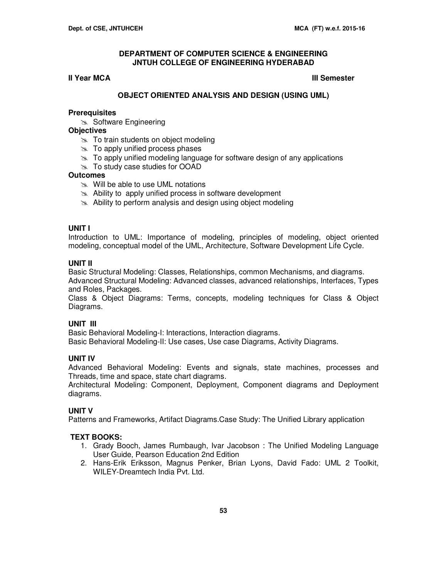#### **III Year MCA III** Semester

# **OBJECT ORIENTED ANALYSIS AND DESIGN (USING UML)**

#### **Prerequisites**

Software Engineering

#### **Objectives**

- $\approx$  To train students on object modeling
- $\gg$  To apply unified process phases
- $\geq$  To apply unified modeling language for software design of any applications
- To study case studies for OOAD

# **Outcomes**

- $\gg$  Will be able to use UML notations
- $\approx$  Ability to apply unified process in software development
- $\approx$  Ability to perform analysis and design using object modeling

# **UNIT I**

Introduction to UML: Importance of modeling, principles of modeling, object oriented modeling, conceptual model of the UML, Architecture, Software Development Life Cycle.

# **UNIT II**

Basic Structural Modeling: Classes, Relationships, common Mechanisms, and diagrams. Advanced Structural Modeling: Advanced classes, advanced relationships, Interfaces, Types and Roles, Packages.

Class & Object Diagrams: Terms, concepts, modeling techniques for Class & Object Diagrams.

#### **UNIT III**

Basic Behavioral Modeling-I: Interactions, Interaction diagrams. Basic Behavioral Modeling-II: Use cases, Use case Diagrams, Activity Diagrams.

# **UNIT IV**

Advanced Behavioral Modeling: Events and signals, state machines, processes and Threads, time and space, state chart diagrams.

Architectural Modeling: Component, Deployment, Component diagrams and Deployment diagrams.

# **UNIT V**

Patterns and Frameworks, Artifact Diagrams.Case Study: The Unified Library application

# **TEXT BOOKS:**

- 1. Grady Booch, James Rumbaugh, Ivar Jacobson : The Unified Modeling Language User Guide, Pearson Education 2nd Edition
- 2. Hans-Erik Eriksson, Magnus Penker, Brian Lyons, David Fado: UML 2 Toolkit, WILEY-Dreamtech India Pvt. Ltd.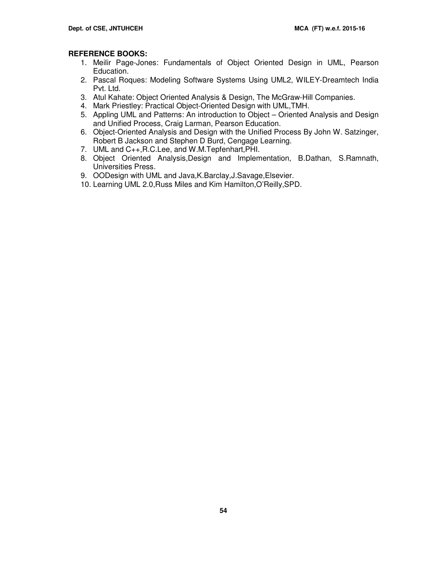# **REFERENCE BOOKS:**

- 1. Meilir Page-Jones: Fundamentals of Object Oriented Design in UML, Pearson Education.
- 2. Pascal Roques: Modeling Software Systems Using UML2, WILEY-Dreamtech India Pvt. Ltd.
- 3. Atul Kahate: Object Oriented Analysis & Design, The McGraw-Hill Companies.
- 4. Mark Priestley: Practical Object-Oriented Design with UML,TMH.
- 5. Appling UML and Patterns: An introduction to Object Oriented Analysis and Design and Unified Process, Craig Larman, Pearson Education.
- 6. Object-Oriented Analysis and Design with the Unified Process By John W. Satzinger, Robert B Jackson and Stephen D Burd, Cengage Learning.
- 7. UML and C++,R.C.Lee, and W.M.Tepfenhart,PHI.
- 8. Object Oriented Analysis,Design and Implementation, B.Dathan, S.Ramnath, Universities Press.
- 9. OODesign with UML and Java,K.Barclay,J.Savage,Elsevier.
- 10. Learning UML 2.0,Russ Miles and Kim Hamilton,O'Reilly,SPD.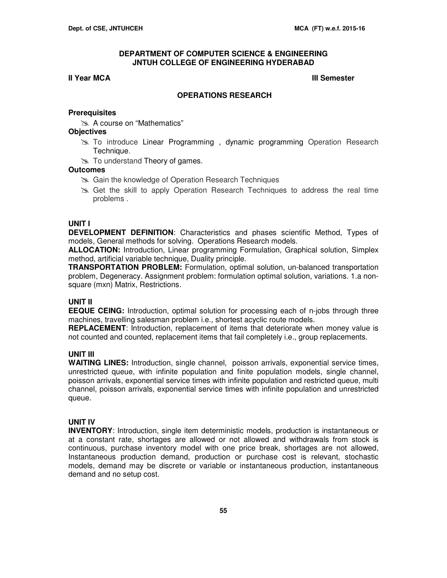#### **III Year MCA III Semester**

#### **OPERATIONS RESEARCH**

#### **Prerequisites**

A course on "Mathematics"

#### **Objectives**

- To introduce Linear Programming , dynamic programming Operation Research Technique.
- $\gg$  To understand Theory of games.

#### **Outcomes**

- Gain the knowledge of Operation Research Techniques
- Get the skill to apply Operation Research Techniques to address the real time problems .

#### **UNIT I**

**DEVELOPMENT DEFINITION**: Characteristics and phases scientific Method, Types of models, General methods for solving. Operations Research models.

**ALLOCATION:** Introduction, Linear programming Formulation, Graphical solution, Simplex method, artificial variable technique, Duality principle.

**TRANSPORTATION PROBLEM:** Formulation, optimal solution, un-balanced transportation problem, Degeneracy. Assignment problem: formulation optimal solution, variations. 1.a nonsquare (mxn) Matrix, Restrictions.

#### **UNIT II**

**EEQUE CEING:** Introduction, optimal solution for processing each of n-jobs through three machines, travelling salesman problem i.e., shortest acyclic route models.

**REPLACEMENT**: Introduction, replacement of items that deteriorate when money value is not counted and counted, replacement items that fail completely i.e., group replacements.

#### **UNIT III**

**WAITING LINES:** Introduction, single channel, poisson arrivals, exponential service times, unrestricted queue, with infinite population and finite population models, single channel, poisson arrivals, exponential service times with infinite population and restricted queue, multi channel, poisson arrivals, exponential service times with infinite population and unrestricted queue.

#### **UNIT IV**

**INVENTORY**: Introduction, single item deterministic models, production is instantaneous or at a constant rate, shortages are allowed or not allowed and withdrawals from stock is continuous, purchase inventory model with one price break, shortages are not allowed, Instantaneous production demand, production or purchase cost is relevant, stochastic models, demand may be discrete or variable or instantaneous production, instantaneous demand and no setup cost.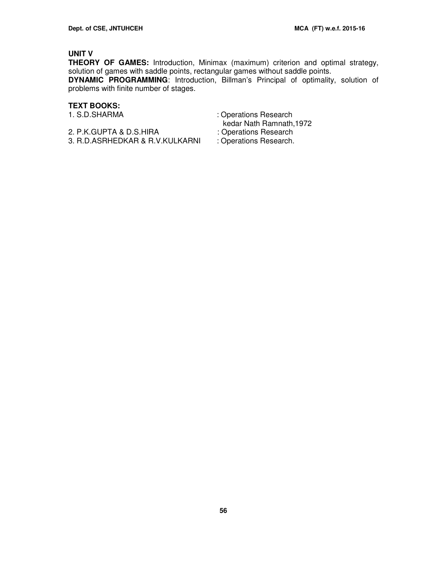# **UNIT V**

**THEORY OF GAMES:** Introduction, Minimax (maximum) criterion and optimal strategy, solution of games with saddle points, rectangular games without saddle points. **DYNAMIC PROGRAMMING**: Introduction, Billman's Principal of optimality, solution of problems with finite number of stages.

# **TEXT BOOKS:**

- 2. P.K.GUPTA & D.S.HIRA : Operations Research<br>3. R.D.ASRHEDKAR & R.V.KULKARNI : Operations Research. 3. R.D.ASRHEDKAR & R.V.KULKARNI
- : Operations Research kedar Nath Ramnath, 1972<br>: Operations Research
	-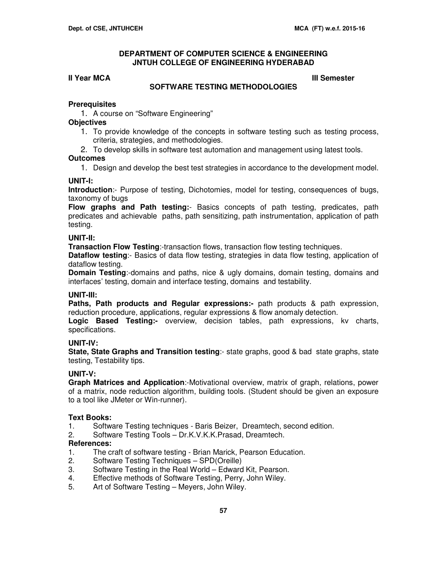#### **III Year MCA III Semester**

#### **SOFTWARE TESTING METHODOLOGIES**

#### **Prerequisites**

1. A course on "Software Engineering"

#### **Objectives**

- 1. To provide knowledge of the concepts in software testing such as testing process, criteria, strategies, and methodologies.
- 2. To develop skills in software test automation and management using latest tools.

#### **Outcomes**

1. Design and develop the best test strategies in accordance to the development model.

#### **UNIT-I:**

**Introduction**:- Purpose of testing, Dichotomies, model for testing, consequences of bugs, taxonomy of bugs

**Flow graphs and Path testing:**- Basics concepts of path testing, predicates, path predicates and achievable paths, path sensitizing, path instrumentation, application of path testing.

#### **UNIT-II:**

**Transaction Flow Testing**:-transaction flows, transaction flow testing techniques.

**Dataflow testing:**- Basics of data flow testing, strategies in data flow testing, application of dataflow testing.

**Domain Testing**:-domains and paths, nice & ugly domains, domain testing, domains and interfaces' testing, domain and interface testing, domains and testability.

#### **UNIT-III:**

**Paths, Path products and Regular expressions:-** path products & path expression, reduction procedure, applications, regular expressions & flow anomaly detection.

**Logic Based Testing:-** overview, decision tables, path expressions, kv charts, specifications.

#### **UNIT-IV:**

**State, State Graphs and Transition testing**:- state graphs, good & bad state graphs, state testing, Testability tips.

# **UNIT-V:**

**Graph Matrices and Application**:-Motivational overview, matrix of graph, relations, power of a matrix, node reduction algorithm, building tools. (Student should be given an exposure to a tool like JMeter or Win-runner).

#### **Text Books:**

- 1. Software Testing techniques Baris Beizer, Dreamtech, second edition.
- 2. Software Testing Tools Dr.K.V.K.K.Prasad, Dreamtech.

#### **References:**

- 1. The craft of software testing Brian Marick, Pearson Education.
- 2. Software Testing Techniques SPD(Oreille)
- 3. Software Testing in the Real World Edward Kit, Pearson.
- 4. Effective methods of Software Testing, Perry, John Wiley.
- 5. Art of Software Testing Meyers, John Wiley.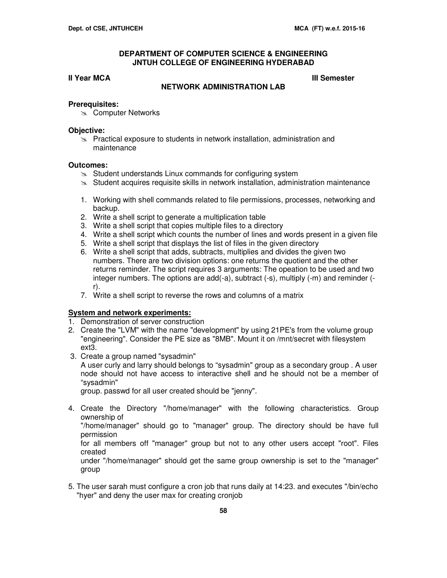**III Year MCA III Semester** 

# **NETWORK ADMINISTRATION LAB**

#### **Prerequisites:**

**Exac Computer Networks** 

#### **Objective:**

 $\geq$  Practical exposure to students in network installation, administration and maintenance

#### **Outcomes:**

- $\approx$  Student understands Linux commands for configuring system
- $\geq$  Student acquires requisite skills in network installation, administration maintenance
- 1. Working with shell commands related to file permissions, processes, networking and backup.
- 2. Write a shell script to generate a multiplication table
- 3. Write a shell script that copies multiple files to a directory
- 4. Write a shell script which counts the number of lines and words present in a given file
- 5. Write a shell script that displays the list of files in the given directory
- 6. Write a shell script that adds, subtracts, multiplies and divides the given two numbers. There are two division options: one returns the quotient and the other returns reminder. The script requires 3 arguments: The opeation to be used and two integer numbers. The options are add(-a), subtract (-s), multiply (-m) and reminder ( r).
- 7. Write a shell script to reverse the rows and columns of a matrix

#### **System and network experiments:**

- 1. Demonstration of server construction
- 2. Create the "LVM" with the name "development" by using 21PE's from the volume group "engineering". Consider the PE size as "8MB". Mount it on /mnt/secret with filesystem ext3.
- 3. Create a group named "sysadmin" A user curly and larry should belongs to "sysadmin" group as a secondary group . A user node should not have access to interactive shell and he should not be a member of "sysadmin"

group. passwd for all user created should be "jenny".

4. Create the Directory "/home/manager" with the following characteristics. Group ownership of

 "/home/manager" should go to "manager" group. The directory should be have full permission

 for all members off "manager" group but not to any other users accept "root". Files created

 under "/home/manager" should get the same group ownership is set to the "manager" group

5. The user sarah must configure a cron job that runs daily at 14:23. and executes "/bin/echo "hyer" and deny the user max for creating cronjob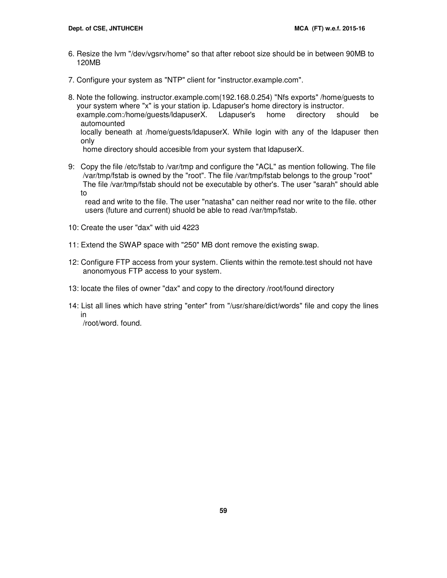- 6. Resize the lvm "/dev/vgsrv/home" so that after reboot size should be in between 90MB to 120MB
- 7. Configure your system as "NTP" client for "instructor.example.com".
- 8. Note the following. instructor.example.com(192.168.0.254) "Nfs exports" /home/guests to your system where "x" is your station ip. Ldapuser's home directory is instructor. example.com:/home/guests/ldapuserX. Ldapuser's home directory should be automounted locally beneath at /home/guests/ldapuserX. While login with any of the ldapuser then only home directory should accesible from your system that ldapuserX.

9: Copy the file /etc/fstab to /var/tmp and configure the "ACL" as mention following. The file /var/tmp/fstab is owned by the "root". The file /var/tmp/fstab belongs to the group "root" The file /var/tmp/fstab should not be executable by other's. The user "sarah" should able to

 read and write to the file. The user "natasha" can neither read nor write to the file. other users (future and current) shuold be able to read /var/tmp/fstab.

- 10: Create the user "dax" with uid 4223
- 11: Extend the SWAP space with "250" MB dont remove the existing swap.
- 12: Configure FTP access from your system. Clients within the remote.test should not have anonomyous FTP access to your system.
- 13: locate the files of owner "dax" and copy to the directory /root/found directory
- 14: List all lines which have string "enter" from "/usr/share/dict/words" file and copy the lines in

/root/word. found.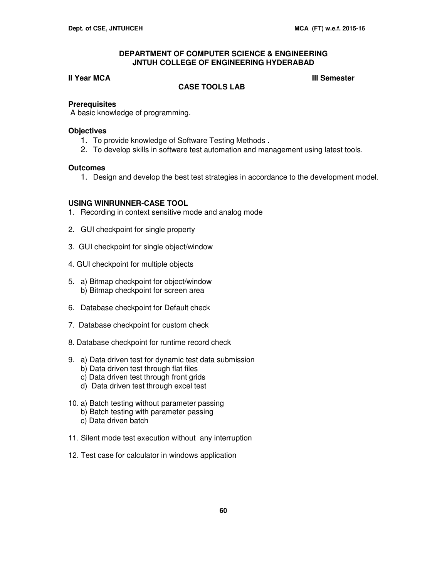#### **III Year MCA III** Semester

# **CASE TOOLS LAB**

#### **Prerequisites**

A basic knowledge of programming.

#### **Objectives**

- 1. To provide knowledge of Software Testing Methods .
- 2. To develop skills in software test automation and management using latest tools.

#### **Outcomes**

1. Design and develop the best test strategies in accordance to the development model.

#### **USING WINRUNNER-CASE TOOL**

- 1. Recording in context sensitive mode and analog mode
- 2. GUI checkpoint for single property
- 3. GUI checkpoint for single object/window
- 4. GUI checkpoint for multiple objects
- 5. a) Bitmap checkpoint for object/window b) Bitmap checkpoint for screen area
- 6. Database checkpoint for Default check
- 7. Database checkpoint for custom check
- 8. Database checkpoint for runtime record check
- 9. a) Data driven test for dynamic test data submission
	- b) Data driven test through flat files
	- c) Data driven test through front grids
	- d) Data driven test through excel test
- 10. a) Batch testing without parameter passing b) Batch testing with parameter passing c) Data driven batch
- 11. Silent mode test execution without any interruption
- 12. Test case for calculator in windows application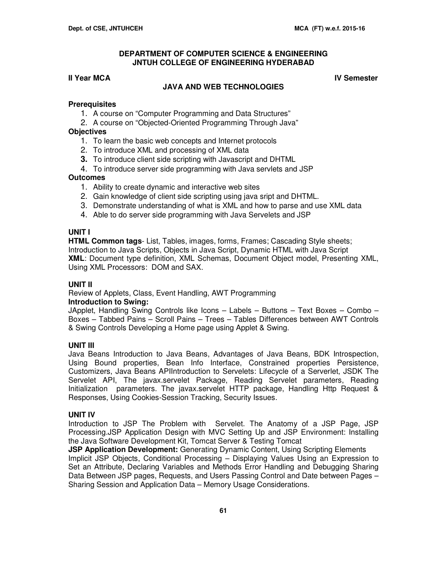**II Year MCA IV Semester IV Semester** 

# **JAVA AND WEB TECHNOLOGIES**

#### **Prerequisites**

- 1. A course on "Computer Programming and Data Structures"
- 2. A course on "Objected-Oriented Programming Through Java"

#### **Objectives**

- 1. To learn the basic web concepts and Internet protocols
- 2. To introduce XML and processing of XML data
- **3.** To introduce client side scripting with Javascript and DHTML
- 4. To introduce server side programming with Java servlets and JSP

# **Outcomes**

- 1. Ability to create dynamic and interactive web sites
- 2. Gain knowledge of client side scripting using java sript and DHTML.
- 3. Demonstrate understanding of what is XML and how to parse and use XML data
- 4. Able to do server side programming with Java Servelets and JSP

#### **UNIT I**

**HTML Common tags**- List, Tables, images, forms, Frames; Cascading Style sheets; Introduction to Java Scripts, Objects in Java Script, Dynamic HTML with Java Script **XML**: Document type definition, XML Schemas, Document Object model, Presenting XML, Using XML Processors: DOM and SAX.

# **UNIT II**

Review of Applets, Class, Event Handling, AWT Programming

#### **Introduction to Swing:**

JApplet, Handling Swing Controls like Icons – Labels – Buttons – Text Boxes – Combo – Boxes – Tabbed Pains – Scroll Pains – Trees – Tables Differences between AWT Controls & Swing Controls Developing a Home page using Applet & Swing.

### **UNIT III**

Java Beans Introduction to Java Beans, Advantages of Java Beans, BDK Introspection, Using Bound properties, Bean Info Interface, Constrained properties Persistence, Customizers, Java Beans APIIntroduction to Servelets: Lifecycle of a Serverlet, JSDK The Servelet API, The javax.servelet Package, Reading Servelet parameters, Reading Initialization parameters. The javax.servelet HTTP package, Handling Http Request & Responses, Using Cookies-Session Tracking, Security Issues.

#### **UNIT IV**

Introduction to JSP The Problem with Servelet. The Anatomy of a JSP Page, JSP Processing.JSP Application Design with MVC Setting Up and JSP Environment: Installing the Java Software Development Kit, Tomcat Server & Testing Tomcat

**JSP Application Development:** Generating Dynamic Content, Using Scripting Elements Implicit JSP Objects, Conditional Processing – Displaying Values Using an Expression to Set an Attribute, Declaring Variables and Methods Error Handling and Debugging Sharing Data Between JSP pages, Requests, and Users Passing Control and Date between Pages – Sharing Session and Application Data – Memory Usage Considerations.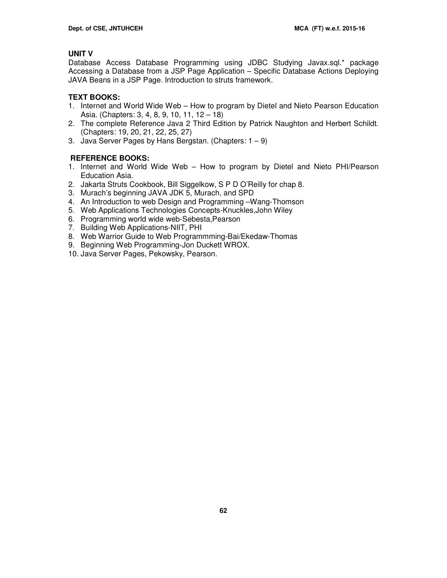# **UNIT V**

Database Access Database Programming using JDBC Studying Javax.sql.\* package Accessing a Database from a JSP Page Application – Specific Database Actions Deploying JAVA Beans in a JSP Page. Introduction to struts framework.

# **TEXT BOOKS:**

- 1. Internet and World Wide Web How to program by Dietel and Nieto Pearson Education Asia. (Chapters: 3, 4, 8, 9, 10, 11, 12 – 18)
- 2. The complete Reference Java 2 Third Edition by Patrick Naughton and Herbert Schildt. (Chapters: 19, 20, 21, 22, 25, 27)
- 3. Java Server Pages by Hans Bergstan. (Chapters:  $1 9$ )

# **REFERENCE BOOKS:**

- 1. Internet and World Wide Web How to program by Dietel and Nieto PHI/Pearson Education Asia.
- 2. Jakarta Struts Cookbook, Bill Siggelkow, S P D O'Reilly for chap 8.
- 3. Murach's beginning JAVA JDK 5, Murach, and SPD
- 4. An Introduction to web Design and Programming –Wang-Thomson
- 5. Web Applications Technologies Concepts-Knuckles,John Wiley
- 6. Programming world wide web-Sebesta,Pearson
- 7. Building Web Applications-NIIT, PHI
- 8. Web Warrior Guide to Web Programmming-Bai/Ekedaw-Thomas
- 9. Beginning Web Programming-Jon Duckett WROX.
- 10. Java Server Pages, Pekowsky, Pearson.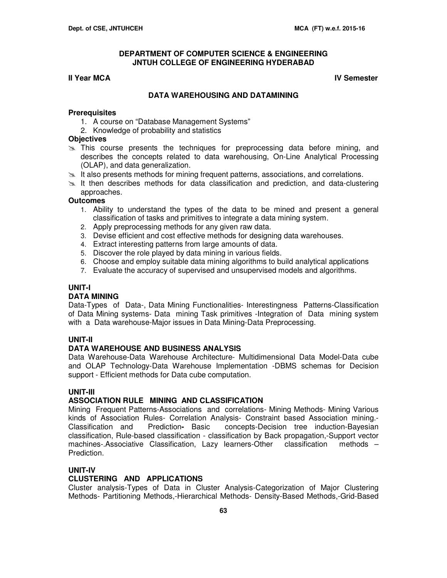#### **II Year MCA IV Semester**

#### **DATA WAREHOUSING AND DATAMINING**

#### **Prerequisites**

- 1. A course on "Database Management Systems"
- 2. Knowledge of probability and statistics

#### **Objectives**

- $\gg$  This course presents the techniques for preprocessing data before mining, and describes the concepts related to data warehousing, On-Line Analytical Processing (OLAP), and data generalization.
- $\geq$  It also presents methods for mining frequent patterns, associations, and correlations.
- $\geq$  It then describes methods for data classification and prediction, and data-clustering approaches.

#### **Outcomes**

- 1. Ability to understand the types of the data to be mined and present a general classification of tasks and primitives to integrate a data mining system.
- 2. Apply preprocessing methods for any given raw data.
- 3. Devise efficient and cost effective methods for designing data warehouses.
- 4. Extract interesting patterns from large amounts of data.
- 5. Discover the role played by data mining in various fields.
- 6. Choose and employ suitable data mining algorithms to build analytical applications
- 7. Evaluate the accuracy of supervised and unsupervised models and algorithms.

#### **UNIT-I**

#### **DATA MINING**

Data-Types of Data-, Data Mining Functionalities- Interestingness Patterns-Classification of Data Mining systems- Data mining Task primitives -Integration of Data mining system with a Data warehouse-Major issues in Data Mining-Data Preprocessing.

#### **UNIT-II**

#### **DATA WAREHOUSE AND BUSINESS ANALYSIS**

Data Warehouse-Data Warehouse Architecture- Multidimensional Data Model-Data cube and OLAP Technology-Data Warehouse Implementation -DBMS schemas for Decision support - Efficient methods for Data cube computation.

#### **UNIT-III**

#### **ASSOCIATION RULE MINING AND CLASSIFICATION**

Mining Frequent Patterns-Associations and correlations- Mining Methods- Mining Various kinds of Association Rules- Correlation Analysis- Constraint based Association mining.- Classification and Prediction**-** Basic concepts-Decision tree induction-Bayesian classification, Rule-based classification - classification by Back propagation,-Support vector machines-.Associative Classification, Lazy learners-Other classification methods – Prediction.

# **UNIT-IV**

#### **CLUSTERING AND APPLICATIONS**

Cluster analysis-Types of Data in Cluster Analysis-Categorization of Major Clustering Methods- Partitioning Methods,-Hierarchical Methods- Density-Based Methods,-Grid-Based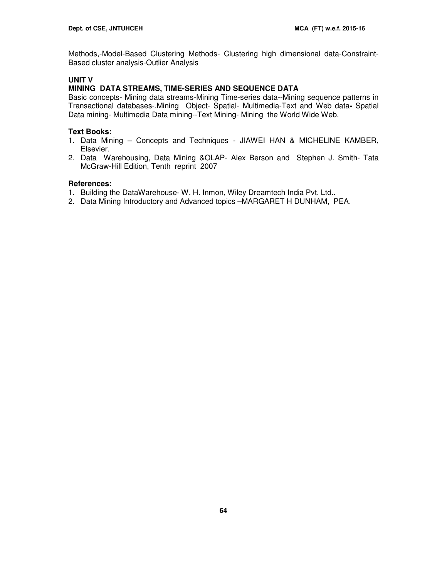Methods,-Model-Based Clustering Methods- Clustering high dimensional data-Constraint-Based cluster analysis-Outlier Analysis

# **UNIT V**

# **MINING DATA STREAMS, TIME-SERIES AND SEQUENCE DATA**

Basic concepts- Mining data streams-Mining Time-series data--Mining sequence patterns in Transactional databases-.Mining Object- Spatial- Multimedia-Text and Web data**-** Spatial Data mining- Multimedia Data mining--Text Mining- Mining the World Wide Web.

# **Text Books:**

- 1. Data Mining Concepts and Techniques JIAWEI HAN & MICHELINE KAMBER, Elsevier.
- 2. Data Warehousing, Data Mining &OLAP- Alex Berson and Stephen J. Smith- Tata McGraw-Hill Edition, Tenth reprint 2007

#### **References:**

- 1. Building the DataWarehouse- W. H. Inmon, Wiley Dreamtech India Pvt. Ltd..
- 2. Data Mining Introductory and Advanced topics –MARGARET H DUNHAM, PEA.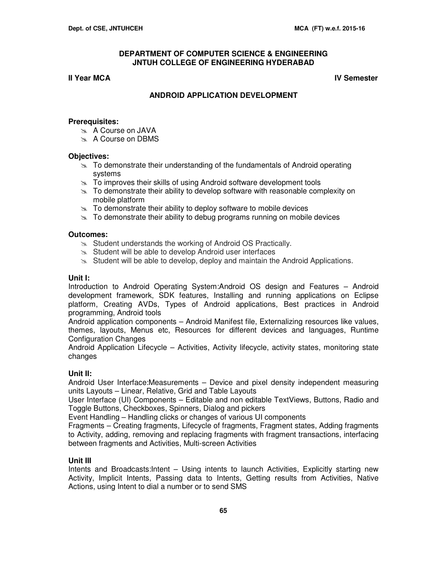#### **II Year MCA IV Semester IV Semester**

# **ANDROID APPLICATION DEVELOPMENT**

#### **Prerequisites:**

- A Course on JAVA
- A Course on DBMS

#### **Objectives:**

- $\approx$  To demonstrate their understanding of the fundamentals of Android operating systems
- $\geq$  To improves their skills of using Android software development tools
- $\geq$  To demonstrate their ability to develop software with reasonable complexity on mobile platform
- $\infty$  To demonstrate their ability to deploy software to mobile devices
- $\geq$  To demonstrate their ability to debug programs running on mobile devices

#### **Outcomes:**

- $\infty$  Student understands the working of Android OS Practically.
- $\approx$  Student will be able to develop Android user interfaces
- $\approx$  Student will be able to develop, deploy and maintain the Android Applications.

#### **Unit I:**

Introduction to Android Operating System:Android OS design and Features – Android development framework, SDK features, Installing and running applications on Eclipse platform, Creating AVDs, Types of Android applications, Best practices in Android programming, Android tools

Android application components – Android Manifest file, Externalizing resources like values, themes, layouts, Menus etc, Resources for different devices and languages, Runtime Configuration Changes

Android Application Lifecycle – Activities, Activity lifecycle, activity states, monitoring state changes

#### **Unit II:**

Android User Interface:Measurements – Device and pixel density independent measuring units Layouts – Linear, Relative, Grid and Table Layouts

User Interface (UI) Components – Editable and non editable TextViews, Buttons, Radio and Toggle Buttons, Checkboxes, Spinners, Dialog and pickers

Event Handling – Handling clicks or changes of various UI components

Fragments – Creating fragments, Lifecycle of fragments, Fragment states, Adding fragments to Activity, adding, removing and replacing fragments with fragment transactions, interfacing between fragments and Activities, Multi-screen Activities

#### **Unit III**

Intents and Broadcasts:Intent – Using intents to launch Activities, Explicitly starting new Activity, Implicit Intents, Passing data to Intents, Getting results from Activities, Native Actions, using Intent to dial a number or to send SMS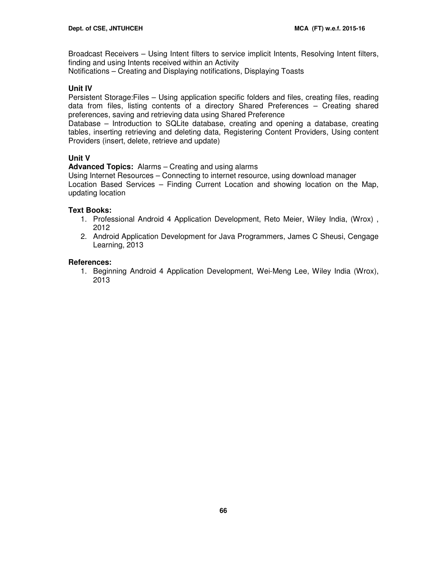Broadcast Receivers – Using Intent filters to service implicit Intents, Resolving Intent filters, finding and using Intents received within an Activity Notifications – Creating and Displaying notifications, Displaying Toasts

#### **Unit IV**

Persistent Storage:Files – Using application specific folders and files, creating files, reading data from files, listing contents of a directory Shared Preferences – Creating shared preferences, saving and retrieving data using Shared Preference

Database – Introduction to SQLite database, creating and opening a database, creating tables, inserting retrieving and deleting data, Registering Content Providers, Using content Providers (insert, delete, retrieve and update)

#### **Unit V**

**Advanced Topics:** Alarms – Creating and using alarms

Using Internet Resources – Connecting to internet resource, using download manager Location Based Services – Finding Current Location and showing location on the Map, updating location

#### **Text Books:**

- 1. Professional Android 4 Application Development, Reto Meier, Wiley India, (Wrox) , 2012
- 2. Android Application Development for Java Programmers, James C Sheusi, Cengage Learning, 2013

#### **References:**

1. Beginning Android 4 Application Development, Wei-Meng Lee, Wiley India (Wrox), 2013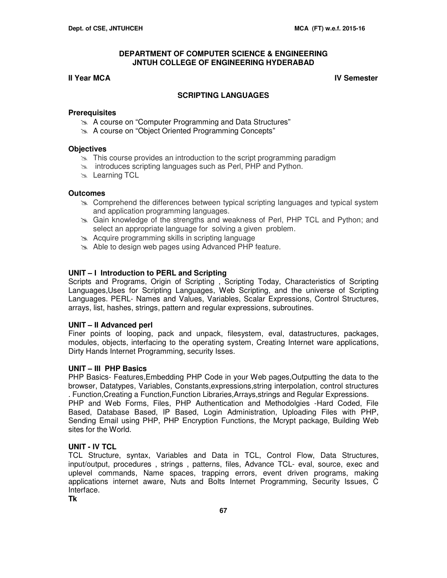# **II Year MCA IV Semester**

# **SCRIPTING LANGUAGES**

#### **Prerequisites**

- **A course on "Computer Programming and Data Structures"**
- A course on "Object Oriented Programming Concepts"

# **Objectives**

- $\geq$  This course provides an introduction to the script programming paradigm
- $\infty$  introduces scripting languages such as Perl, PHP and Python.
- **Examing TCL**

# **Outcomes**

- $\geq$  Comprehend the differences between typical scripting languages and typical system and application programming languages.
- Gain knowledge of the strengths and weakness of Perl, PHP TCL and Python; and select an appropriate language for solving a given problem.
- Acquire programming skills in scripting language
- Able to design web pages using Advanced PHP feature.

# **UNIT – I Introduction to PERL and Scripting**

Scripts and Programs, Origin of Scripting , Scripting Today, Characteristics of Scripting Languages,Uses for Scripting Languages, Web Scripting, and the universe of Scripting Languages. PERL- Names and Values, Variables, Scalar Expressions, Control Structures, arrays, list, hashes, strings, pattern and regular expressions, subroutines.

#### **UNIT – II Advanced perl**

Finer points of looping, pack and unpack, filesystem, eval, datastructures, packages, modules, objects, interfacing to the operating system, Creating Internet ware applications, Dirty Hands Internet Programming, security Isses.

#### **UNIT – III PHP Basics**

PHP Basics- Features,Embedding PHP Code in your Web pages,Outputting the data to the browser, Datatypes, Variables, Constants,expressions,string interpolation, control structures . Function,Creating a Function,Function Libraries,Arrays,strings and Regular Expressions. PHP and Web Forms, Files, PHP Authentication and Methodolgies -Hard Coded, File Based, Database Based, IP Based, Login Administration, Uploading Files with PHP, Sending Email using PHP, PHP Encryption Functions, the Mcrypt package, Building Web sites for the World.

# **UNIT - IV TCL**

TCL Structure, syntax, Variables and Data in TCL, Control Flow, Data Structures, input/output, procedures , strings , patterns, files, Advance TCL- eval, source, exec and uplevel commands, Name spaces, trapping errors, event driven programs, making applications internet aware, Nuts and Bolts Internet Programming, Security Issues, C Interface.

**Tk**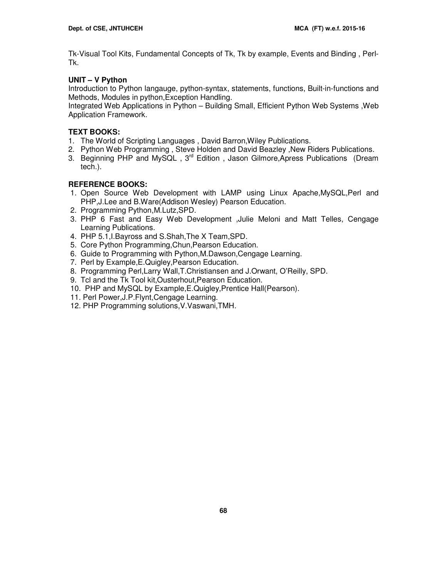Tk-Visual Tool Kits, Fundamental Concepts of Tk, Tk by example, Events and Binding , Perl-Tk.

# **UNIT – V Python**

Introduction to Python langauge, python-syntax, statements, functions, Built-in-functions and Methods, Modules in python,Exception Handling.

Integrated Web Applications in Python – Building Small, Efficient Python Web Systems ,Web Application Framework.

# **TEXT BOOKS:**

- 1. The World of Scripting Languages , David Barron,Wiley Publications.
- 2. Python Web Programming , Steve Holden and David Beazley ,New Riders Publications.
- 3. Beginning PHP and MySQL, 3<sup>rd</sup> Edition, Jason Gilmore, Apress Publications (Dream tech.).

# **REFERENCE BOOKS:**

- 1. Open Source Web Development with LAMP using Linux Apache,MySQL,Perl and PHP,J.Lee and B.Ware(Addison Wesley) Pearson Education.
- 2. Programming Python,M.Lutz,SPD.
- 3. PHP 6 Fast and Easy Web Development ,Julie Meloni and Matt Telles, Cengage Learning Publications.
- 4. PHP 5.1,I.Bayross and S.Shah,The X Team,SPD.
- 5. Core Python Programming,Chun,Pearson Education.
- 6. Guide to Programming with Python,M.Dawson,Cengage Learning.
- 7. Perl by Example,E.Quigley,Pearson Education.
- 8. Programming Perl,Larry Wall,T.Christiansen and J.Orwant, O'Reilly, SPD.
- 9. Tcl and the Tk Tool kit,Ousterhout,Pearson Education.
- 10. PHP and MySQL by Example,E.Quigley,Prentice Hall(Pearson).
- 11. Perl Power,J.P.Flynt,Cengage Learning.
- 12. PHP Programming solutions,V.Vaswani,TMH.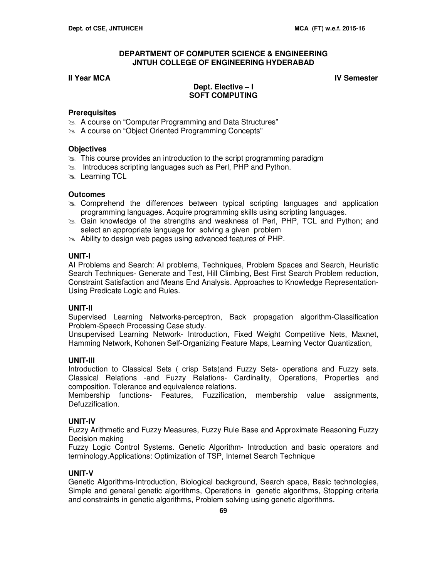# **II Year MCA IV Semester**

# **Dept. Elective – I SOFT COMPUTING**

# **Prerequisites**

- **A course on "Computer Programming and Data Structures"**
- **A course on "Object Oriented Programming Concepts"**

# **Objectives**

- $\geq$  This course provides an introduction to the script programming paradigm
- $\infty$  Introduces scripting languages such as Perl, PHP and Python.
- **Learning TCL**

# **Outcomes**

- Comprehend the differences between typical scripting languages and application programming languages. Acquire programming skills using scripting languages.
- Gain knowledge of the strengths and weakness of Perl, PHP, TCL and Python; and select an appropriate language for solving a given problem
- $\approx$  Ability to design web pages using advanced features of PHP.

# **UNIT-I**

AI Problems and Search: AI problems, Techniques, Problem Spaces and Search, Heuristic Search Techniques- Generate and Test, Hill Climbing, Best First Search Problem reduction, Constraint Satisfaction and Means End Analysis. Approaches to Knowledge Representation-Using Predicate Logic and Rules.

#### **UNIT-II**

Supervised Learning Networks-perceptron, Back propagation algorithm-Classification Problem-Speech Processing Case study.

Unsupervised Learning Network- Introduction, Fixed Weight Competitive Nets, Maxnet, Hamming Network, Kohonen Self-Organizing Feature Maps, Learning Vector Quantization,

#### **UNIT-III**

Introduction to Classical Sets ( crisp Sets)and Fuzzy Sets- operations and Fuzzy sets. Classical Relations -and Fuzzy Relations- Cardinality, Operations, Properties and composition. Tolerance and equivalence relations.

Membership functions- Features, Fuzzification, membership value assignments, Defuzzification.

# **UNIT-IV**

Fuzzy Arithmetic and Fuzzy Measures, Fuzzy Rule Base and Approximate Reasoning Fuzzy Decision making

Fuzzy Logic Control Systems. Genetic Algorithm- Introduction and basic operators and terminology.Applications: Optimization of TSP, Internet Search Technique

# **UNIT-V**

Genetic Algorithms-Introduction, Biological background, Search space, Basic technologies, Simple and general genetic algorithms, Operations in genetic algorithms, Stopping criteria and constraints in genetic algorithms, Problem solving using genetic algorithms.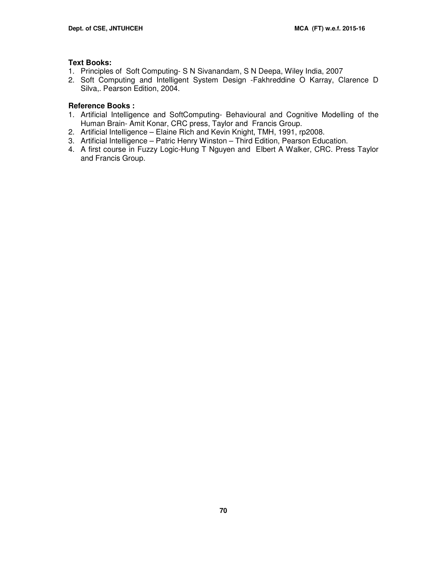#### **Text Books:**

- 1. Principles of Soft Computing- S N Sivanandam, S N Deepa, Wiley India, 2007
- 2. Soft Computing and Intelligent System Design -Fakhreddine O Karray, Clarence D Silva,. Pearson Edition, 2004.

# **Reference Books :**

- 1. Artificial Intelligence and SoftComputing- Behavioural and Cognitive Modelling of the Human Brain- Amit Konar, CRC press, Taylor and Francis Group.
- 2. Artificial Intelligence Elaine Rich and Kevin Knight, TMH, 1991, rp2008.
- 3. Artificial Intelligence Patric Henry Winston Third Edition, Pearson Education.
- 4. A first course in Fuzzy Logic-Hung T Nguyen and Elbert A Walker, CRC. Press Taylor and Francis Group.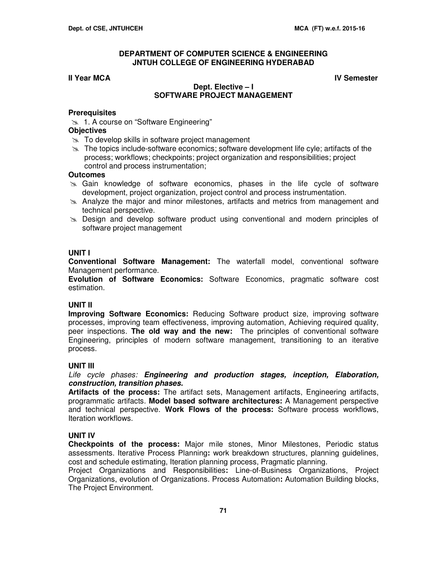#### **II Year MCA IV Semester**

#### **Dept. Elective – I SOFTWARE PROJECT MANAGEMENT**

#### **Prerequisites**

1. A course on "Software Engineering"

#### **Objectives**

- $\approx$  To develop skills in software project management
- $\geq$  The topics include-software economics; software development life cyle; artifacts of the process; workflows; checkpoints; project organization and responsibilities; project control and process instrumentation;

#### **Outcomes**

- Gain knowledge of software economics, phases in the life cycle of software development, project organization, project control and process instrumentation.
- Analyze the major and minor milestones, artifacts and metrics from management and technical perspective.
- $\geq$  Design and develop software product using conventional and modern principles of software project management

#### **UNIT I**

**Conventional Software Management:** The waterfall model, conventional software Management performance.

**Evolution of Software Economics:** Software Economics, pragmatic software cost estimation.

#### **UNIT II**

**Improving Software Economics:** Reducing Software product size, improving software processes, improving team effectiveness, improving automation, Achieving required quality, peer inspections. **The old way and the new:** The principles of conventional software Engineering, principles of modern software management, transitioning to an iterative process.

#### **UNIT III**

Life cycle phases: **Engineering and production stages, inception, Elaboration, construction, transition phases.** 

**Artifacts of the process:** The artifact sets, Management artifacts, Engineering artifacts, programmatic artifacts. **Model based software architectures:** A Management perspective and technical perspective. **Work Flows of the process:** Software process workflows, Iteration workflows.

#### **UNIT IV**

**Checkpoints of the process:** Major mile stones, Minor Milestones, Periodic status assessments. Iterative Process Planning**:** work breakdown structures, planning guidelines, cost and schedule estimating, Iteration planning process, Pragmatic planning.

Project Organizations and Responsibilities**:** Line-of-Business Organizations, Project Organizations, evolution of Organizations. Process Automation**:** Automation Building blocks, The Project Environment.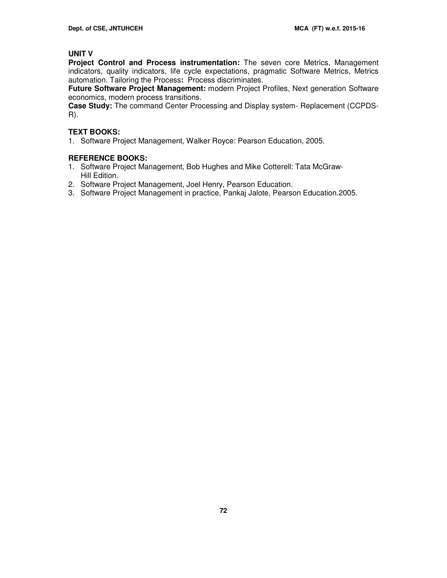# **UNIT V**

**Project Control and Process instrumentation:** The seven core Metrics, Management indicators, quality indicators, life cycle expectations, pragmatic Software Metrics, Metrics automation. Tailoring the Process**:** Process discriminates.

**Future Software Project Management:** modern Project Profiles, Next generation Software economics, modern process transitions.

**Case Study:** The command Center Processing and Display system- Replacement (CCPDS-R).

# **TEXT BOOKS:**

1. Software Project Management, Walker Royce: Pearson Education, 2005.

# **REFERENCE BOOKS:**

- 1. Software Project Management, Bob Hughes and Mike Cotterell: Tata McGraw-Hill Edition.
- 2. Software Project Management, Joel Henry, Pearson Education.
- 3. Software Project Management in practice, Pankaj Jalote, Pearson Education.2005.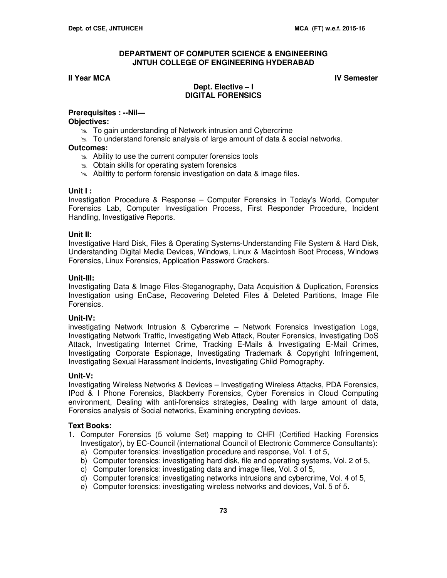**II Year MCA IV Semester IV Semester** 

# **Dept. Elective – I DIGITAL FORENSICS**

#### **Prerequisites : --Nil— Objectives:**

- $\approx$  To gain understanding of Network intrusion and Cybercrime
- $\approx$  To understand forensic analysis of large amount of data & social networks.

# **Outcomes:**

- $\approx$  Ability to use the current computer forensics tools
- $\infty$  Obtain skills for operating system forensics
- $\approx$  Abiltity to perform forensic investigation on data & image files.

# **Unit I :**

Investigation Procedure & Response – Computer Forensics in Today's World, Computer Forensics Lab, Computer Investigation Process, First Responder Procedure, Incident Handling, Investigative Reports.

# **Unit II:**

Investigative Hard Disk, Files & Operating Systems-Understanding File System & Hard Disk, Understanding Digital Media Devices, Windows, Linux & Macintosh Boot Process, Windows Forensics, Linux Forensics, Application Password Crackers.

# **Unit-III:**

Investigating Data & Image Files-Steganography, Data Acquisition & Duplication, Forensics Investigation using EnCase, Recovering Deleted Files & Deleted Partitions, Image File Forensics.

# **Unit-IV:**

investigating Network Intrusion & Cybercrime – Network Forensics Investigation Logs, Investigating Network Traffic, Investigating Web Attack, Router Forensics, Investigating DoS Attack, Investigating Internet Crime, Tracking E-Mails & Investigating E-Mail Crimes, Investigating Corporate Espionage, Investigating Trademark & Copyright Infringement, Investigating Sexual Harassment Incidents, Investigating Child Pornography.

# **Unit-V:**

Investigating Wireless Networks & Devices – Investigating Wireless Attacks, PDA Forensics, IPod & I Phone Forensics, Blackberry Forensics, Cyber Forensics in Cloud Computing environment, Dealing with anti-forensics strategies, Dealing with large amount of data, Forensics analysis of Social networks, Examining encrypting devices.

# **Text Books:**

- 1. Computer Forensics (5 volume Set) mapping to CHFI (Certified Hacking Forensics Investigator), by EC-Council (international Council of Electronic Commerce Consultants):
	- a) Computer forensics: investigation procedure and response, Vol. 1 of 5,
	- b) Computer forensics: investigating hard disk, file and operating systems, Vol. 2 of 5,
	- c) Computer forensics: investigating data and image files, Vol. 3 of 5,
	- d) Computer forensics: investigating networks intrusions and cybercrime, Vol. 4 of 5,
	- e) Computer forensics: investigating wireless networks and devices, Vol. 5 of 5.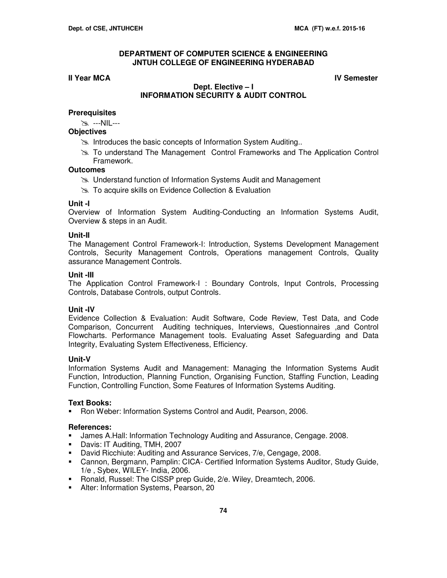# **II Year MCA IV Semester**

# **Dept. Elective – I INFORMATION SECURITY & AUDIT CONTROL**

# **Prerequisites**

---NIL---

# **Objectives**

- **Introduces the basic concepts of Information System Auditing..**
- To understand The Management Control Frameworks and The Application Control Framework.

# **Outcomes**

- Understand function of Information Systems Audit and Management
- **EXALUATION Acceptive Skills on Evidence Collection & Evaluation**

# **Unit -I**

Overview of Information System Auditing-Conducting an Information Systems Audit, Overview & steps in an Audit.

# **Unit-II**

The Management Control Framework-I: Introduction, Systems Development Management Controls, Security Management Controls, Operations management Controls, Quality assurance Management Controls.

# **Unit -III**

The Application Control Framework-I : Boundary Controls, Input Controls, Processing Controls, Database Controls, output Controls.

# **Unit -IV**

Evidence Collection & Evaluation: Audit Software, Code Review, Test Data, and Code Comparison, Concurrent Auditing techniques, Interviews, Questionnaires ,and Control Flowcharts. Performance Management tools. Evaluating Asset Safeguarding and Data Integrity, Evaluating System Effectiveness, Efficiency.

# **Unit-V**

Information Systems Audit and Management: Managing the Information Systems Audit Function, Introduction, Planning Function, Organising Function, Staffing Function, Leading Function, Controlling Function, Some Features of Information Systems Auditing.

# **Text Books:**

Ron Weber: Information Systems Control and Audit, Pearson, 2006.

# **References:**

- **James A.Hall: Information Technology Auditing and Assurance, Cengage. 2008.**
- Davis: IT Auditing, TMH, 2007
- David Ricchiute: Auditing and Assurance Services, 7/e, Cengage, 2008.
- Cannon, Bergmann, Pamplin: CICA- Certified Information Systems Auditor, Study Guide, 1/e , Sybex, WILEY- India, 2006.
- **Ronald, Russel: The CISSP prep Guide, 2/e. Wiley, Dreamtech, 2006.**
- **Alter: Information Systems, Pearson, 20**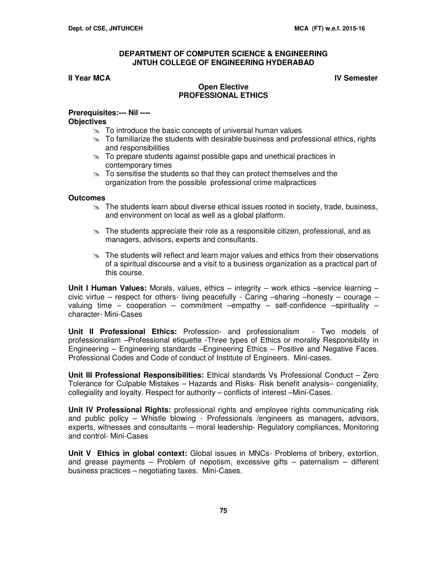#### **II Year MCA IV Semester**

# **Open Elective PROFESSIONAL ETHICS**

#### **Prerequisites:--- Nil ---- Objectives**

- $\geq$  To introduce the basic concepts of universal human values
- $\geq$  To familiarize the students with desirable business and professional ethics, rights and responsibilities
- $\infty$  To prepare students against possible gaps and unethical practices in contemporary times
- $\approx$  To sensitise the students so that they can protect themselves and the organization from the possible professional crime malpractices

### **Outcomes**

- $\geq$  The students learn about diverse ethical issues rooted in society, trade, business, and environment on local as well as a global platform.
- $\geq$  The students appreciate their role as a responsible citizen, professional, and as managers, advisors, experts and consultants.
- $\geq$  The students will reflect and learn major values and ethics from their observations of a spiritual discourse and a visit to a business organization as a practical part of this course.

**Unit I Human Values:** Morals, values, ethics – integrity – work ethics –service learning – civic virtue – respect for others- living peacefully - Caring –sharing –honesty – courage – valuing time – cooperation – commitment –empathy – self-confidence –spirituality – character- Mini-Cases

**Unit II Professional Ethics:** Profession- and professionalism - Two models of professionalism –Professional etiquette -Three types of Ethics or morality Responsibility in Engineering – Engineering standards –Engineering Ethics – Positive and Negative Faces. Professional Codes and Code of conduct of Institute of Engineers. Mini-cases.

**Unit III Professional Responsibilities:** Ethical standards Vs Professional Conduct – Zero Tolerance for Culpable Mistakes – Hazards and Risks- Risk benefit analysis– congeniality, collegiality and loyalty. Respect for authority – conflicts of interest –Mini-Cases.

**Unit IV Professional Rights:** professional rights and employee rights communicating risk and public policy – Whistle blowing - Professionals /engineers as managers, advisors, experts, witnesses and consultants – moral leadership- Regulatory compliances, Monitoring and control- Mini-Cases

**Unit V Ethics in global context:** Global issues in MNCs- Problems of bribery, extortion, and grease payments – Problem of nepotism, excessive gifts – paternalism – different business practices – negotiating taxes. Mini-Cases.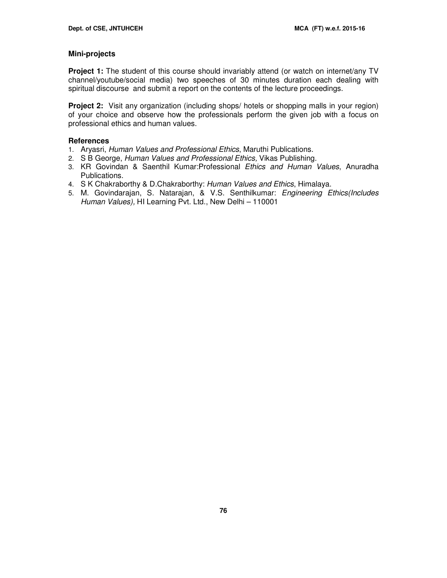# **Mini-projects**

**Project 1:** The student of this course should invariably attend (or watch on internet/any TV channel/youtube/social media) two speeches of 30 minutes duration each dealing with spiritual discourse and submit a report on the contents of the lecture proceedings.

**Project 2:** Visit any organization (including shops/ hotels or shopping malls in your region) of your choice and observe how the professionals perform the given job with a focus on professional ethics and human values.

# **References**

- 1. Aryasri, Human Values and Professional Ethics, Maruthi Publications.
- 2. S B George, Human Values and Professional Ethics, Vikas Publishing.
- 3. KR Govindan & Saenthil Kumar:Professional Ethics and Human Values, Anuradha Publications.
- 4. S K Chakraborthy & D.Chakraborthy: Human Values and Ethics, Himalaya.
- 5. M. Govindarajan, S. Natarajan, & V.S. Senthilkumar: Engineering Ethics(Includes Human Values), HI Learning Pvt. Ltd., New Delhi – 110001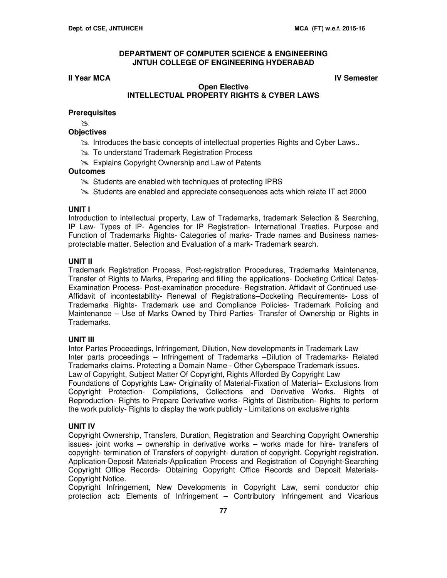# **II Year MCA IV Semester**

# **Open Elective INTELLECTUAL PROPERTY RIGHTS & CYBER LAWS**

# **Prerequisites**

 $\mathbb{X}$ 

# **Objectives**

- Introduces the basic concepts of intellectual properties Rights and Cyber Laws..
- **EX** To understand Trademark Registration Process
- **Explains Copyright Ownership and Law of Patents**

# **Outcomes**

- Students are enabled with techniques of protecting IPRS
- Students are enabled and appreciate consequences acts which relate IT act 2000

# **UNIT I**

Introduction to intellectual property, Law of Trademarks, trademark Selection & Searching, IP Law- Types of IP- Agencies for IP Registration- International Treaties. Purpose and Function of Trademarks Rights- Categories of marks- Trade names and Business namesprotectable matter. Selection and Evaluation of a mark- Trademark search.

# **UNIT II**

Trademark Registration Process, Post-registration Procedures, Trademarks Maintenance, Transfer of Rights to Marks, Preparing and filling the applications- Docketing Critical Dates-Examination Process- Post-examination procedure- Registration. Affidavit of Continued use-Affidavit of incontestability- Renewal of Registrations–Docketing Requirements- Loss of Trademarks Rights- Trademark use and Compliance Policies- Trademark Policing and Maintenance – Use of Marks Owned by Third Parties- Transfer of Ownership or Rights in Trademarks.

# **UNIT III**

Inter Partes Proceedings, Infringement, Dilution, New developments in Trademark Law Inter parts proceedings – Infringement of Trademarks –Dilution of Trademarks- Related Trademarks claims. Protecting a Domain Name - Other Cyberspace Trademark issues. Law of Copyright, Subject Matter Of Copyright, Rights Afforded By Copyright Law Foundations of Copyrights Law- Originality of Material-Fixation of Material– Exclusions from Copyright Protection- Compilations, Collections and Derivative Works. Rights of Reproduction- Rights to Prepare Derivative works- Rights of Distribution- Rights to perform the work publicly- Rights to display the work publicly - Limitations on exclusive rights

# **UNIT IV**

Copyright Ownership, Transfers, Duration, Registration and Searching Copyright Ownership issues- joint works – ownership in derivative works – works made for hire- transfers of copyright- termination of Transfers of copyright- duration of copyright. Copyright registration. Application-Deposit Materials-Application Process and Registration of Copyright-Searching Copyright Office Records- Obtaining Copyright Office Records and Deposit Materials-Copyright Notice.

Copyright Infringement, New Developments in Copyright Law, semi conductor chip protection act**:** Elements of Infringement – Contributory Infringement and Vicarious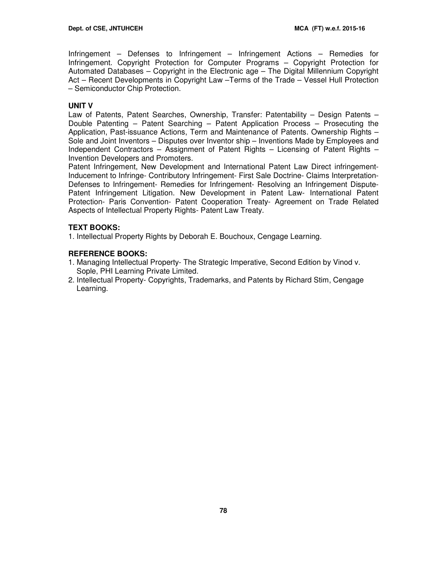Infringement – Defenses to Infringement – Infringement Actions – Remedies for Infringement. Copyright Protection for Computer Programs – Copyright Protection for Automated Databases – Copyright in the Electronic age – The Digital Millennium Copyright Act – Recent Developments in Copyright Law –Terms of the Trade – Vessel Hull Protection – Semiconductor Chip Protection.

# **UNIT V**

Law of Patents, Patent Searches, Ownership, Transfer: Patentability – Design Patents – Double Patenting – Patent Searching – Patent Application Process – Prosecuting the Application, Past-issuance Actions, Term and Maintenance of Patents. Ownership Rights – Sole and Joint Inventors – Disputes over Inventor ship – Inventions Made by Employees and Independent Contractors – Assignment of Patent Rights – Licensing of Patent Rights – Invention Developers and Promoters.

Patent Infringement, New Development and International Patent Law Direct infringement-Inducement to Infringe- Contributory Infringement- First Sale Doctrine- Claims Interpretation-Defenses to Infringement- Remedies for Infringement- Resolving an Infringement Dispute-Patent Infringement Litigation. New Development in Patent Law- International Patent Protection- Paris Convention- Patent Cooperation Treaty- Agreement on Trade Related Aspects of Intellectual Property Rights- Patent Law Treaty.

# **TEXT BOOKS:**

1. Intellectual Property Rights by Deborah E. Bouchoux, Cengage Learning.

# **REFERENCE BOOKS:**

- 1. Managing Intellectual Property- The Strategic Imperative, Second Edition by Vinod v. Sople, PHI Learning Private Limited.
- 2. Intellectual Property- Copyrights, Trademarks, and Patents by Richard Stim, Cengage Learning.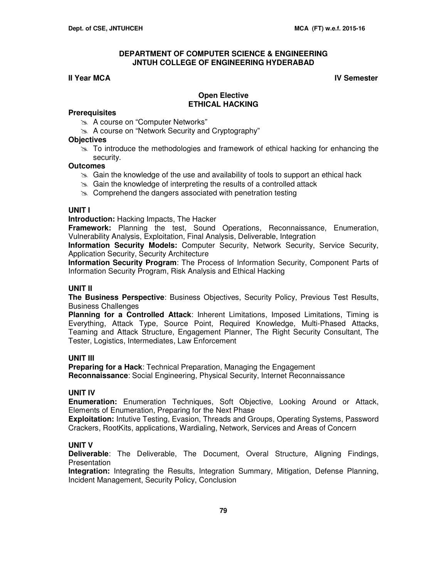# **II Year MCA IV Semester**

# **Open Elective ETHICAL HACKING**

# **Prerequisites**

- A course on "Computer Networks"
- A course on "Network Security and Cryptography"

# **Objectives**

 $\geq$  To introduce the methodologies and framework of ethical hacking for enhancing the security.

# **Outcomes**

- $\gg$  Gain the knowledge of the use and availability of tools to support an ethical hack
- $\approx$  Gain the knowledge of interpreting the results of a controlled attack
- $\infty$  Comprehend the dangers associated with penetration testing

### **UNIT I**

**Introduction:** Hacking Impacts, The Hacker

**Framework:** Planning the test, Sound Operations, Reconnaissance, Enumeration, Vulnerability Analysis, Exploitation, Final Analysis, Deliverable, Integration

**Information Security Models:** Computer Security, Network Security, Service Security, Application Security, Security Architecture

**Information Security Program**: The Process of Information Security, Component Parts of Information Security Program, Risk Analysis and Ethical Hacking

# **UNIT II**

**The Business Perspective**: Business Objectives, Security Policy, Previous Test Results, Business Challenges

**Planning for a Controlled Attack**: Inherent Limitations, Imposed Limitations, Timing is Everything, Attack Type, Source Point, Required Knowledge, Multi-Phased Attacks, Teaming and Attack Structure, Engagement Planner, The Right Security Consultant, The Tester, Logistics, Intermediates, Law Enforcement

# **UNIT III**

**Preparing for a Hack**: Technical Preparation, Managing the Engagement **Reconnaissance**: Social Engineering, Physical Security, Internet Reconnaissance

# **UNIT IV**

**Enumeration:** Enumeration Techniques, Soft Objective, Looking Around or Attack, Elements of Enumeration, Preparing for the Next Phase

**Exploitation:** Intutive Testing, Evasion, Threads and Groups, Operating Systems, Password Crackers, RootKits, applications, Wardialing, Network, Services and Areas of Concern

# **UNIT V**

**Deliverable**: The Deliverable, The Document, Overal Structure, Aligning Findings, **Presentation** 

**Integration:** Integrating the Results, Integration Summary, Mitigation, Defense Planning, Incident Management, Security Policy, Conclusion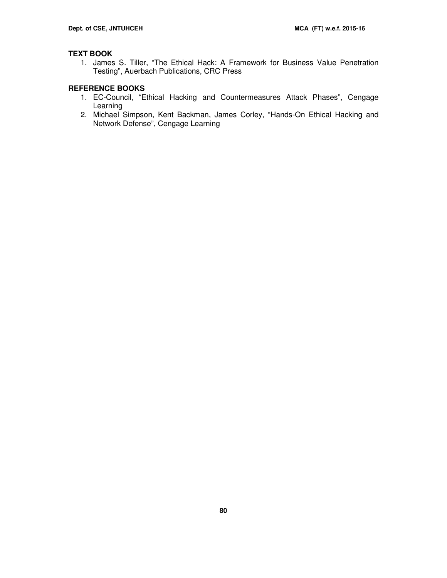# **TEXT BOOK**

1. James S. Tiller, "The Ethical Hack: A Framework for Business Value Penetration Testing", Auerbach Publications, CRC Press

# **REFERENCE BOOKS**

- 1. EC-Council, "Ethical Hacking and Countermeasures Attack Phases", Cengage Learning
- 2. Michael Simpson, Kent Backman, James Corley, "Hands-On Ethical Hacking and Network Defense", Cengage Learning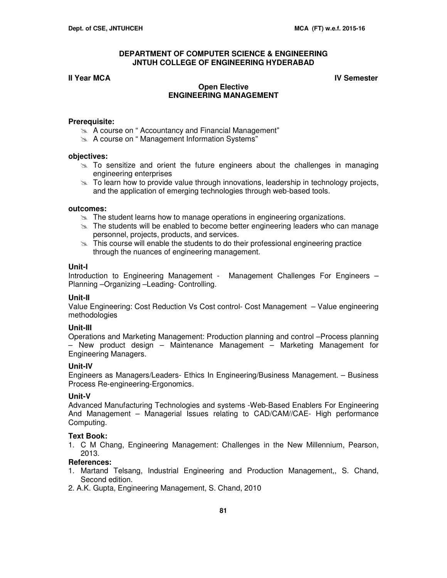## **II Year MCA IV Semester**

# **Open Elective ENGINEERING MANAGEMENT**

#### **Prerequisite:**

- A course on " Accountancy and Financial Management"
- **A course on "Management Information Systems"**

#### **objectives:**

- $\geq$  To sensitize and orient the future engineers about the challenges in managing engineering enterprises
- $\geq$  To learn how to provide value through innovations, leadership in technology projects, and the application of emerging technologies through web-based tools.

## **outcomes:**

- $\mathbb{R}$  The student learns how to manage operations in engineering organizations.
- $\geq$  The students will be enabled to become better engineering leaders who can manage personnel, projects, products, and services.
- $\geq$  This course will enable the students to do their professional engineering practice through the nuances of engineering management.

#### **Unit-I**

Introduction to Engineering Management - Management Challenges For Engineers – Planning –Organizing –Leading- Controlling.

#### **Unit-II**

Value Engineering: Cost Reduction Vs Cost control- Cost Management – Value engineering methodologies

### **Unit-III**

Operations and Marketing Management: Production planning and control –Process planning – New product design – Maintenance Management – Marketing Management for Engineering Managers.

#### **Unit-IV**

Engineers as Managers/Leaders- Ethics In Engineering/Business Management. – Business Process Re-engineering-Ergonomics.

#### **Unit-V**

Advanced Manufacturing Technologies and systems -Web-Based Enablers For Engineering And Management – Managerial Issues relating to CAD/CAM//CAE- High performance Computing.

#### **Text Book:**

1. C M Chang, Engineering Management: Challenges in the New Millennium, Pearson, 2013.

#### **References:**

- 1. Martand Telsang, Industrial Engineering and Production Management,, S. Chand, Second edition.
- 2. A.K. Gupta, Engineering Management, S. Chand, 2010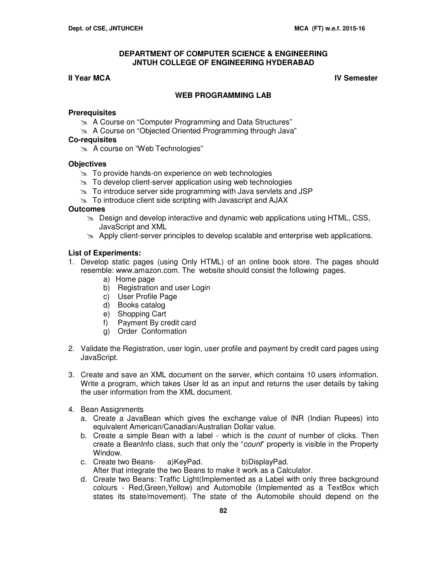## **II Year MCA IV Semester**

## **WEB PROGRAMMING LAB**

#### **Prerequisites**

- **A Course on "Computer Programming and Data Structures"**
- **A Course on "Objected Oriented Programming through Java"**

# **Co-requisites**

A course on "Web Technologies"

## **Objectives**

- $\approx$  To provide hands-on experience on web technologies
- $\geq$  To develop client-server application using web technologies
- $\geq$  To introduce server side programming with Java servlets and JSP
- $\approx$  To introduce client side scripting with Javascript and AJAX

### **Outcomes**

- $\gg$  Design and develop interactive and dynamic web applications using HTML, CSS, JavaScript and XML
- $\geq$  Apply client-server principles to develop scalable and enterprise web applications.

## **List of Experiments:**

- 1. Develop static pages (using Only HTML) of an online book store. The pages should resemble: www.amazon.com. The website should consist the following pages.
	- a) Home page
	- b) Registration and user Login
	- c) User Profile Page
	- d) Books catalog
	- e) Shopping Cart
	- f) Payment By credit card
	- g) Order Conformation
- 2. Validate the Registration, user login, user profile and payment by credit card pages using JavaScript.
- 3. Create and save an XML document on the server, which contains 10 users information. Write a program, which takes User Id as an input and returns the user details by taking the user information from the XML document.
- 4. Bean Assignments
	- a. Create a JavaBean which gives the exchange value of INR (Indian Rupees) into equivalent American/Canadian/Australian Dollar value.
	- b. Create a simple Bean with a label which is the *count* of number of clicks. Then create a BeanInfo class, such that only the "count" property is visible in the Property Window.
	- c. Create two Beans- a)KeyPad. b)DisplayPad. After that integrate the two Beans to make it work as a Calculator.
	- d. Create two Beans: Traffic Light(Implemented as a Label with only three background colours - Red,Green,Yellow) and Automobile (Implemented as a TextBox which states its state/movement). The state of the Automobile should depend on the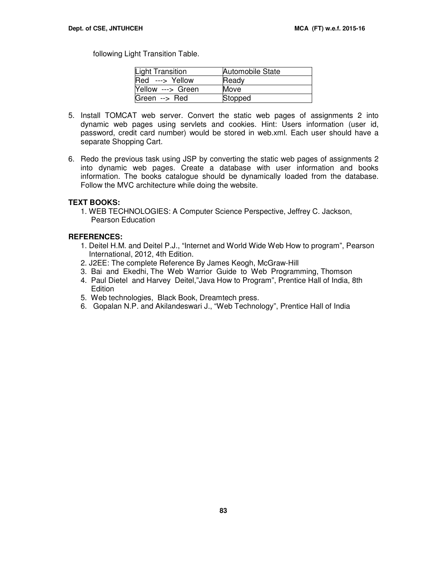following Light Transition Table.

| <b>Light Transition</b> | <b>Automobile State</b> |
|-------------------------|-------------------------|
| Red ---> Yellow         | Ready                   |
| Yellow ---> Green       | Move                    |
| Green --> Red           | Stopped                 |

- 5. Install TOMCAT web server. Convert the static web pages of assignments 2 into dynamic web pages using servlets and cookies. Hint: Users information (user id, password, credit card number) would be stored in web.xml. Each user should have a separate Shopping Cart.
- 6. Redo the previous task using JSP by converting the static web pages of assignments 2 into dynamic web pages. Create a database with user information and books information. The books catalogue should be dynamically loaded from the database. Follow the MVC architecture while doing the website.

#### **TEXT BOOKS:**

1. WEB TECHNOLOGIES: A Computer Science Perspective, Jeffrey C. Jackson, Pearson Education

## **REFERENCES:**

- 1. Deitel H.M. and Deitel P.J., "Internet and World Wide Web How to program", Pearson International, 2012, 4th Edition.
- 2. J2EE: The complete Reference By James Keogh, McGraw-Hill
- 3. Bai and Ekedhi, The Web Warrior Guide to Web Programming, Thomson
- 4. Paul Dietel and Harvey Deitel,"Java How to Program", Prentice Hall of India, 8th **Edition**
- 5. Web technologies, Black Book, Dreamtech press.
- 6. Gopalan N.P. and Akilandeswari J., "Web Technology", Prentice Hall of India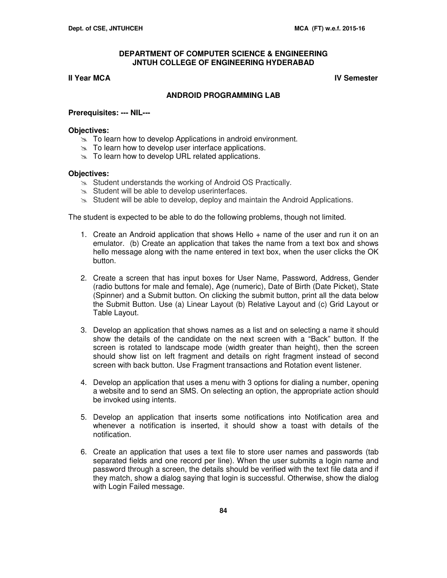# **II Year MCA IV Semester**

# **ANDROID PROGRAMMING LAB**

### **Prerequisites: --- NIL---**

### **Objectives:**

- $\geq$  To learn how to develop Applications in android environment.
- $\geq$  To learn how to develop user interface applications.
- $\infty$  To learn how to develop URL related applications.

### **Objectives:**

- $\infty$  Student understands the working of Android OS Practically.
- $\approx$  Student will be able to develop userinterfaces.
- $\geq$  Student will be able to develop, deploy and maintain the Android Applications.

The student is expected to be able to do the following problems, though not limited.

- 1. Create an Android application that shows Hello + name of the user and run it on an emulator. (b) Create an application that takes the name from a text box and shows hello message along with the name entered in text box, when the user clicks the OK button.
- 2. Create a screen that has input boxes for User Name, Password, Address, Gender (radio buttons for male and female), Age (numeric), Date of Birth (Date Picket), State (Spinner) and a Submit button. On clicking the submit button, print all the data below the Submit Button. Use (a) Linear Layout (b) Relative Layout and (c) Grid Layout or Table Layout.
- 3. Develop an application that shows names as a list and on selecting a name it should show the details of the candidate on the next screen with a "Back" button. If the screen is rotated to landscape mode (width greater than height), then the screen should show list on left fragment and details on right fragment instead of second screen with back button. Use Fragment transactions and Rotation event listener.
- 4. Develop an application that uses a menu with 3 options for dialing a number, opening a website and to send an SMS. On selecting an option, the appropriate action should be invoked using intents.
- 5. Develop an application that inserts some notifications into Notification area and whenever a notification is inserted, it should show a toast with details of the notification.
- 6. Create an application that uses a text file to store user names and passwords (tab separated fields and one record per line). When the user submits a login name and password through a screen, the details should be verified with the text file data and if they match, show a dialog saying that login is successful. Otherwise, show the dialog with Login Failed message.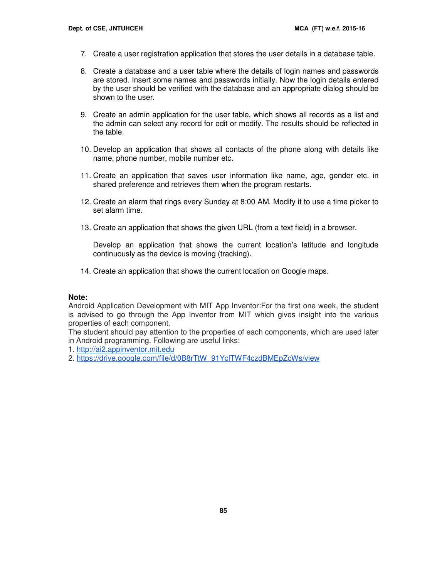- 7. Create a user registration application that stores the user details in a database table.
- 8. Create a database and a user table where the details of login names and passwords are stored. Insert some names and passwords initially. Now the login details entered by the user should be verified with the database and an appropriate dialog should be shown to the user.
- 9. Create an admin application for the user table, which shows all records as a list and the admin can select any record for edit or modify. The results should be reflected in the table.
- 10. Develop an application that shows all contacts of the phone along with details like name, phone number, mobile number etc.
- 11. Create an application that saves user information like name, age, gender etc. in shared preference and retrieves them when the program restarts.
- 12. Create an alarm that rings every Sunday at 8:00 AM. Modify it to use a time picker to set alarm time.
- 13. Create an application that shows the given URL (from a text field) in a browser.

Develop an application that shows the current location's latitude and longitude continuously as the device is moving (tracking).

14. Create an application that shows the current location on Google maps.

# **Note:**

Android Application Development with MIT App Inventor:For the first one week, the student is advised to go through the App Inventor from MIT which gives insight into the various properties of each component.

The student should pay attention to the properties of each components, which are used later in Android programming. Following are useful links:

1. http://ai2.appinventor.mit.edu

2. https://drive.google.com/file/d/0B8rTtW\_91YclTWF4czdBMEpZcWs/view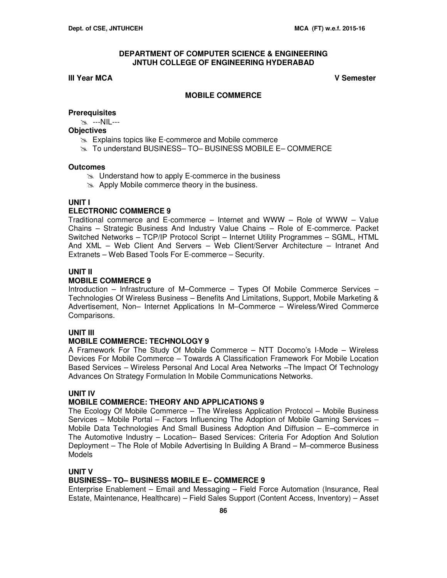# **III Year MCA V Semester**

# **MOBILE COMMERCE**

# **Prerequisites**

---NIL---

#### **Objectives**

- $\geq$  Explains topics like E-commerce and Mobile commerce
- To understand BUSINESS– TO– BUSINESS MOBILE E– COMMERCE

### **Outcomes**

- $\approx$  Understand how to apply E-commerce in the business
- $\gg$  Apply Mobile commerce theory in the business.

# **UNIT I**

# **ELECTRONIC COMMERCE 9**

Traditional commerce and E-commerce – Internet and WWW – Role of WWW – Value Chains – Strategic Business And Industry Value Chains – Role of E-commerce. Packet Switched Networks – TCP/IP Protocol Script – Internet Utility Programmes – SGML, HTML And XML – Web Client And Servers – Web Client/Server Architecture – Intranet And Extranets – Web Based Tools For E-commerce – Security.

# **UNIT II**

# **MOBILE COMMERCE 9**

Introduction – Infrastructure of M–Commerce – Types Of Mobile Commerce Services – Technologies Of Wireless Business – Benefits And Limitations, Support, Mobile Marketing & Advertisement, Non– Internet Applications In M–Commerce – Wireless/Wired Commerce Comparisons.

# **UNIT III**

# **MOBILE COMMERCE: TECHNOLOGY 9**

A Framework For The Study Of Mobile Commerce – NTT Docomo's I-Mode – Wireless Devices For Mobile Commerce – Towards A Classification Framework For Mobile Location Based Services – Wireless Personal And Local Area Networks –The Impact Of Technology Advances On Strategy Formulation In Mobile Communications Networks.

# **UNIT IV**

# **MOBILE COMMERCE: THEORY AND APPLICATIONS 9**

The Ecology Of Mobile Commerce – The Wireless Application Protocol – Mobile Business Services – Mobile Portal – Factors Influencing The Adoption of Mobile Gaming Services – Mobile Data Technologies And Small Business Adoption And Diffusion – E–commerce in The Automotive Industry – Location– Based Services: Criteria For Adoption And Solution Deployment – The Role of Mobile Advertising In Building A Brand – M–commerce Business **Models** 

#### **UNIT V**

# **BUSINESS– TO– BUSINESS MOBILE E– COMMERCE 9**

Enterprise Enablement – Email and Messaging – Field Force Automation (Insurance, Real Estate, Maintenance, Healthcare) – Field Sales Support (Content Access, Inventory) – Asset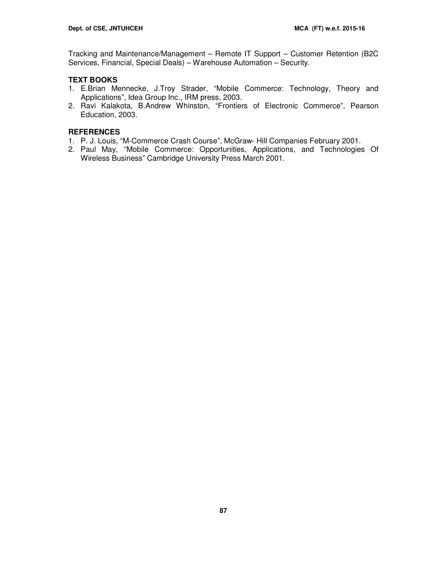Tracking and Maintenance/Management – Remote IT Support – Customer Retention (B2C Services, Financial, Special Deals) – Warehouse Automation – Security.

# **TEXT BOOKS**

- 1. E.Brian Mennecke, J.Troy Strader, "Mobile Commerce: Technology, Theory and Applications", Idea Group Inc., IRM press, 2003.
- 2. Ravi Kalakota, B.Andrew Whinston, "Frontiers of Electronic Commerce", Pearson Education, 2003.

# **REFERENCES**

- 1. P. J. Louis, "M-Commerce Crash Course", McGraw- Hill Companies February 2001.
- 2. Paul May, "Mobile Commerce: Opportunities, Applications, and Technologies Of Wireless Business" Cambridge University Press March 2001.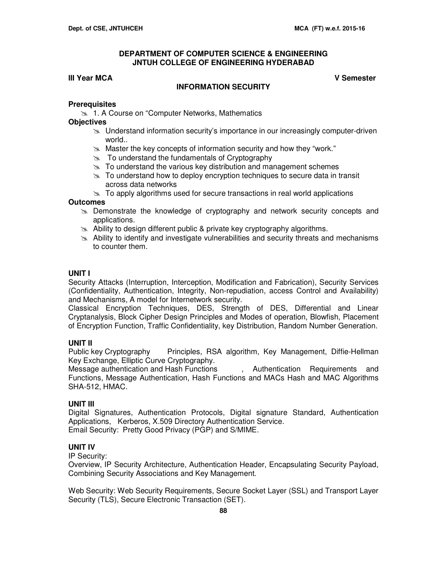# **III Year MCA V Semester**

# **INFORMATION SECURITY**

# **Prerequisites**

**1. A Course on "Computer Networks, Mathematics** 

# **Objectives**

- $\geq$  Understand information security's importance in our increasingly computer-driven world..
- $\approx$  Master the key concepts of information security and how they "work."
- $\approx$  To understand the fundamentals of Cryptography
- $\geq$  To understand the various key distribution and management schemes
- $\gg$  To understand how to deploy encryption techniques to secure data in transit across data networks
- $\geq$  To apply algorithms used for secure transactions in real world applications

# **Outcomes**

- $\geq$  Demonstrate the knowledge of cryptography and network security concepts and applications.
- $\approx$  Ability to design different public & private key cryptography algorithms.
- $\geq$  Ability to identify and investigate vulnerabilities and security threats and mechanisms to counter them.

# **UNIT I**

Security Attacks (Interruption, Interception, Modification and Fabrication), Security Services (Confidentiality, Authentication, Integrity, Non-repudiation, access Control and Availability) and Mechanisms, A model for Internetwork security.

Classical Encryption Techniques, DES, Strength of DES, Differential and Linear Cryptanalysis, Block Cipher Design Principles and Modes of operation, Blowfish, Placement of Encryption Function, Traffic Confidentiality, key Distribution, Random Number Generation.

# **UNIT II**

Public key Cryptography Principles, RSA algorithm, Key Management, Diffie-Hellman Key Exchange, Elliptic Curve Cryptography.

Message authentication and Hash Functions , Authentication Requirements and Functions, Message Authentication, Hash Functions and MACs Hash and MAC Algorithms SHA-512, HMAC.

# **UNIT III**

Digital Signatures, Authentication Protocols, Digital signature Standard, Authentication Applications, Kerberos, X.509 Directory Authentication Service. Email Security: Pretty Good Privacy (PGP) and S/MIME.

# **UNIT IV**

IP Security:

Overview, IP Security Architecture, Authentication Header, Encapsulating Security Payload, Combining Security Associations and Key Management.

Web Security: Web Security Requirements, Secure Socket Layer (SSL) and Transport Layer Security (TLS), Secure Electronic Transaction (SET).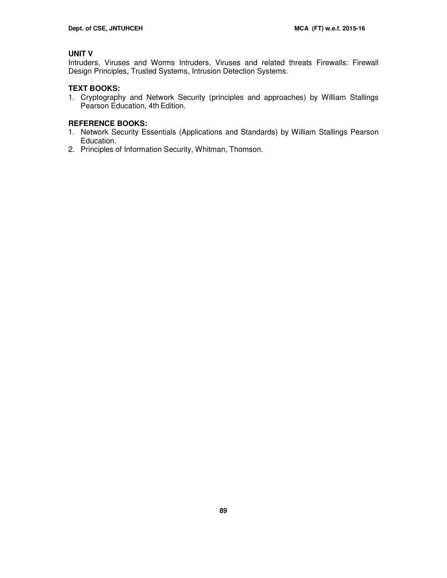# **UNIT V**

Intruders, Viruses and Worms Intruders, Viruses and related threats Firewalls: Firewall Design Principles, Trusted Systems, Intrusion Detection Systems.

# **TEXT BOOKS:**

1. Cryptography and Network Security (principles and approaches) by William Stallings Pearson Education, 4th Edition.

# **REFERENCE BOOKS:**

- 1. Network Security Essentials (Applications and Standards) by William Stallings Pearson Education.
- 2. Principles of Information Security, Whitman, Thomson.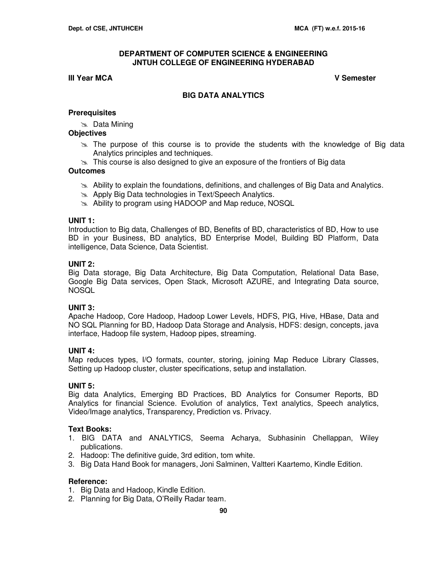# **III Year MCA V Semester**

# **BIG DATA ANALYTICS**

# **Prerequisites**

**Solution** Data Mining

# **Objectives**

- $\gg$  The purpose of this course is to provide the students with the knowledge of Big data Analytics principles and techniques.
- $\gg$  This course is also designed to give an exposure of the frontiers of Big data

# **Outcomes**

- Ability to explain the foundations, definitions, and challenges of Big Data and Analytics.
- **Apply Big Data technologies in Text/Speech Analytics.**
- im Ability to program using HADOOP and Map reduce, NOSQL

# **UNIT 1:**

Introduction to Big data, Challenges of BD, Benefits of BD, characteristics of BD, How to use BD in your Business, BD analytics, BD Enterprise Model, Building BD Platform, Data intelligence, Data Science, Data Scientist.

# **UNIT 2:**

Big Data storage, Big Data Architecture, Big Data Computation, Relational Data Base, Google Big Data services, Open Stack, Microsoft AZURE, and Integrating Data source, **NOSQL** 

# **UNIT 3:**

Apache Hadoop, Core Hadoop, Hadoop Lower Levels, HDFS, PIG, Hive, HBase, Data and NO SQL Planning for BD, Hadoop Data Storage and Analysis, HDFS: design, concepts, java interface, Hadoop file system, Hadoop pipes, streaming.

# **UNIT 4:**

Map reduces types, I/O formats, counter, storing, joining Map Reduce Library Classes, Setting up Hadoop cluster, cluster specifications, setup and installation.

# **UNIT 5:**

Big data Analytics, Emerging BD Practices, BD Analytics for Consumer Reports, BD Analytics for financial Science. Evolution of analytics, Text analytics, Speech analytics, Video/Image analytics, Transparency, Prediction vs. Privacy.

# **Text Books:**

- 1. BIG DATA and ANALYTICS, Seema Acharya, Subhasinin Chellappan, Wiley publications.
- 2. Hadoop: The definitive guide, 3rd edition, tom white.
- 3. Big Data Hand Book for managers, Joni Salminen, Valtteri Kaartemo, Kindle Edition.

# **Reference:**

- 1. Big Data and Hadoop, Kindle Edition.
- 2. Planning for Big Data, O'Reilly Radar team.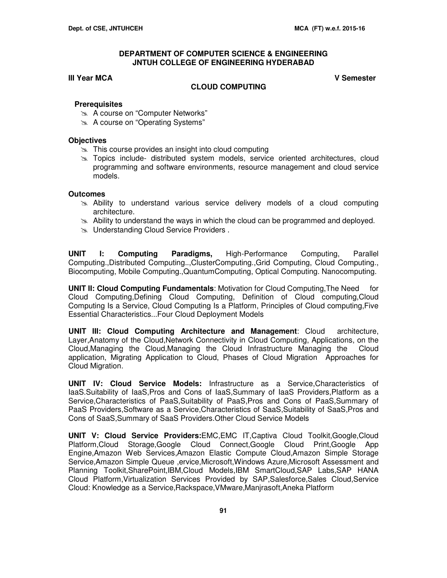# **III Year MCA V Semester**

# **CLOUD COMPUTING**

## **Prerequisites**

- A course on "Computer Networks"
- A course on "Operating Systems"

#### **Objectives**

- $\approx$  This course provides an insight into cloud computing
- **In Topics include- distributed system models, service oriented architectures, cloud** programming and software environments, resource management and cloud service models.

### **Outcomes**

- Ability to understand various service delivery models of a cloud computing architecture.
- $\geq$  Ability to understand the ways in which the cloud can be programmed and deployed.
- **EXALURE Understanding Cloud Service Providers.**

**UNIT I: Computing Paradigms,** High-Performance Computing, Parallel Computing.,Distributed Computing..,ClusterComputing.,Grid Computing, Cloud Computing., Biocomputing, Mobile Computing.,QuantumComputing, Optical Computing. Nanocomputing.

**UNIT II: Cloud Computing Fundamentals**: Motivation for Cloud Computing,The Need for Cloud Computing,Defining Cloud Computing, Definition of Cloud computing,Cloud Computing Is a Service, Cloud Computing Is a Platform, Principles of Cloud computing,Five Essential Characteristics...Four Cloud Deployment Models

 **UNIT III: Cloud Computing Architecture and Management**: Cloud architecture, Layer,Anatomy of the Cloud,Network Connectivity in Cloud Computing, Applications, on the Cloud,Managing the Cloud,Managing the Cloud Infrastructure Managing the Cloud application, Migrating Application to Cloud, Phases of Cloud Migration Approaches for Cloud Migration.

**UNIT IV: Cloud Service Models:** Infrastructure as a Service,Characteristics of IaaS.Suitability of IaaS,Pros and Cons of IaaS,Summary of IaaS Providers,Platform as a Service,Characteristics of PaaS,Suitability of PaaS,Pros and Cons of PaaS,Summary of PaaS Providers,Software as a Service,Characteristics of SaaS,Suitability of SaaS,Pros and Cons of SaaS,Summary of SaaS Providers.Other Cloud Service Models

**UNIT V: Cloud Service Providers:**EMC,EMC IT,Captiva Cloud Toolkit,Google,Cloud Platform,Cloud Storage,Google Cloud Connect,Google Cloud Print,Google App Engine,Amazon Web Services,Amazon Elastic Compute Cloud,Amazon Simple Storage Service,Amazon Simple Queue ,ervice,Microsoft,Windows Azure,Microsoft Assessment and Planning Toolkit,SharePoint,IBM,Cloud Models,IBM SmartCloud,SAP Labs,SAP HANA Cloud Platform,Virtualization Services Provided by SAP,Salesforce,Sales Cloud,Service Cloud: Knowledge as a Service,Rackspace,VMware,Manjrasoft,Aneka Platform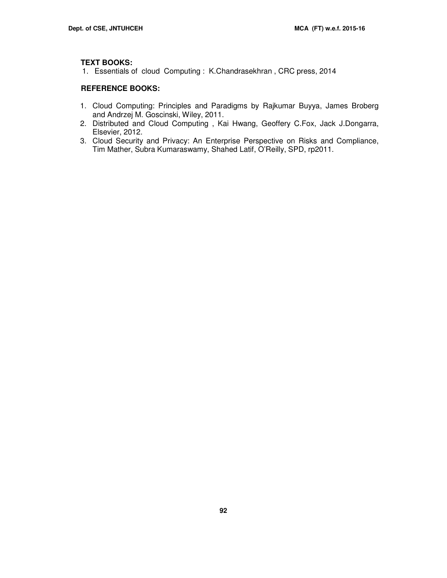# **TEXT BOOKS:**

1. Essentials of cloud Computing : K.Chandrasekhran , CRC press, 2014

# **REFERENCE BOOKS:**

- 1. Cloud Computing: Principles and Paradigms by Rajkumar Buyya, James Broberg and Andrzej M. Goscinski, Wiley, 2011.
- 2. Distributed and Cloud Computing , Kai Hwang, Geoffery C.Fox, Jack J.Dongarra, Elsevier, 2012.
- 3. Cloud Security and Privacy: An Enterprise Perspective on Risks and Compliance, Tim Mather, Subra Kumaraswamy, Shahed Latif, O'Reilly, SPD, rp2011.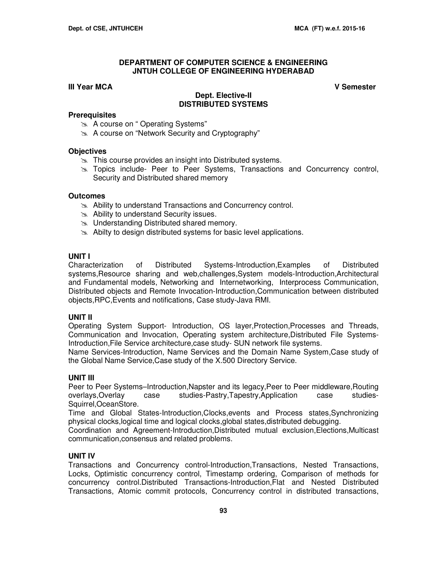# **III Year MCA V Semester**

# **Dept. Elective-II DISTRIBUTED SYSTEMS**

# **Prerequisites**

- A course on " Operating Systems"
- A course on "Network Security and Cryptography"

# **Objectives**

- **EX** This course provides an insight into Distributed systems.
- **Topics include- Peer to Peer Systems, Transactions and Concurrency control,** Security and Distributed shared memory

# **Outcomes**

- Ability to understand Transactions and Concurrency control.
- Ability to understand Security issues.
- **EXALU**nderstanding Distributed shared memory.
- $\approx$  Abilty to design distributed systems for basic level applications.

# **UNIT I**

Characterization of Distributed Systems-Introduction,Examples of Distributed systems,Resource sharing and web,challenges,System models-Introduction,Architectural and Fundamental models, Networking and Internetworking, Interprocess Communication, Distributed objects and Remote Invocation-Introduction,Communication between distributed objects,RPC,Events and notifications, Case study-Java RMI.

# **UNIT II**

Operating System Support- Introduction, OS layer,Protection,Processes and Threads, Communication and Invocation, Operating system architecture,Distributed File Systems-Introduction,File Service architecture,case study- SUN network file systems.

Name Services-Introduction, Name Services and the Domain Name System,Case study of the Global Name Service,Case study of the X.500 Directory Service.

# **UNIT III**

Peer to Peer Systems–Introduction,Napster and its legacy,Peer to Peer middleware,Routing overlays,Overlay case studies-Pastry,Tapestry,Application case studies-Squirrel,OceanStore.

Time and Global States-Introduction,Clocks,events and Process states,Synchronizing physical clocks,logical time and logical clocks,global states,distributed debugging.

Coordination and Agreement-Introduction,Distributed mutual exclusion,Elections,Multicast communication,consensus and related problems.

# **UNIT IV**

Transactions and Concurrency control-Introduction,Transactions, Nested Transactions, Locks, Optimistic concurrency control, Timestamp ordering, Comparison of methods for concurrency control.Distributed Transactions-Introduction,Flat and Nested Distributed Transactions, Atomic commit protocols, Concurrency control in distributed transactions,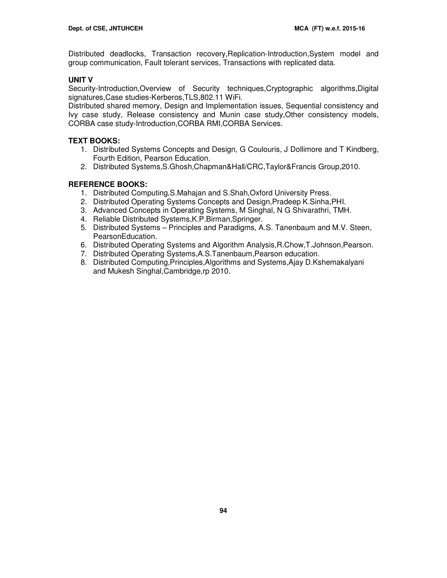Distributed deadlocks, Transaction recovery,Replication-Introduction,System model and group communication, Fault tolerant services, Transactions with replicated data.

# **UNIT V**

Security-Introduction,Overview of Security techniques,Cryptographic algorithms,Digital signatures,Case studies-Kerberos,TLS,802.11 WiFi.

Distributed shared memory, Design and Implementation issues, Sequential consistency and Ivy case study, Release consistency and Munin case study,Other consistency models, CORBA case study-Introduction,CORBA RMI,CORBA Services.

# **TEXT BOOKS:**

- 1. Distributed Systems Concepts and Design, G Coulouris, J Dollimore and T Kindberg, Fourth Edition, Pearson Education.
- 2. Distributed Systems,S.Ghosh,Chapman&Hall/CRC,Taylor&Francis Group,2010.

# **REFERENCE BOOKS:**

- 1. Distributed Computing,S.Mahajan and S.Shah,Oxford University Press.
- 2. Distributed Operating Systems Concepts and Design,Pradeep K.Sinha,PHI.
- 3. Advanced Concepts in Operating Systems, M Singhal, N G Shivarathri, TMH.
- 4. Reliable Distributed Systems,K.P.Birman,Springer.
- 5. Distributed Systems Principles and Paradigms, A.S. Tanenbaum and M.V. Steen, PearsonEducation.
- 6. Distributed Operating Systems and Algorithm Analysis,R.Chow,T.Johnson,Pearson.
- 7. Distributed Operating Systems,A.S.Tanenbaum,Pearson education.
- 8. Distributed Computing,Principles,Algorithms and Systems,Ajay D.Kshemakalyani and Mukesh Singhal,Cambridge,rp 2010.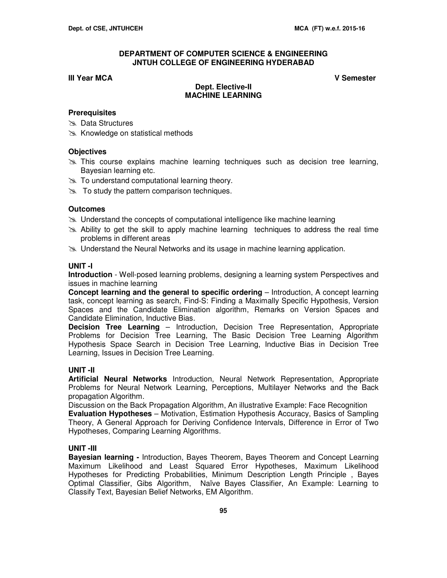# **III Year MCA V Semester**

# **Dept. Elective-II MACHINE LEARNING**

# **Prerequisites**

- **Solution Data Structures**
- **EX** Knowledge on statistical methods

# **Objectives**

- $\geq$  This course explains machine learning techniques such as decision tree learning. Bayesian learning etc.
- $\geq$  To understand computational learning theory.
- $\approx$  To study the pattern comparison techniques.

# **Outcomes**

- $\geq$  Understand the concepts of computational intelligence like machine learning
- $\geq$  Ability to get the skill to apply machine learning techniques to address the real time problems in different areas
- Understand the Neural Networks and its usage in machine learning application.

# **UNIT -I**

**Introduction** - Well-posed learning problems, designing a learning system Perspectives and issues in machine learning

**Concept learning and the general to specific ordering** – Introduction, A concept learning task, concept learning as search, Find-S: Finding a Maximally Specific Hypothesis, Version Spaces and the Candidate Elimination algorithm, Remarks on Version Spaces and Candidate Elimination, Inductive Bias.

**Decision Tree Learning** – Introduction, Decision Tree Representation, Appropriate Problems for Decision Tree Learning, The Basic Decision Tree Learning Algorithm Hypothesis Space Search in Decision Tree Learning, Inductive Bias in Decision Tree Learning, Issues in Decision Tree Learning.

# **UNIT -II**

**Artificial Neural Networks** Introduction, Neural Network Representation, Appropriate Problems for Neural Network Learning, Perceptions, Multilayer Networks and the Back propagation Algorithm.

Discussion on the Back Propagation Algorithm, An illustrative Example: Face Recognition **Evaluation Hypotheses** – Motivation, Estimation Hypothesis Accuracy, Basics of Sampling Theory, A General Approach for Deriving Confidence Intervals, Difference in Error of Two Hypotheses, Comparing Learning Algorithms.

# **UNIT -III**

**Bayesian learning -** Introduction, Bayes Theorem, Bayes Theorem and Concept Learning Maximum Likelihood and Least Squared Error Hypotheses, Maximum Likelihood Hypotheses for Predicting Probabilities, Minimum Description Length Principle , Bayes Optimal Classifier, Gibs Algorithm, Naïve Bayes Classifier, An Example: Learning to Classify Text, Bayesian Belief Networks, EM Algorithm.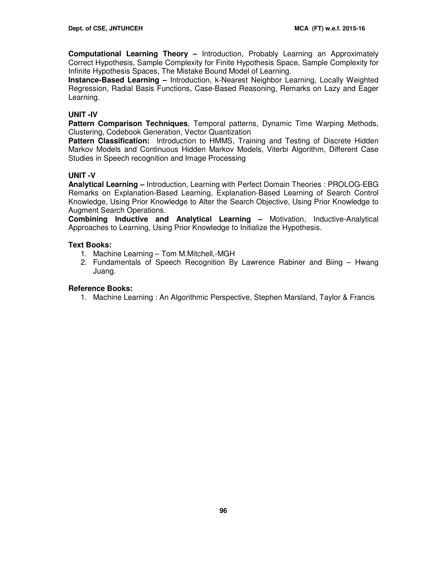**Computational Learning Theory –** Introduction, Probably Learning an Approximately Correct Hypothesis, Sample Complexity for Finite Hypothesis Space, Sample Complexity for Infinite Hypothesis Spaces, The Mistake Bound Model of Learning.

**Instance-Based Learning –** Introduction, k-Nearest Neighbor Learning, Locally Weighted Regression, Radial Basis Functions, Case-Based Reasoning, Remarks on Lazy and Eager Learning.

# **UNIT -IV**

**Pattern Comparison Techniques**, Temporal patterns, Dynamic Time Warping Methods, Clustering, Codebook Generation, Vector Quantization

**Pattern Classification:** Introduction to HMMS, Training and Testing of Discrete Hidden Markov Models and Continuous Hidden Markov Models, Viterbi Algorithm, Different Case Studies in Speech recognition and Image Processing

# **UNIT -V**

**Analytical Learning –** Introduction, Learning with Perfect Domain Theories : PROLOG-EBG Remarks on Explanation-Based Learning, Explanation-Based Learning of Search Control Knowledge, Using Prior Knowledge to Alter the Search Objective, Using Prior Knowledge to Augment Search Operations.

**Combining Inductive and Analytical Learning –** Motivation, Inductive-Analytical Approaches to Learning, Using Prior Knowledge to Initialize the Hypothesis.

# **Text Books:**

- 1. Machine Learning Tom M.Mitchell,-MGH
- 2. Fundamentals of Speech Recognition By Lawrence Rabiner and Biing Hwang Juang.

# **Reference Books:**

1. Machine Learning : An Algorithmic Perspective, Stephen Marsland, Taylor & Francis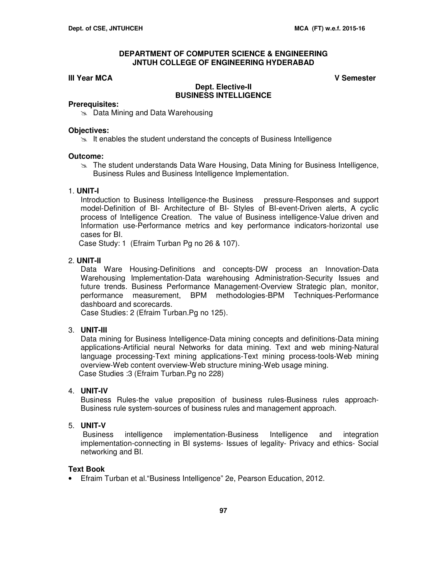## **III Year MCA V Semester**

## **Dept. Elective-II BUSINESS INTELLIGENCE**

#### **Prerequisites:**

**EX** Data Mining and Data Warehousing

#### **Objectives:**

 $\geq$  It enables the student understand the concepts of Business Intelligence

#### **Outcome:**

**The student understands Data Ware Housing, Data Mining for Business Intelligence,** Business Rules and Business Intelligence Implementation.

#### 1. **UNIT-I**

Introduction to Business Intelligence-the Business pressure-Responses and support model-Definition of BI- Architecture of BI- Styles of BI-event-Driven alerts, A cyclic process of Intelligence Creation. The value of Business intelligence-Value driven and Information use-Performance metrics and key performance indicators-horizontal use cases for BI.

Case Study: 1 (Efraim Turban Pg no 26 & 107).

# 2. **UNIT-II**

Data Ware Housing-Definitions and concepts-DW process an Innovation-Data Warehousing Implementation-Data warehousing Administration-Security Issues and future trends. Business Performance Management-Overview Strategic plan, monitor, performance measurement, BPM methodologies-BPM Techniques-Performance dashboard and scorecards.

Case Studies: 2 (Efraim Turban.Pg no 125).

# 3. **UNIT-III**

Data mining for Business Intelligence-Data mining concepts and definitions-Data mining applications-Artificial neural Networks for data mining. Text and web mining-Natural language processing-Text mining applications-Text mining process-tools-Web mining overview-Web content overview-Web structure mining-Web usage mining. Case Studies :3 (Efraim Turban.Pg no 228)

### 4. **UNIT-IV**

Business Rules-the value preposition of business rules-Business rules approach-Business rule system-sources of business rules and management approach.

## 5. **UNIT-V**

 Business intelligence implementation-Business Intelligence and integration implementation-connecting in BI systems- Issues of legality- Privacy and ethics- Social networking and BI.

# **Text Book**

• Efraim Turban et al."Business Intelligence" 2e, Pearson Education, 2012.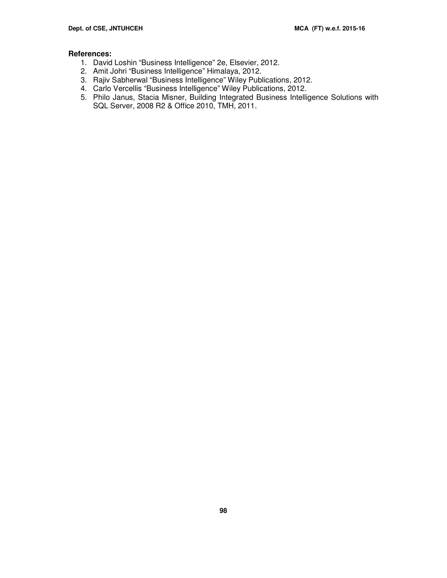# **References:**

- 1. David Loshin "Business Intelligence" 2e, Elsevier, 2012.
- 2. Amit Johri "Business Intelligence" Himalaya, 2012.
- 3. Rajiv Sabherwal "Business Intelligence" Wiley Publications, 2012.
- 4. Carlo Vercellis "Business Intelligence" Wiley Publications, 2012.
- 5. Philo Janus, Stacia Misner, Building Integrated Business Intelligence Solutions with SQL Server, 2008 R2 & Office 2010, TMH, 2011.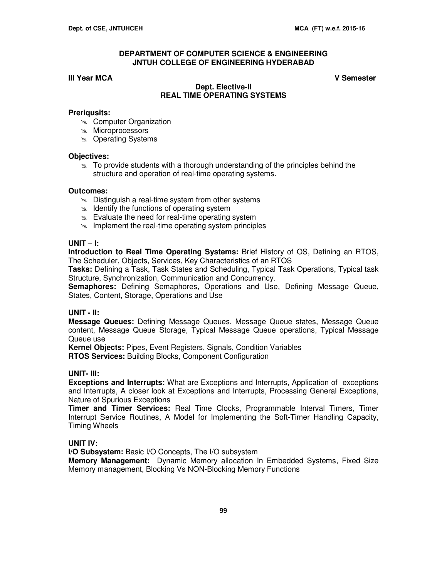# **III Year MCA V Semester**

# **Dept. Elective-II REAL TIME OPERATING SYSTEMS**

# **Preriqusits:**

- **EX** Computer Organization
- **Microprocessors**
- **Some Operating Systems**

### **Objectives:**

 $\geq$  To provide students with a thorough understanding of the principles behind the structure and operation of real-time operating systems.

# **Outcomes:**

- $\approx$  Distinguish a real-time system from other systems
- $\approx$  Identify the functions of operating system
- $\approx$  Evaluate the need for real-time operating system
- $\infty$  Implement the real-time operating system principles

# **UNIT – I:**

**Introduction to Real Time Operating Systems:** Brief History of OS, Defining an RTOS, The Scheduler, Objects, Services, Key Characteristics of an RTOS

**Tasks:** Defining a Task, Task States and Scheduling, Typical Task Operations, Typical task Structure, Synchronization, Communication and Concurrency.

**Semaphores:** Defining Semaphores, Operations and Use, Defining Message Queue, States, Content, Storage, Operations and Use

# **UNIT - II:**

**Message Queues:** Defining Message Queues, Message Queue states, Message Queue content, Message Queue Storage, Typical Message Queue operations, Typical Message Queue use

**Kernel Objects:** Pipes, Event Registers, Signals, Condition Variables **RTOS Services:** Building Blocks, Component Configuration

# **UNIT- III:**

**Exceptions and Interrupts:** What are Exceptions and Interrupts, Application of exceptions and Interrupts, A closer look at Exceptions and Interrupts, Processing General Exceptions, Nature of Spurious Exceptions

**Timer and Timer Services:** Real Time Clocks, Programmable Interval Timers, Timer Interrupt Service Routines, A Model for Implementing the Soft-Timer Handling Capacity, Timing Wheels

# **UNIT IV:**

**I/O Subsystem:** Basic I/O Concepts, The I/O subsystem

**Memory Management:** Dynamic Memory allocation In Embedded Systems, Fixed Size Memory management, Blocking Vs NON-Blocking Memory Functions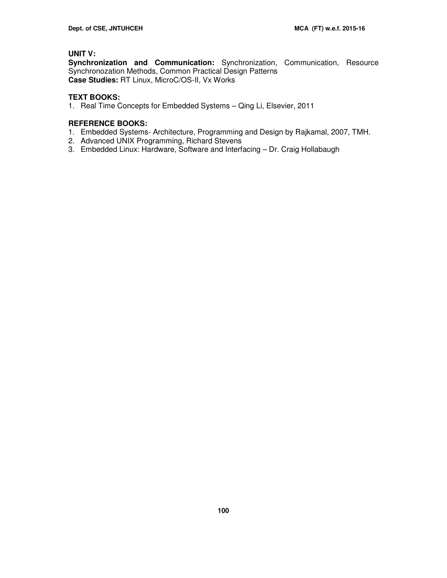# **UNIT V:**

**Synchronization and Communication:** Synchronization, Communication, Resource Synchronozation Methods, Common Practical Design Patterns **Case Studies:** RT Linux, MicroC/OS-II, Vx Works

# **TEXT BOOKS:**

1. Real Time Concepts for Embedded Systems – Qing Li, Elsevier, 2011

# **REFERENCE BOOKS:**

- 1. Embedded Systems- Architecture, Programming and Design by Rajkamal, 2007, TMH.
- 2. Advanced UNIX Programming, Richard Stevens
- 3. Embedded Linux: Hardware, Software and Interfacing Dr. Craig Hollabaugh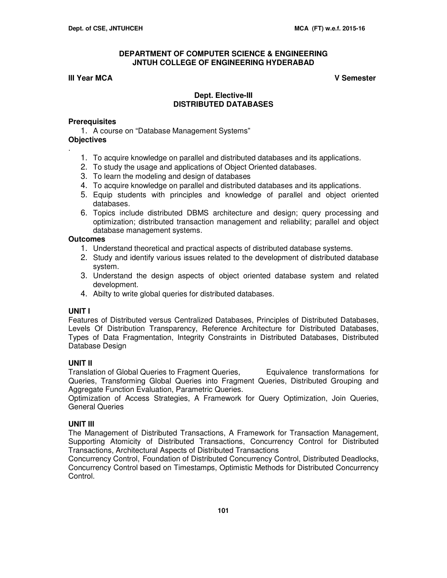## **III Year MCA V Semester**

# **Dept. Elective-III DISTRIBUTED DATABASES**

#### **Prerequisites**

1. A course on "Database Management Systems"

**Objectives**

.

- 1. To acquire knowledge on parallel and distributed databases and its applications.
- 2. To study the usage and applications of Object Oriented databases.
- 3. To learn the modeling and design of databases
- 4. To acquire knowledge on parallel and distributed databases and its applications.
- 5. Equip students with principles and knowledge of parallel and object oriented databases.
- 6. Topics include distributed DBMS architecture and design; query processing and optimization; distributed transaction management and reliability; parallel and object database management systems.

#### **Outcomes**

- 1. Understand theoretical and practical aspects of distributed database systems.
- 2. Study and identify various issues related to the development of distributed database system.
- 3. Understand the design aspects of object oriented database system and related development.
- 4. Abilty to write global queries for distributed databases.

#### **UNIT I**

Features of Distributed versus Centralized Databases, Principles of Distributed Databases, Levels Of Distribution Transparency, Reference Architecture for Distributed Databases, Types of Data Fragmentation, Integrity Constraints in Distributed Databases, Distributed Database Design

# **UNIT II**

Translation of Global Queries to Fragment Queries, Translationce transformations for Queries, Transforming Global Queries into Fragment Queries, Distributed Grouping and Aggregate Function Evaluation, Parametric Queries.

Optimization of Access Strategies, A Framework for Query Optimization, Join Queries, General Queries

#### **UNIT III**

The Management of Distributed Transactions, A Framework for Transaction Management, Supporting Atomicity of Distributed Transactions, Concurrency Control for Distributed Transactions, Architectural Aspects of Distributed Transactions

Concurrency Control, Foundation of Distributed Concurrency Control, Distributed Deadlocks, Concurrency Control based on Timestamps, Optimistic Methods for Distributed Concurrency Control.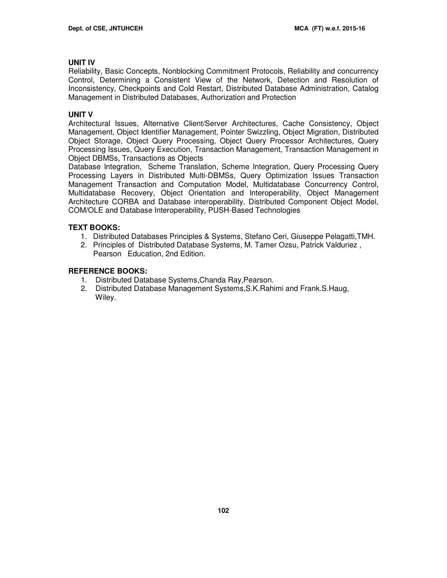# **UNIT IV**

Reliability, Basic Concepts, Nonblocking Commitment Protocols, Reliability and concurrency Control, Determining a Consistent View of the Network, Detection and Resolution of Inconsistency, Checkpoints and Cold Restart, Distributed Database Administration, Catalog Management in Distributed Databases, Authorization and Protection

# **UNIT V**

Architectural Issues, Alternative Client/Server Architectures, Cache Consistency, Object Management, Object Identifier Management, Pointer Swizzling, Object Migration, Distributed Object Storage, Object Query Processing, Object Query Processor Architectures, Query Processing Issues, Query Execution, Transaction Management, Transaction Management in Object DBMSs, Transactions as Objects

Database Integration, Scheme Translation, Scheme Integration, Query Processing Query Processing Layers in Distributed Multi-DBMSs, Query Optimization Issues Transaction Management Transaction and Computation Model, Multidatabase Concurrency Control, Multidatabase Recovery, Object Orientation and Interoperability, Object Management Architecture CORBA and Database interoperability, Distributed Component Object Model, COM/OLE and Database Interoperability, PUSH-Based Technologies

# **TEXT BOOKS:**

- 1. Distributed Databases Principles & Systems, Stefano Ceri, Giuseppe Pelagatti,TMH.
- 2. Principles of Distributed Database Systems, M. Tamer Ozsu, Patrick Valduriez , Pearson Education, 2nd Edition.

# **REFERENCE BOOKS:**

- 1. Distributed Database Systems,Chanda Ray,Pearson.
- 2. Distributed Database Management Systems,S.K.Rahimi and Frank.S.Haug, Wiley.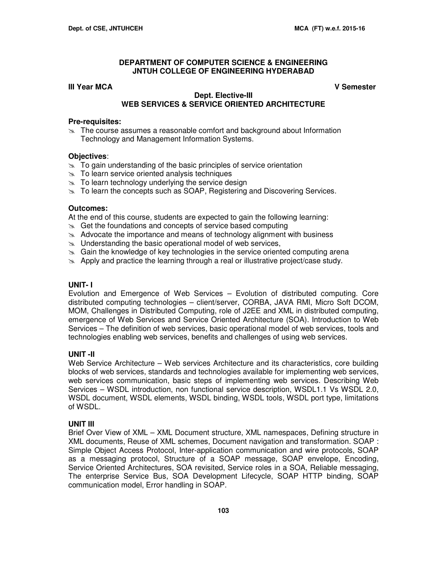# **III Year MCA V Semester**

## **Dept. Elective-III WEB SERVICES & SERVICE ORIENTED ARCHITECTURE**

#### **Pre-requisites:**

 $\approx$  The course assumes a reasonable comfort and background about Information Technology and Management Information Systems.

### **Objectives**:

- $\approx$  To gain understanding of the basic principles of service orientation
- **To learn service oriented analysis techniques**
- $\infty$  To learn technology underlying the service design
- $\geq$  To learn the concepts such as SOAP, Registering and Discovering Services.

# **Outcomes:**

At the end of this course, students are expected to gain the following learning:

- $\approx$  Get the foundations and concepts of service based computing
- $\approx$  Advocate the importance and means of technology alignment with business
- $\infty$  Understanding the basic operational model of web services,
- $\approx$  Gain the knowledge of key technologies in the service oriented computing arena
- Apply and practice the learning through a real or illustrative project/case study.

## **UNIT- I**

Evolution and Emergence of Web Services – Evolution of distributed computing. Core distributed computing technologies – client/server, CORBA, JAVA RMI, Micro Soft DCOM, MOM, Challenges in Distributed Computing, role of J2EE and XML in distributed computing, emergence of Web Services and Service Oriented Architecture (SOA). Introduction to Web Services – The definition of web services, basic operational model of web services, tools and technologies enabling web services, benefits and challenges of using web services.

### **UNIT -II**

Web Service Architecture – Web services Architecture and its characteristics, core building blocks of web services, standards and technologies available for implementing web services, web services communication, basic steps of implementing web services. Describing Web Services – WSDL introduction, non functional service description, WSDL1.1 Vs WSDL 2.0, WSDL document, WSDL elements, WSDL binding, WSDL tools, WSDL port type, limitations of WSDL.

#### **UNIT III**

Brief Over View of XML – XML Document structure, XML namespaces, Defining structure in XML documents, Reuse of XML schemes, Document navigation and transformation. SOAP : Simple Object Access Protocol, Inter-application communication and wire protocols, SOAP as a messaging protocol, Structure of a SOAP message, SOAP envelope, Encoding, Service Oriented Architectures, SOA revisited, Service roles in a SOA, Reliable messaging, The enterprise Service Bus, SOA Development Lifecycle, SOAP HTTP binding, SOAP communication model, Error handling in SOAP.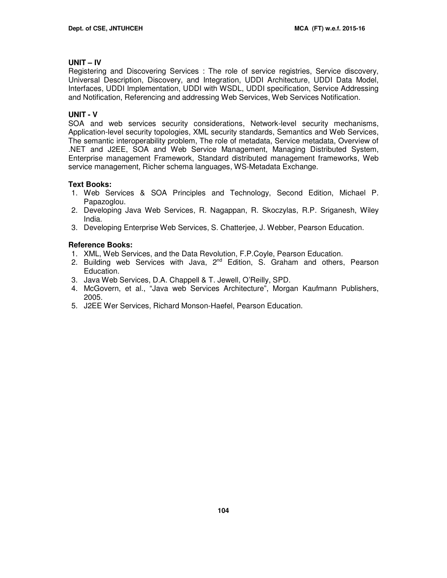# **UNIT – IV**

Registering and Discovering Services : The role of service registries, Service discovery, Universal Description, Discovery, and Integration, UDDI Architecture, UDDI Data Model, Interfaces, UDDI Implementation, UDDI with WSDL, UDDI specification, Service Addressing and Notification, Referencing and addressing Web Services, Web Services Notification.

# **UNIT - V**

SOA and web services security considerations, Network-level security mechanisms, Application-level security topologies, XML security standards, Semantics and Web Services, The semantic interoperability problem, The role of metadata, Service metadata, Overview of .NET and J2EE, SOA and Web Service Management, Managing Distributed System, Enterprise management Framework, Standard distributed management frameworks, Web service management, Richer schema languages, WS-Metadata Exchange.

# **Text Books:**

- 1. Web Services & SOA Principles and Technology, Second Edition, Michael P. Papazoglou.
- 2. Developing Java Web Services, R. Nagappan, R. Skoczylas, R.P. Sriganesh, Wiley India.
- 3. Developing Enterprise Web Services, S. Chatterjee, J. Webber, Pearson Education.

# **Reference Books:**

- 1. XML, Web Services, and the Data Revolution, F.P.Coyle, Pearson Education.
- 2. Building web Services with Java,  $2^{nd}$  Edition, S. Graham and others, Pearson Education.
- 3. Java Web Services, D.A. Chappell & T. Jewell, O'Reilly, SPD.
- 4. McGovern, et al., "Java web Services Architecture", Morgan Kaufmann Publishers, 2005.
- 5. J2EE Wer Services, Richard Monson-Haefel, Pearson Education.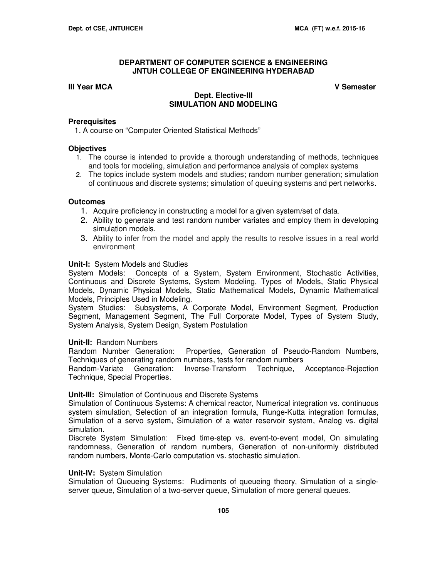# **III Year MCA V Semester**

# **Dept. Elective-III SIMULATION AND MODELING**

## **Prerequisites**

1. A course on "Computer Oriented Statistical Methods"

## **Objectives**

- 1. The course is intended to provide a thorough understanding of methods, techniques and tools for modeling, simulation and performance analysis of complex systems
- 2. The topics include system models and studies; random number generation; simulation of continuous and discrete systems; simulation of queuing systems and pert networks.

### **Outcomes**

- 1. Acquire proficiency in constructing a model for a given system/set of data.
- 2. Ability to generate and test random number variates and employ them in developing simulation models.
- 3. Ability to infer from the model and apply the results to resolve issues in a real world environment

### **Unit-I:** System Models and Studies

System Models: Concepts of a System, System Environment, Stochastic Activities, Continuous and Discrete Systems, System Modeling, Types of Models, Static Physical Models, Dynamic Physical Models, Static Mathematical Models, Dynamic Mathematical Models, Principles Used in Modeling.

System Studies: Subsystems, A Corporate Model, Environment Segment, Production Segment, Management Segment, The Full Corporate Model, Types of System Study, System Analysis, System Design, System Postulation

# **Unit-II:** Random Numbers

Random Number Generation: Properties, Generation of Pseudo-Random Numbers, Techniques of generating random numbers, tests for random numbers

Random-Variate Generation: Inverse-Transform Technique, Acceptance-Rejection Technique, Special Properties.

# **Unit-III:** Simulation of Continuous and Discrete Systems

Simulation of Continuous Systems: A chemical reactor, Numerical integration vs. continuous system simulation, Selection of an integration formula, Runge-Kutta integration formulas, Simulation of a servo system, Simulation of a water reservoir system, Analog vs. digital simulation.

Discrete System Simulation: Fixed time-step vs. event-to-event model, On simulating randomness, Generation of random numbers, Generation of non-uniformly distributed random numbers, Monte-Carlo computation vs. stochastic simulation.

# **Unit-IV:** System Simulation

Simulation of Queueing Systems: Rudiments of queueing theory, Simulation of a singleserver queue, Simulation of a two-server queue, Simulation of more general queues.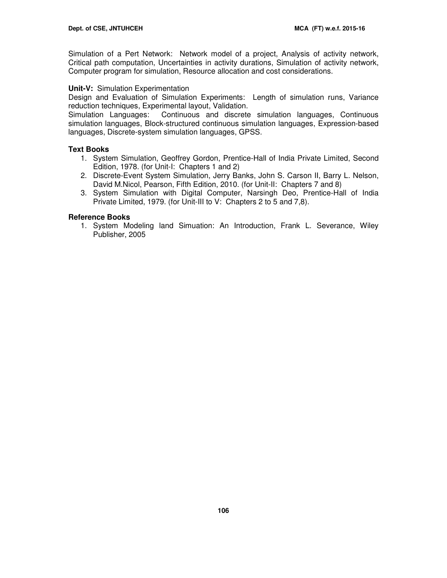Simulation of a Pert Network: Network model of a project, Analysis of activity network, Critical path computation, Uncertainties in activity durations, Simulation of activity network, Computer program for simulation, Resource allocation and cost considerations.

# **Unit-V:** Simulation Experimentation

Design and Evaluation of Simulation Experiments: Length of simulation runs, Variance reduction techniques, Experimental layout, Validation.

Simulation Languages: Continuous and discrete simulation languages, Continuous simulation languages, Block-structured continuous simulation languages, Expression-based languages, Discrete-system simulation languages, GPSS.

# **Text Books**

- 1. System Simulation, Geoffrey Gordon, Prentice-Hall of India Private Limited, Second Edition, 1978. (for Unit-I: Chapters 1 and 2)
- 2. Discrete-Event System Simulation, Jerry Banks, John S. Carson II, Barry L. Nelson, David M.Nicol, Pearson, Fifth Edition, 2010. (for Unit-II: Chapters 7 and 8)
- 3. System Simulation with Digital Computer, Narsingh Deo, Prentice-Hall of India Private Limited, 1979. (for Unit-III to V: Chapters 2 to 5 and 7,8).

# **Reference Books**

1. System Modeling land Simuation: An Introduction, Frank L. Severance, Wiley Publisher, 2005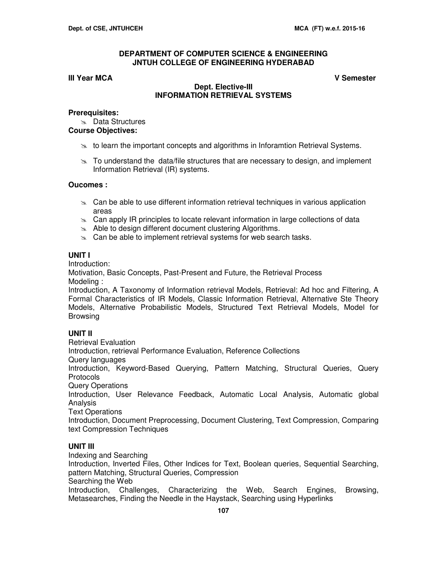# **III Year MCA V Semester**

# **Dept. Elective-III INFORMATION RETRIEVAL SYSTEMS**

## **Prerequisites:**

**Data Structures** 

# **Course Objectives:**

- $\geq$  to learn the important concepts and algorithms in Inforamtion Retrieval Systems.
- $\geq$  To understand the data/file structures that are necessary to design, and implement Information Retrieval (IR) systems.

# **Oucomes :**

- $\infty$  Can be able to use different information retrieval techniques in various application areas
- $\infty$  Can apply IR principles to locate relevant information in large collections of data
- $\approx$  Able to design different document clustering Algorithms.
- $\infty$  Can be able to implement retrieval systems for web search tasks.

# **UNIT I**

Introduction:

Motivation, Basic Concepts, Past-Present and Future, the Retrieval Process Modeling :

Introduction, A Taxonomy of Information retrieval Models, Retrieval: Ad hoc and Filtering, A Formal Characteristics of IR Models, Classic Information Retrieval, Alternative Ste Theory Models, Alternative Probabilistic Models, Structured Text Retrieval Models, Model for Browsing

# **UNIT II**

Retrieval Evaluation Introduction, retrieval Performance Evaluation, Reference Collections Query languages Introduction, Keyword-Based Querying, Pattern Matching, Structural Queries, Query Protocols Query Operations Introduction, User Relevance Feedback, Automatic Local Analysis, Automatic global Analysis

Text Operations

Introduction, Document Preprocessing, Document Clustering, Text Compression, Comparing text Compression Techniques

# **UNIT III**

Indexing and Searching Introduction, Inverted Files, Other Indices for Text, Boolean queries, Sequential Searching, pattern Matching, Structural Queries, Compression Searching the Web Introduction, Challenges, Characterizing the Web, Search Engines, Browsing, Metasearches, Finding the Needle in the Haystack, Searching using Hyperlinks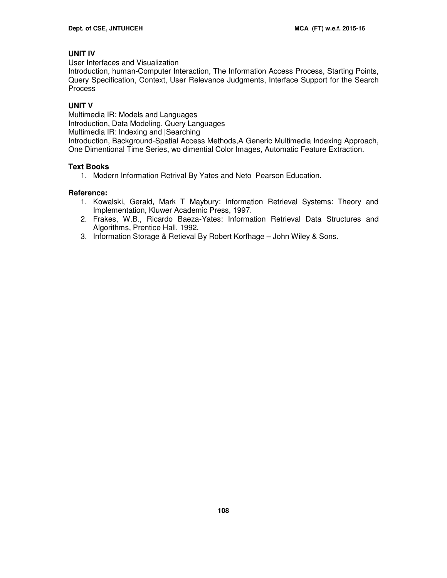# **UNIT IV**

User Interfaces and Visualization

Introduction, human-Computer Interaction, The Information Access Process, Starting Points, Query Specification, Context, User Relevance Judgments, Interface Support for the Search Process

# **UNIT V**

Multimedia IR: Models and Languages Introduction, Data Modeling, Query Languages Multimedia IR: Indexing and |Searching Introduction, Background-Spatial Access Methods,A Generic Multimedia Indexing Approach, One Dimentional Time Series, wo dimential Color Images, Automatic Feature Extraction.

# **Text Books**

1. Modern Information Retrival By Yates and Neto Pearson Education.

# **Reference:**

- 1. Kowalski, Gerald, Mark T Maybury: Information Retrieval Systems: Theory and Implementation, Kluwer Academic Press, 1997.
- 2. Frakes, W.B., Ricardo Baeza-Yates: Information Retrieval Data Structures and Algorithms, Prentice Hall, 1992.
- 3. Information Storage & Retieval By Robert Korfhage John Wiley & Sons.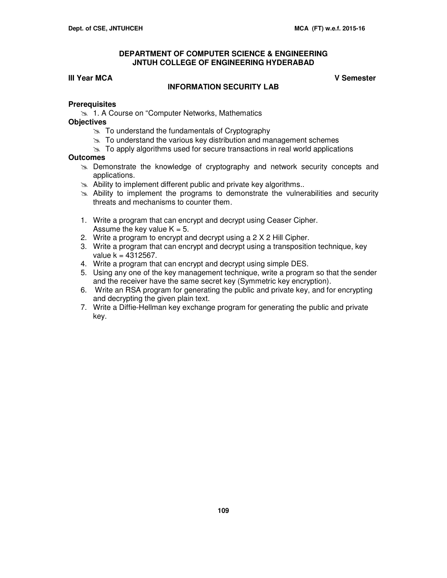## **DEPARTMENT OF COMPUTER SCIENCE & ENGINEERING JNTUH COLLEGE OF ENGINEERING HYDERABAD**

# **III Year MCA V Semester**

# **INFORMATION SECURITY LAB**

### **Prerequisites**

**1. A Course on "Computer Networks, Mathematics** 

### **Objectives**

- $\approx$  To understand the fundamentals of Cryptography
- $\approx$  To understand the various key distribution and management schemes
- $\geq$  To apply algorithms used for secure transactions in real world applications

# **Outcomes**

- $\geq$  Demonstrate the knowledge of cryptography and network security concepts and applications.
- $\approx$  Ability to implement different public and private key algorithms..
- $\geq$  Ability to implement the programs to demonstrate the vulnerabilities and security threats and mechanisms to counter them.
- 1. Write a program that can encrypt and decrypt using Ceaser Cipher. Assume the key value  $K = 5$ .
- 2. Write a program to encrypt and decrypt using a 2 X 2 Hill Cipher.
- 3. Write a program that can encrypt and decrypt using a transposition technique, key value  $k = 4312567$ .
- 4. Write a program that can encrypt and decrypt using simple DES.
- 5. Using any one of the key management technique, write a program so that the sender and the receiver have the same secret key (Symmetric key encryption).
- 6. Write an RSA program for generating the public and private key, and for encrypting and decrypting the given plain text.
- 7. Write a Diffie-Hellman key exchange program for generating the public and private key.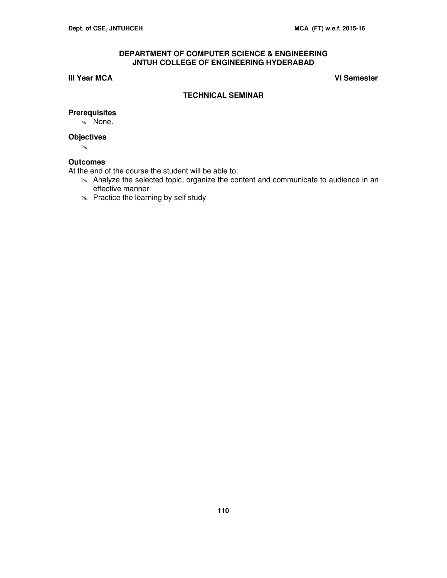# **DEPARTMENT OF COMPUTER SCIENCE & ENGINEERING JNTUH COLLEGE OF ENGINEERING HYDERABAD**

# **III Year MCA VI Semester**

### **TECHNICAL SEMINAR**

# **Prerequisites**

\* None.

# **Objectives**

 $\mathbb{Z}$ 

# **Outcomes**

At the end of the course the student will be able to:

- Analyze the selected topic, organize the content and communicate to audience in an effective manner
- $\gg$  Practice the learning by self study